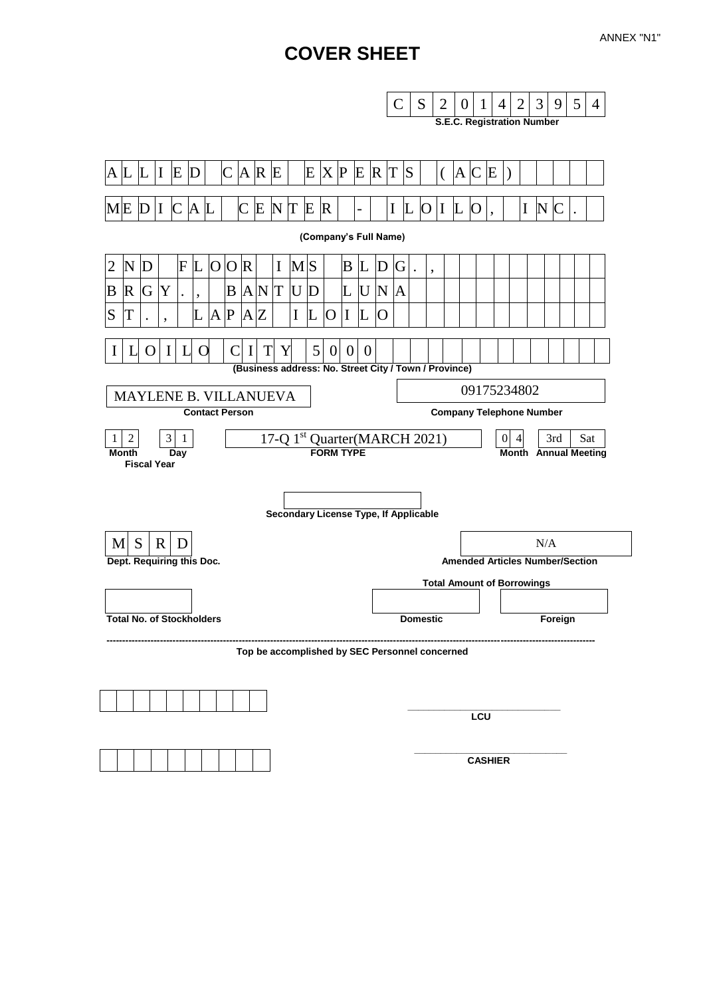# **COVER SHEET**

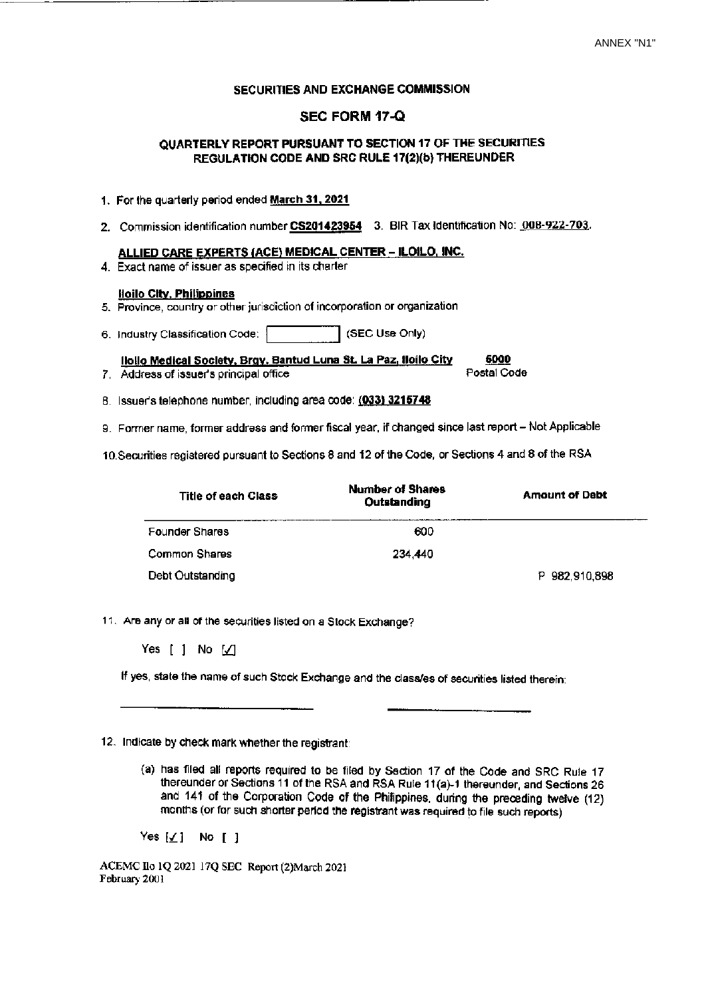#### SECURITIES AND EXCHANGE COMMISSION

#### **SEC FORM 17-Q**

### QUARTERLY REPORT PURSUANT TO SECTION 17 OF THE SECURITIES REGULATION CODE AND SRC RULE 17(2)(b) THEREUNDER

- 1. For the quarterly period ended March 31, 2021
- 2. Commission identification number CS201423954 3. BIR Tax Identification No: 008-922-703.

#### ALLIED CARE EXPERTS (ACE) MEDICAL CENTER - ILOILO, INC.

4. Exact name of issuer as specified in its charter

# **Hollo City, Philippines**

- 5. Province, country or other jurisdiction of incorporation or organization
- 6. Industry Classification Code: (SEC Use Only)

llollo Medical Society, Brgy, Bantud Luna St. La Paz, floilo City

7. Address of issuer's principal office

6000 Postal Code

8. Issuer's telephone number, including area code: (033) 3215748

9. Former name, former address and former fiscal year, if changed since last report - Not Applicable

10. Securities registered pursuant to Sections 8 and 12 of the Code, or Sections 4 and 8 of the RSA

| <b>Title of each Class</b> | <b>Number of Shares</b><br>Outstanding | <b>Amount of Debt</b> |
|----------------------------|----------------------------------------|-----------------------|
| <b>Founder Shares</b>      | 600                                    |                       |
| Common Shares              | 234,440                                |                       |
| Debt Outstanding           |                                        | P 982,910,898         |

11. Are any or all of the securities listed on a Stock Exchange?

Yes  $[ ]$  No  $[ \angle ]$ 

If yes, state the name of such Stock Exchange and the class/es of securities listed therein:

#### 12. Indicate by check mark whether the registrant:

(a) has filed all reports required to be filed by Section 17 of the Code and SRC Rule 17 thereunder or Sections 11 of the RSA and RSA Rule 11(a)-1 thereunder, and Sections 26 and 141 of the Corporation Code of the Philippines, during the preceding twelve (12) months (or for such shorter period the registrant was required to file such reports)

Yes  $K$  Mo [ ]

ACEMC Ilo 1Q 2021 17Q SEC Report (2)March 2021 February 2001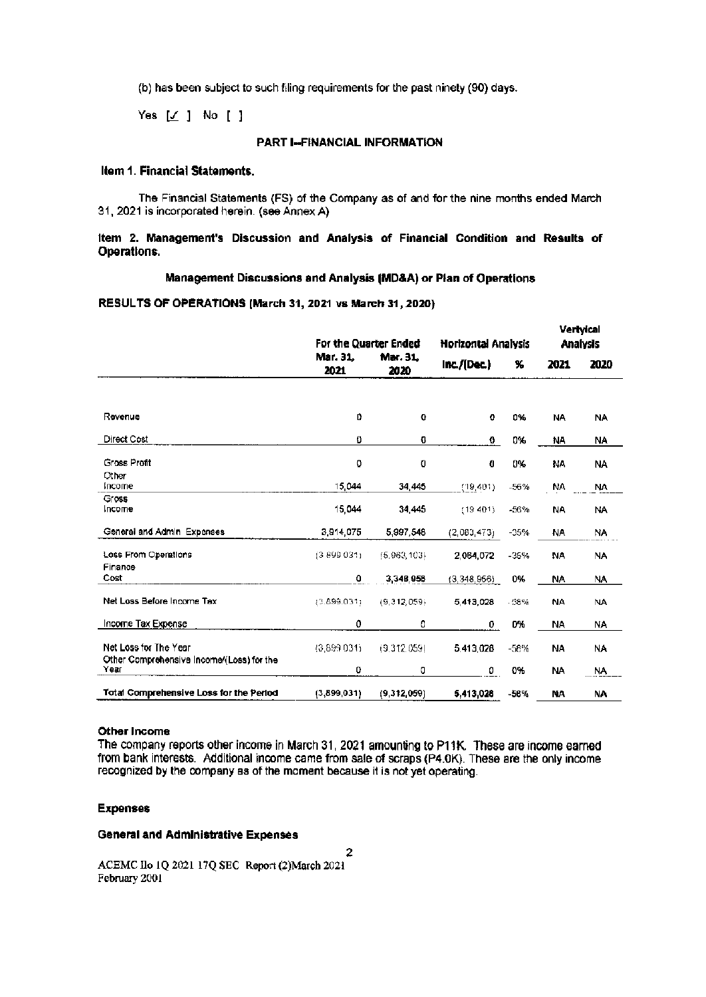(b) has been subject to such filing requirements for the past ninety (90) days.

Yes  $[\angle]$  No []

#### **PART I--FINANCIAL INFORMATION**

#### Item 1. Financial Statements.

The Financial Statements (FS) of the Company as of and for the nine months ended March 31, 2021 is incorporated herein. (see Annex A)

#### item 2. Management's Discussion and Analysis of Financial Condition and Results of Operations.

#### Management Discussions and Analysis (MD&A) or Plan of Operations

#### RESULTS OF OPERATIONS (March 31, 2021 vs March 31, 2020)

|                                                                    | For the Quarter Ended<br><b>Horizontal Analysis</b> |                  |             | Vertyical<br><b>Analysis</b> |           |           |
|--------------------------------------------------------------------|-----------------------------------------------------|------------------|-------------|------------------------------|-----------|-----------|
|                                                                    | Mar. 31.<br>2021                                    | Mar. 31.<br>2020 | Inc/[Dec]   | %                            | 2021      | 2020      |
| Revenue                                                            | D                                                   | 0                | o           | 0%                           | NA.       | NA.       |
| Direct Cost                                                        | O                                                   | $\mathbf 0$      | 0           | 0%                           | NA        | NA        |
| Gross Profit<br>Other                                              | 0                                                   | 0                | $\bf{0}$    | 0%                           | NΑ        | <b>NA</b> |
| income                                                             | 15,044                                              | 34,445           | (19, 401)   | -56%                         | <b>NA</b> | <b>NA</b> |
| Gross<br>Income                                                    | 15,044                                              | 34,445           | (19, 401)   | -56%                         | <b>NA</b> | NA.       |
| General and Admin Expenses                                         | 3,914,075                                           | 5,997,548        | (2,083,473) | $-35%$                       | NA.       | NA        |
| Loss From Operations<br>Finance                                    | (3.899.031)                                         | (5.963, 103)     | 2,064,072   | -35%                         | NA.       | <b>NA</b> |
| Cost                                                               | ٥                                                   | 3,348,956        | (3.348.956) | 0%                           | NA.       | NA        |
| Net Loss Before Income Tax                                         | (3.899.031)                                         | (9, 312, 059)    | 5,413,028   | -58%                         | <b>NA</b> | <b>NA</b> |
| Income Tax Expense                                                 | 0                                                   | 0                | 0           | 0%                           | <b>NA</b> | <b>NA</b> |
| Net Loss for The Year<br>Other Comprehensive Income/(Loss) for the | (3,899.034)                                         | (9.312.059)      | 5.413.028   | $-58%$                       | <b>NA</b> | NA.       |
| Year                                                               | 0                                                   | o                | ٥           | 0%                           | NA.       | NA        |
| Total Comprehensive Loss for the Period                            | (3,899,031)                                         | (9,312,059)      | 5,413,028   | -56%                         | ΝA.       | NA        |

#### Other Income

The company reports other income in March 31, 2021 amounting to P11K. These are income earned from bank interests. Additional income came from sale of scraps (P4.0K). These are the only income recognized by the company as of the moment because it is not yet operating.

 $\overline{c}$ 

#### **Expenses**

#### **General and Administrative Expenses**

ACEMC Ilo 1Q 2021 17Q SEC Report (2)March 2021 February 2001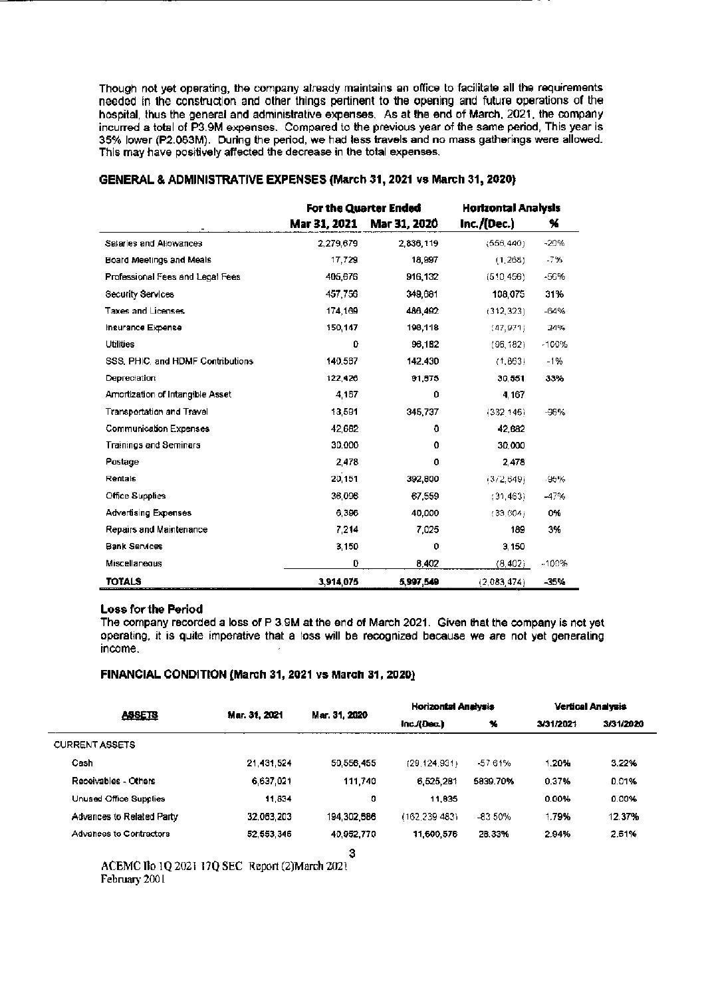Though not yet operating, the company already maintains an office to facilitate all the requirements needed in the construction and other things pertinent to the opening and future operations of the hospital, thus the general and administrative expenses. As at the end of March, 2021, the company incurred a total of P3.9M expenses. Compared to the previous year of the same period. This year is 35% lower (P2.083M). During the period, we had less travels and no mass gatherings were allowed. This may have positively affected the decrease in the total expenses.

|                                   |              | For the Quarter Ended | <b>Horizontal Analysis</b> |         |
|-----------------------------------|--------------|-----------------------|----------------------------|---------|
|                                   | Mar 31, 2021 | Mar 31, 2020          | Inc./(Dec.)                | %       |
| Salaries and Allowances           | 2.279.679    | 2.836.119             | (556.440)                  | -20%    |
| Board Meetings and Meals          | 17,729       | 18,997                | (1,268)                    | $-7%$   |
| Professional Fees and Legal Fees  | 405,676      | 916,132               | (510, 456)                 | -56%    |
| Security Services                 | 457,756      | 349,681               | 108,075                    | 31%     |
| <b>Taxes and Licenses</b>         | 174,169      | 486,492               | (312, 323)                 | $-64%$  |
| Insurance Expense                 | 150,147      | 198,118               | (47,971)                   | 24%     |
| <b>Utilities</b>                  | 0            | 96,182                | (96, 182)                  | $-100%$ |
| SSS, PHIC, and HDMF Contributions | 140,567      | 142.430               | (1,863)                    | $-1%$   |
| Depreciation                      | 122,426      | 91,875                | 30.551                     | 33%     |
| Amortization of Intangible Asset  | 4,167        | 0                     | 4.167                      |         |
| <b>Transportation and Travel</b>  | 13,591       | 345,737               | (332, 146)                 | -96%    |
| Communication Expenses            | 42.682       | 0                     | 42,682                     |         |
| <b>Trainings and Seminars</b>     | 30.000       | 0                     | 30,000                     |         |
| Postage                           | 2.478        | 0                     | 2.478                      |         |
| Rentals                           | 20,151       | 392,800               | (3/2, 649)                 | -95%    |
| Office Supplies                   | 36,096       | 67,559                | (31, 463)                  | -47%    |
| <b>Advertising Expenses</b>       | 6,396        | 40,000                | (33.604)                   | 0%      |
| Repairs and Maintenance           | 7.214        | 7.025                 | 189                        | 3%      |
| <b>Bank Services</b>              | 3,150        | 0                     | 3,150                      |         |
| Miscellaneous                     | 0            | 8,402                 | (8, 402)                   | $-100%$ |
| <b>TOTALS</b>                     | 3,914,075    | 5,997,549             | (2,083,474)                | $-35%$  |

#### GENERAL & ADMINISTRATIVE EXPENSES (March 31, 2021 vs March 31, 2020)

#### **Loss for the Period**

The company recorded a loss of P 3.9M at the end of March 2021. Given that the company is not yet operating, it is quite imperative that a loss will be recognized because we are not yet generating income.

#### FINANCIAL CONDITION (March 31, 2021 vs March 31, 2020)

|                                | Mar. 31, 2021 | Mar. 31, 2020 | <b>Horizontal Analysis</b> |                       | <b>Vertical Analysis</b> |           |
|--------------------------------|---------------|---------------|----------------------------|-----------------------|--------------------------|-----------|
| <b>ASSETS</b>                  |               |               | Inc./(Dec.)                | $\boldsymbol{\kappa}$ | 3/31/2021                | 3/31/2020 |
| <b>CURRENT ASSETS</b>          |               |               |                            |                       |                          |           |
| Cash                           | 21,431,524    | 50,556,455    | (29, 124, 931)             | -57 61%               | 1.20%                    | 3.22%     |
| Receivables - Others           | 6,637,021     | 111.740       | 6,525,281                  | 5839.70%              | 0.37%                    | 0.01%     |
| <b>Unused Office Supplies</b>  | 11.834        | 0             | 11,835                     |                       | 0.00%                    | 0.00%     |
| Advances to Related Party      | 32,063,203    | 194.302.686   | (162.239.483)              | $-83.50\%$            | 1.79%                    | 12.37%    |
| <b>Advances to Contractors</b> | 52.553.346    | 40.952.770    | 11,600,576                 | 28.33%                | 2.94%                    | 2.61%     |
|                                |               | 3             |                            |                       |                          |           |

ACEMC IIo 1Q 2021 17Q SEC Report (2)March 2021 February 2001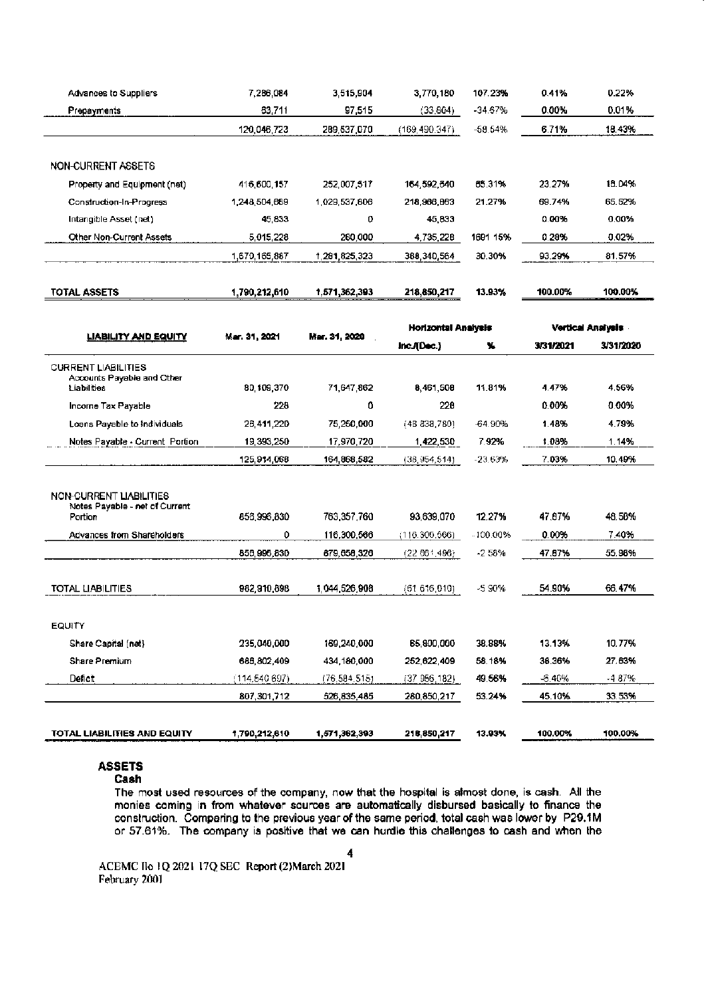| Advances to Suppliers                                     | 7,286,084     | 3,515,904      | 3,770,180           | 107.23%     | 0.41%     | 0.22%             |
|-----------------------------------------------------------|---------------|----------------|---------------------|-------------|-----------|-------------------|
| Prepayments                                               | 63,711        | 97,515         | (33, 804)           | -34.67%     | 0.00%     | 0.01%             |
|                                                           | 120,046,723   | 289,537,070    | (169, 490, 347)     | $-58.54%$   | 6.71%     | 18.43%            |
| NON-CURRENT ASSETS                                        |               |                |                     |             |           |                   |
| Property and Equipment (net)                              | 416,600,157   | 252,007,517    | 164,592,640         | 65.31%      | 23.27%    | 18.04%            |
| Construction-In-Progress                                  | 1,248,504,669 | 1,029,537,806  | 218,966,863         | 21.27%      | 69.74%    | 65.52%            |
| Intangible Asset (net)                                    | 45 833        | 0              | 45,833              |             | 0.00%     | 0.00%             |
| Other Non-Current Assets                                  | 5,015,228     | 280,000        | 4,735,228           | 1691 15%    | 0.28%     | 0.02%             |
|                                                           | 1,670,165,887 | 1,281,825,323  | 388,340,564         | 30.30%      | 93.29%    | 81.57%            |
| TOTAL ASSETS                                              | 1,790,212,610 | 1,571,362,393  | 218,850,217         | 13.93%      | 100.00%   | 100.00%           |
|                                                           |               |                | Horizontal Analysis |             |           | Vertical Analysis |
| <b>LIABILITY AND EQUITY</b>                               | Mar. 31, 2021 | Mar. 31, 2020  | Inc.ADec.)          | У.          | 3/31/2021 | 3/31/2020         |
| <b>CURRENT LIABILITIES</b>                                |               |                |                     |             |           |                   |
| Accounts Payable and Other<br>Liabilities                 | 80,109,370    | 71,647,862     | 8,461,508           | 11.81%      | 4.47%     | 4.56%             |
| Income Tax Payable                                        | 228           | 0              | 220                 |             | 0.00%     | 0.00%             |
| Loans Payable to individuals                              | 26,411,220    | 75,250,000     | (48, 838, 780)      | -64.90%     | 1.48%     | 4.79%             |
| Notes Payable - Current Portion                           | 19, 393, 250  | 17,970,720     | 1,422,530           | 7.92%       | 1.08%     | 1.14%             |
|                                                           | 125,914,066   | 164,868,582    | (38, 954, 514)      | -23.63%     | 7.03%     | 10.49%            |
| NON-CURRENT LIABILITIES<br>Notes Payable - net of Current |               |                |                     |             |           |                   |
| Portion                                                   | 856,996,830   | 763,357,760    | 93,639,070          | 12.27%      | 47.87%    | 48.58%            |
| Advances from Shareholders                                | 0             | 116,300,566    | (116.300.566)       | $-100.00\%$ | 0.00%     | 7.40%             |
|                                                           | 856.996.830   | 879,658,326    | $(22.66 \pm 496)$   | -2.58%      | 47.87%    | 55.98%            |
| <b>TOTAL LIABILITIES</b>                                  | 982,910,898   | 1.044.526.908  | (61616,010)         | -5.90%      | 54.90%    | 66.47%            |
| EQUITY                                                    |               |                |                     |             |           |                   |
| Share Capital (net)                                       | 235,040,000   | 169,240,000    | 65,800,000          | 38.88%      | 13.13%    | 10.77%            |
| Share Premium                                             | 686,802,409   | 434,180,000    | 252,622,409         | 58.18%      | 38.36%    | 27.63%            |
| Deficit                                                   | (114,540.697) | (76, 584, 515) | (37.956, 182)       | 49.56%      | $-6.40%$  | -487%             |
|                                                           | 807,301,712   | 526,835,485    | 280,850,217         | 53.24%      | 45.10%    | 33.53%            |
| TOTAL LIABILITIES AND EQUITY                              | 1,790,212,610 | 1,571,362,393  | 218,850,217         | 13.93%      | 100.00%   | 100.00%           |

# **ASSETS**

Cash

The most used resources of the company, now that the hospital is almost done, is cash. All the monies coming in from whatever sources are automatically disbursed basically to finance the construction. Comparing to the previous year of the same period, total cash was lower by P29.1M<br>or 57.61%. The comparing to the previous year of the same period, total cash was lower by P29.1M

ACEMC IIo 1Q 2021 17Q SEC Report (2)March 2021 February 2001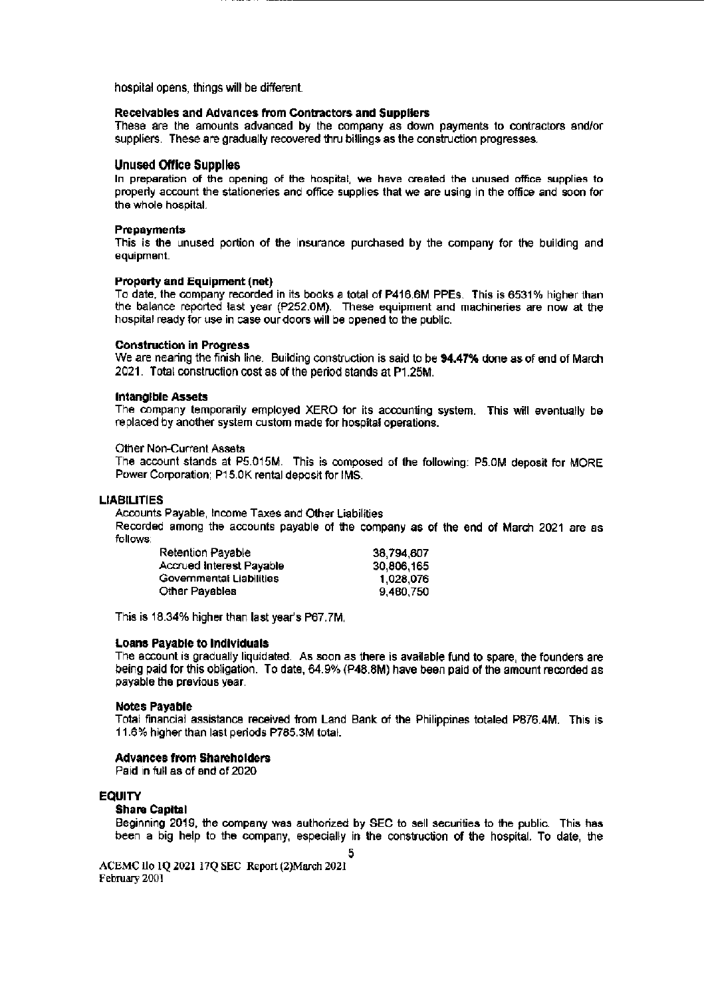hospital opens, things will be different.

#### Receivables and Advances from Contractors and Suppliers

These are the amounts advanced by the company as down payments to contractors and/or suppliers. These are gradually recovered thru billings as the construction progresses.

#### **Unused Office Supplies**

In preparation of the opening of the hospital, we have created the unused office supplies to properly account the stationeries and office supplies that we are using in the office and soon for the whole hospital.

#### **Prepayments**

This is the unused portion of the insurance purchased by the company for the building and equipment.

#### **Property and Equipment (net)**

To date, the company recorded in its books a total of P416.6M PPEs. This is 6531% higher than the balance reported last year (P252.0M). These equipment and machineries are now at the hospital ready for use in case our doors will be opened to the public.

#### **Construction in Progress**

We are nearing the finish line. Building construction is said to be 94.47% done as of end of March 2021. Total construction cost as of the period stands at P1.25M.

#### **Intangible Assets**

The company temporarily employed XERO for its accounting system. This will eventually be replaced by another system custom made for hospital operations.

Other Non-Current Assets

The account stands at P5.015M. This is composed of the following: P5.0M deposit for MORE Power Corporation; P15.0K rental deposit for IMS.

#### **LIABILITIES**

Accounts Payable, Income Taxes and Other Liabilities

Recorded among the accounts payable of the company as of the end of March 2021 are as follows:

| Retention Payable        | 38,794,607 |
|--------------------------|------------|
| Accrued Interest Payable | 30.806,165 |
| Governmental Liabilities | 1.028.076  |
| Other Payables           | 9,460,750  |

This is 18.34% higher than last year's P67.7M.

#### **Loans Payable to Individuals**

The account is gradually liquidated. As soon as there is available fund to spare, the founders are being paid for this obligation. To date, 64.9% (P48.8M) have been paid of the amount recorded as payable the previous year.

#### **Notes Pavable**

Total financial assistance received from Land Bank of the Philippines totaled P876.4M. This is 11.6% higher than last periods P785.3M total.

#### **Advances from Shareholders**

Paid in full as of end of 2020

#### **EQUITY**

#### **Share Capital**

Beginning 2019, the company was authorized by SEC to sell securities to the public. This has been a big help to the company, especially in the construction of the hospital. To date, the

ACEMC Ilo 1Q 2021 17Q SEC Report (2)March 2021 February 2001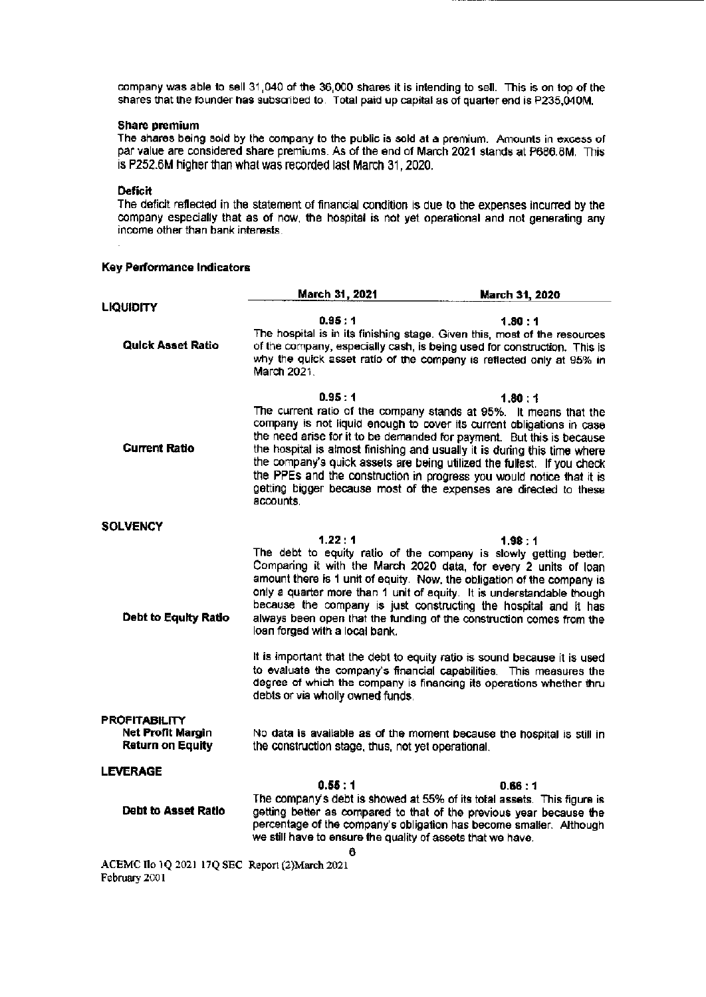company was able to sell 31,040 of the 36,000 shares it is intending to sell. This is on top of the shares that the founder has subscribed to. Total paid up capital as of quarter end is P235,040M.

#### Share premium

The shares being sold by the company to the public is sold at a premium. Amounts in excess of par value are considered share premiums. As of the end of March 2021 stands at P686.8M. This is P252.6M higher than what was recorded last March 31, 2020.

#### Deficit

The deficit reflected in the statement of financial condition is due to the expenses incurred by the company especially that as of now, the hospital is not yet operational and not generating any income other than bank interests.

Key Performance Indicators

|                                                                             | March 31, 2021                                                        | March 31, 2020                                                                                                                                                                                                                                                                                                                                                                                                                                                                                                                                                                                       |
|-----------------------------------------------------------------------------|-----------------------------------------------------------------------|------------------------------------------------------------------------------------------------------------------------------------------------------------------------------------------------------------------------------------------------------------------------------------------------------------------------------------------------------------------------------------------------------------------------------------------------------------------------------------------------------------------------------------------------------------------------------------------------------|
| <b>LIQUIDITY</b>                                                            |                                                                       |                                                                                                                                                                                                                                                                                                                                                                                                                                                                                                                                                                                                      |
| <b>Quick Asset Ratio</b>                                                    | 0.95:1<br><b>March 2021.</b>                                          | 1.80 : 1<br>The hospital is in its finishing stage. Given this, most of the resources<br>of the company, especially cash, is being used for construction. This is<br>why the quick asset ratio of the company is reflected only at 95% in                                                                                                                                                                                                                                                                                                                                                            |
| <b>Current Ratio</b>                                                        | 0.95:1<br>accounts.                                                   | 1.80:1<br>The current ratio of the company stands at 95%. It means that the<br>company is not liquid enough to cover its current obligations in case<br>the need arise for it to be demanded for payment. But this is because<br>the hospital is almost finishing and usually it is during this time where<br>the company's quick assets are being utilized the fullest. If you check<br>the PPEs and the construction in progress you would notice that it is<br>getting bigger because most of the expenses are directed to these                                                                  |
| <b>SOLVENCY</b>                                                             |                                                                       |                                                                                                                                                                                                                                                                                                                                                                                                                                                                                                                                                                                                      |
| Debt to Equity Ratio                                                        | 1.22:1<br>loan forged with a local bank.                              | 1.98:1<br>The debt to equity ratio of the company is slowly getting better.<br>Comparing it with the March 2020 data, for every 2 units of loan<br>amount there is 1 unit of equity. Now, the obligation of the company is<br>only a quarter more than 1 unit of equity. It is understandable though<br>because the company is just constructing the hospital and it has<br>always been open that the funding of the construction comes from the<br>It is important that the debt to equity ratio is sound because it is used<br>to evaluate the company's financial capabilities. This measures the |
|                                                                             | debts or via wholly owned funds.                                      | degree of which the company is financing its operations whether thru                                                                                                                                                                                                                                                                                                                                                                                                                                                                                                                                 |
| <b>PROFITABILITY</b><br><b>Net Profit Margin</b><br><b>Return on Equity</b> | the construction stage, thus, not yet operational.                    | No data is available as of the moment because the hospital is still in                                                                                                                                                                                                                                                                                                                                                                                                                                                                                                                               |
| LEVERAGE                                                                    |                                                                       |                                                                                                                                                                                                                                                                                                                                                                                                                                                                                                                                                                                                      |
| Debt to Asset Ratio                                                         | 0.55:1<br>we still have to ensure the quality of assets that we have. | 0.66:1<br>The company's debt is showed at 55% of its total assets. This figure is<br>getting better as compared to that of the previous year because the<br>percentage of the company's obligation has become smaller. Although                                                                                                                                                                                                                                                                                                                                                                      |
| ACEMC Ilo 1Q 2021 17Q SEC Report (2)March 2021                              | 6                                                                     |                                                                                                                                                                                                                                                                                                                                                                                                                                                                                                                                                                                                      |

February 2001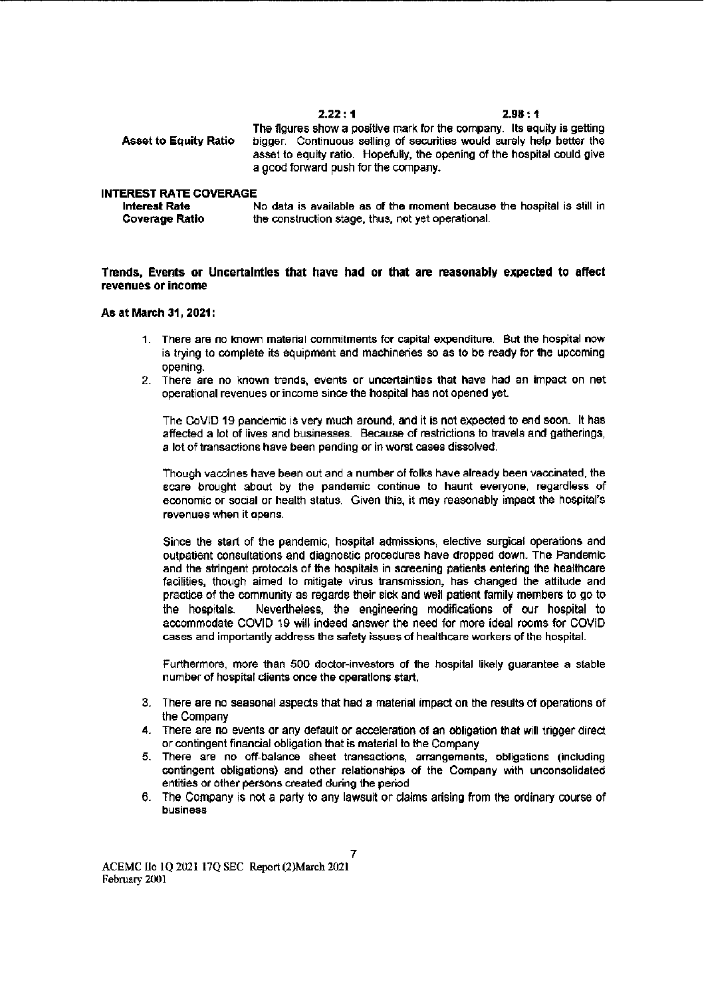$2.22:1$ 

#### $2.98:1$

|                       | <i>L.LL</i> : 1                                                          | 2.98 ° T |
|-----------------------|--------------------------------------------------------------------------|----------|
|                       | The figures show a positive mark for the company. Its equity is getting  |          |
| Asset to Equity Ratio | bigger. Continuous selling of securities would surely help better the    |          |
|                       | asset to equity ratio. Hopefully, the opening of the hospital could give |          |
|                       | a good forward push for the company.                                     |          |
|                       |                                                                          |          |

#### **INTEREST RATE COVERAGE**

| Interest Rate  | No data is available as of the moment because the hospital is still in |
|----------------|------------------------------------------------------------------------|
| Coverage Ratio | the construction stage, thus, not yet operational.                     |

#### Trends, Events or Uncertainties that have had or that are reasonably expected to affect revenues or income

#### As at March 31, 2021:

- 1. There are no known material commitments for capital expenditure. But the hospital now is trying to complete its equipment and machineries so as to be ready for the upcoming opening.
- 2. There are no known trends, events or uncertainties that have had an impact on net operational revenues or income since the hospital has not opened yet.

The CoVID 19 pandemic is very much around, and it is not expected to end soon. It has affected a lot of lives and businesses. Because of restrictions to travels and gatherings. a lot of transactions have been pending or in worst cases dissolved.

Though vaccines have been out and a number of folks have already been vaccinated, the scare brought about by the pandemic continue to haunt everyone, regardless of economic or social or health status. Given this, it may reasonably impact the hospital's revenues when it opens.

Since the start of the pandemic, hospital admissions, elective surgical operations and outpatient consultations and diagnostic procedures have dropped down. The Pandemic and the stringent protocols of the hospitals in screening patients entering the healthcare facilities, though aimed to mitigate virus transmission, has changed the attitude and practice of the community as regards their sick and well patient family members to go to the hospitals. Nevertheless, the engineering modifications of our hospital to accommodate COVID 19 will indeed answer the need for more ideal rooms for COVID cases and importantly address the safety issues of healthcare workers of the hospital.

Furthermore, more than 500 doctor-investors of the hospital likely guarantee a stable number of hospital clients once the operations start,

- 3. There are no seasonal aspects that had a material impact on the results of operations of the Company
- 4. There are no events or any default or acceleration of an obligation that will trigger direct or contingent financial obligation that is material to the Company
- 5. There are no off-balance sheet transactions, arrangements, obligations (including contingent obligations) and other relationships of the Company with unconsolidated entities or other persons created during the period
- 6. The Company is not a party to any lawsuit or claims arising from the ordinary course of business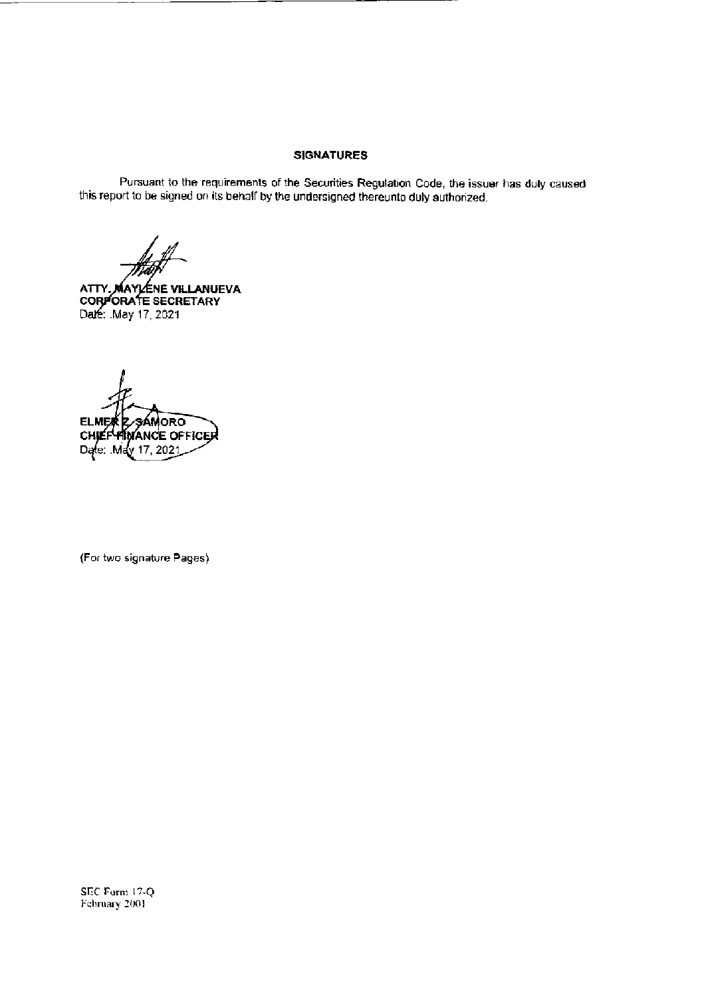#### **SIGNATURES**

Pursuant to the requirements of the Securities Regulation Code, the issuer has duly caused this report to be signed on its behalf by the undersigned thereunto duly authorized.

ATTY, MAYLENE VILLANUEVA<br>CORPORATE SECRETARY<br>Dafe: .May 17, 2021

**ELMI** oro CHI NCE OFFICER Date: 200

(For two signature Pages)

SEC Form 17-Q<br>February 2001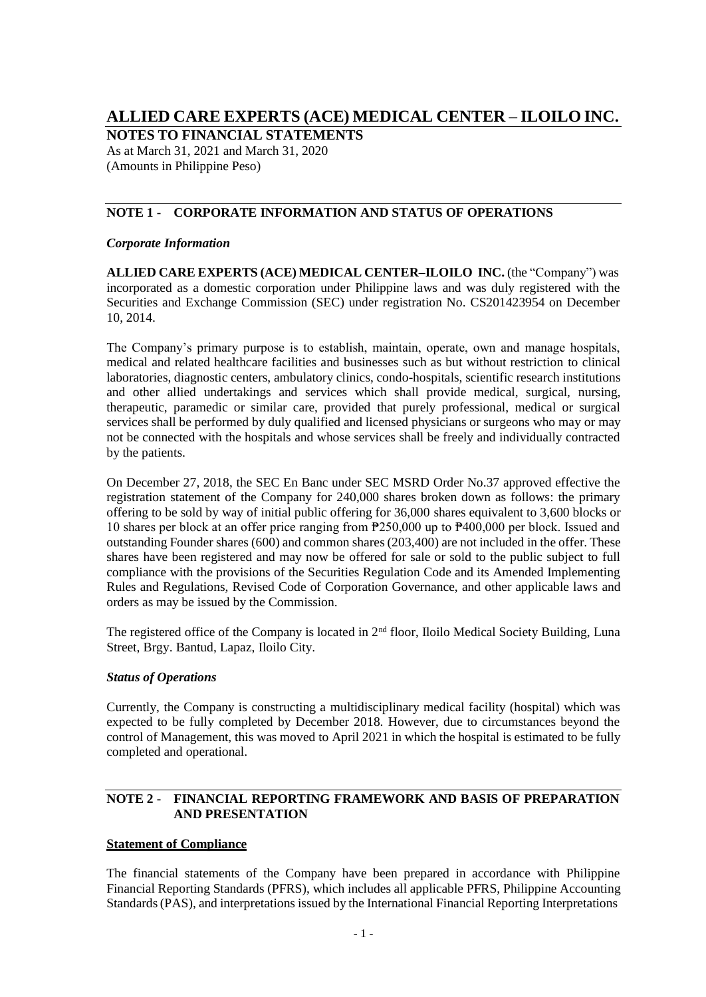# **ALLIED CARE EXPERTS (ACE) MEDICAL CENTER – ILOILO INC.**

**NOTES TO FINANCIAL STATEMENTS**

As at March 31, 2021 and March 31, 2020 (Amounts in Philippine Peso)

# **NOTE 1 - CORPORATE INFORMATION AND STATUS OF OPERATIONS**

### *Corporate Information*

**ALLIED CARE EXPERTS (ACE) MEDICAL CENTER–ILOILO INC.** (the "Company") was incorporated as a domestic corporation under Philippine laws and was duly registered with the Securities and Exchange Commission (SEC) under registration No. CS201423954 on December 10, 2014.

The Company's primary purpose is to establish, maintain, operate, own and manage hospitals, medical and related healthcare facilities and businesses such as but without restriction to clinical laboratories, diagnostic centers, ambulatory clinics, condo-hospitals, scientific research institutions and other allied undertakings and services which shall provide medical, surgical, nursing, therapeutic, paramedic or similar care, provided that purely professional, medical or surgical services shall be performed by duly qualified and licensed physicians or surgeons who may or may not be connected with the hospitals and whose services shall be freely and individually contracted by the patients.

On December 27, 2018, the SEC En Banc under SEC MSRD Order No.37 approved effective the registration statement of the Company for 240,000 shares broken down as follows: the primary offering to be sold by way of initial public offering for 36,000 shares equivalent to 3,600 blocks or 10 shares per block at an offer price ranging from ₱250,000 up to ₱400,000 per block. Issued and outstanding Founder shares (600) and common shares(203,400) are not included in the offer. These shares have been registered and may now be offered for sale or sold to the public subject to full compliance with the provisions of the Securities Regulation Code and its Amended Implementing Rules and Regulations, Revised Code of Corporation Governance, and other applicable laws and orders as may be issued by the Commission.

The registered office of the Company is located in 2<sup>nd</sup> floor, Iloilo Medical Society Building, Luna Street, Brgy. Bantud, Lapaz, Iloilo City.

# *Status of Operations*

Currently, the Company is constructing a multidisciplinary medical facility (hospital) which was expected to be fully completed by December 2018. However, due to circumstances beyond the control of Management, this was moved to April 2021 in which the hospital is estimated to be fully completed and operational.

# **NOTE 2 - FINANCIAL REPORTING FRAMEWORK AND BASIS OF PREPARATION AND PRESENTATION**

# **Statement of Compliance**

The financial statements of the Company have been prepared in accordance with Philippine Financial Reporting Standards (PFRS), which includes all applicable PFRS, Philippine Accounting Standards(PAS), and interpretations issued by the International Financial Reporting Interpretations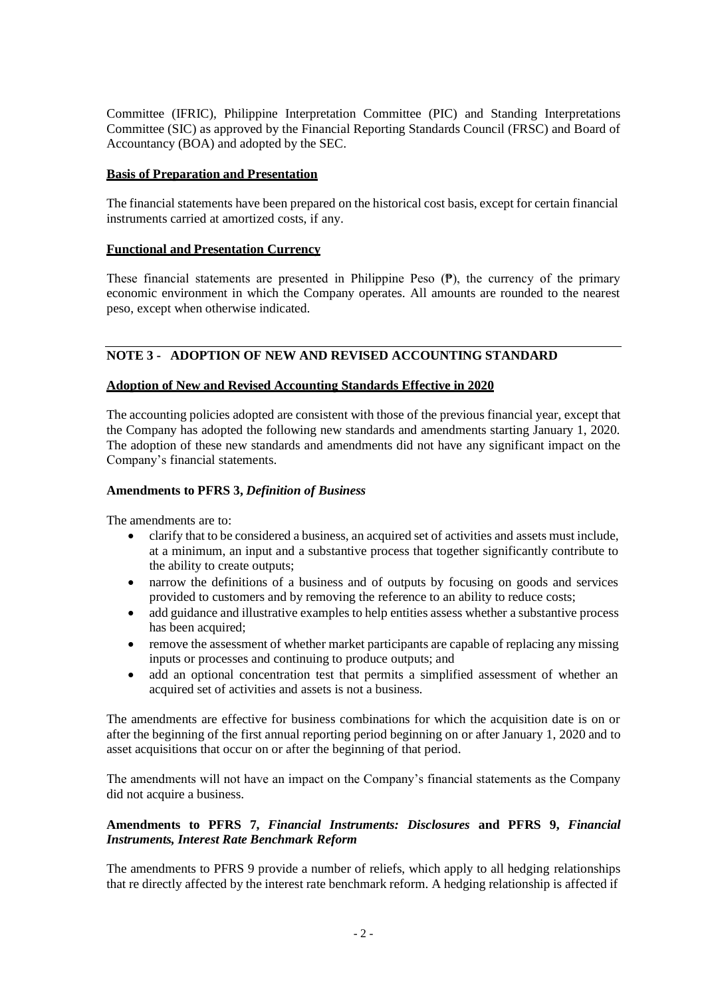Committee (IFRIC), Philippine Interpretation Committee (PIC) and Standing Interpretations Committee (SIC) as approved by the Financial Reporting Standards Council (FRSC) and Board of Accountancy (BOA) and adopted by the SEC.

### **Basis of Preparation and Presentation**

The financial statements have been prepared on the historical cost basis, except for certain financial instruments carried at amortized costs, if any.

### **Functional and Presentation Currency**

These financial statements are presented in Philippine Peso (₱), the currency of the primary economic environment in which the Company operates. All amounts are rounded to the nearest peso, except when otherwise indicated.

# **NOTE 3 - ADOPTION OF NEW AND REVISED ACCOUNTING STANDARD**

### **Adoption of New and Revised Accounting Standards Effective in 2020**

The accounting policies adopted are consistent with those of the previous financial year, except that the Company has adopted the following new standards and amendments starting January 1, 2020. The adoption of these new standards and amendments did not have any significant impact on the Company's financial statements.

### **Amendments to PFRS 3,** *Definition of Business*

The amendments are to:

- clarify that to be considered a business, an acquired set of activities and assets must include, at a minimum, an input and a substantive process that together significantly contribute to the ability to create outputs;
- narrow the definitions of a business and of outputs by focusing on goods and services provided to customers and by removing the reference to an ability to reduce costs;
- add guidance and illustrative examples to help entities assess whether a substantive process has been acquired;
- remove the assessment of whether market participants are capable of replacing any missing inputs or processes and continuing to produce outputs; and
- add an optional concentration test that permits a simplified assessment of whether an acquired set of activities and assets is not a business.

The amendments are effective for business combinations for which the acquisition date is on or after the beginning of the first annual reporting period beginning on or after January 1, 2020 and to asset acquisitions that occur on or after the beginning of that period.

The amendments will not have an impact on the Company's financial statements as the Company did not acquire a business.

### **Amendments to PFRS 7,** *Financial Instruments: Disclosures* **and PFRS 9,** *Financial Instruments, Interest Rate Benchmark Reform*

The amendments to PFRS 9 provide a number of reliefs, which apply to all hedging relationships that re directly affected by the interest rate benchmark reform. A hedging relationship is affected if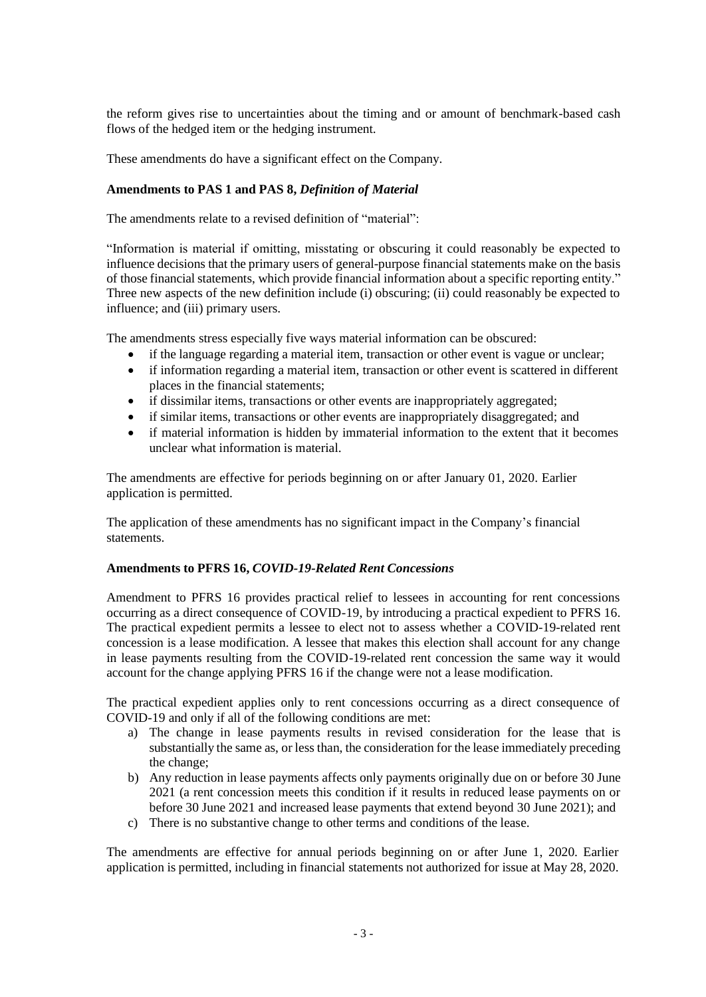the reform gives rise to uncertainties about the timing and or amount of benchmark-based cash flows of the hedged item or the hedging instrument.

These amendments do have a significant effect on the Company.

# **Amendments to PAS 1 and PAS 8,** *Definition of Material*

The amendments relate to a revised definition of "material":

"Information is material if omitting, misstating or obscuring it could reasonably be expected to influence decisions that the primary users of general-purpose financial statements make on the basis of those financial statements, which provide financial information about a specific reporting entity." Three new aspects of the new definition include (i) obscuring; (ii) could reasonably be expected to influence; and (iii) primary users.

The amendments stress especially five ways material information can be obscured:

- if the language regarding a material item, transaction or other event is vague or unclear;
- if information regarding a material item, transaction or other event is scattered in different places in the financial statements;
- if dissimilar items, transactions or other events are inappropriately aggregated;
- if similar items, transactions or other events are inappropriately disaggregated; and
- if material information is hidden by immaterial information to the extent that it becomes unclear what information is material.

The amendments are effective for periods beginning on or after January 01, 2020. Earlier application is permitted.

The application of these amendments has no significant impact in the Company's financial statements.

### **Amendments to PFRS 16,** *COVID-19-Related Rent Concessions*

Amendment to PFRS 16 provides practical relief to lessees in accounting for rent concessions occurring as a direct consequence of COVID-19, by introducing a practical expedient to PFRS 16. The practical expedient permits a lessee to elect not to assess whether a COVID-19-related rent concession is a lease modification. A lessee that makes this election shall account for any change in lease payments resulting from the COVID-19-related rent concession the same way it would account for the change applying PFRS 16 if the change were not a lease modification.

The practical expedient applies only to rent concessions occurring as a direct consequence of COVID-19 and only if all of the following conditions are met:

- a) The change in lease payments results in revised consideration for the lease that is substantially the same as, or lessthan, the consideration for the lease immediately preceding the change;
- b) Any reduction in lease payments affects only payments originally due on or before 30 June 2021 (a rent concession meets this condition if it results in reduced lease payments on or before 30 June 2021 and increased lease payments that extend beyond 30 June 2021); and
- c) There is no substantive change to other terms and conditions of the lease.

The amendments are effective for annual periods beginning on or after June 1, 2020. Earlier application is permitted, including in financial statements not authorized for issue at May 28, 2020.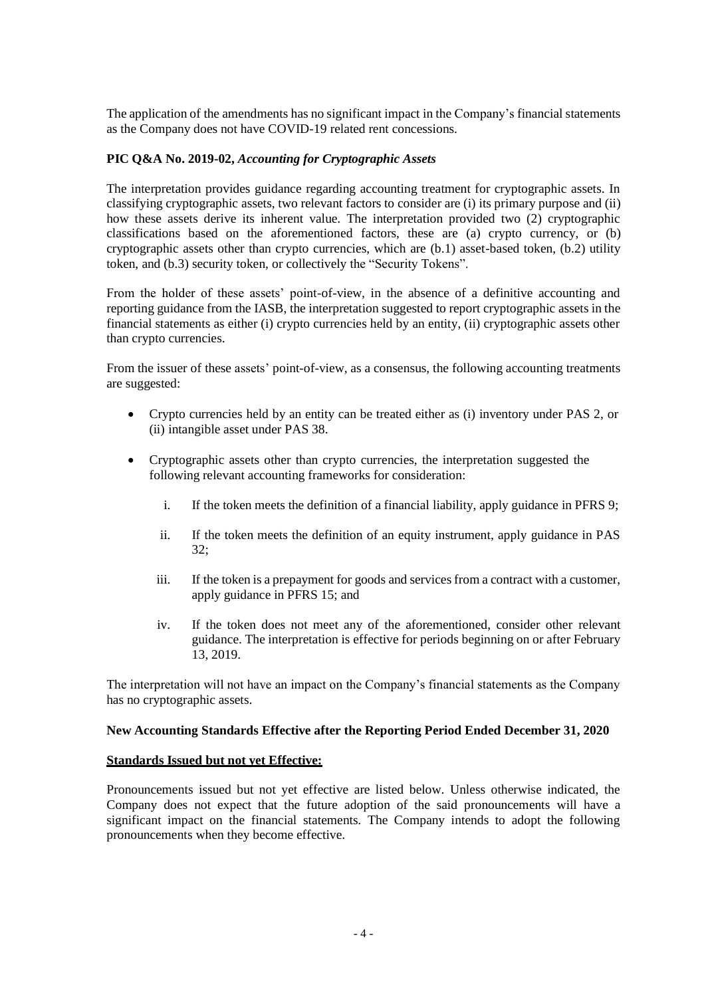The application of the amendments has no significant impact in the Company's financial statements as the Company does not have COVID-19 related rent concessions.

### **PIC Q&A No. 2019-02,** *Accounting for Cryptographic Assets*

The interpretation provides guidance regarding accounting treatment for cryptographic assets. In classifying cryptographic assets, two relevant factors to consider are (i) its primary purpose and (ii) how these assets derive its inherent value. The interpretation provided two (2) cryptographic classifications based on the aforementioned factors, these are (a) crypto currency, or (b) cryptographic assets other than crypto currencies, which are (b.1) asset-based token, (b.2) utility token, and (b.3) security token, or collectively the "Security Tokens".

From the holder of these assets' point-of-view, in the absence of a definitive accounting and reporting guidance from the IASB, the interpretation suggested to report cryptographic assets in the financial statements as either (i) crypto currencies held by an entity, (ii) cryptographic assets other than crypto currencies.

From the issuer of these assets' point-of-view, as a consensus, the following accounting treatments are suggested:

- Crypto currencies held by an entity can be treated either as (i) inventory under PAS 2, or (ii) intangible asset under PAS 38.
- Cryptographic assets other than crypto currencies, the interpretation suggested the following relevant accounting frameworks for consideration:
	- i. If the token meets the definition of a financial liability, apply guidance in PFRS 9;
	- ii. If the token meets the definition of an equity instrument, apply guidance in PAS 32;
	- iii. If the token is a prepayment for goods and services from a contract with a customer, apply guidance in PFRS 15; and
	- iv. If the token does not meet any of the aforementioned, consider other relevant guidance. The interpretation is effective for periods beginning on or after February 13, 2019.

The interpretation will not have an impact on the Company's financial statements as the Company has no cryptographic assets.

### **New Accounting Standards Effective after the Reporting Period Ended December 31, 2020**

### **Standards Issued but not yet Effective:**

Pronouncements issued but not yet effective are listed below. Unless otherwise indicated, the Company does not expect that the future adoption of the said pronouncements will have a significant impact on the financial statements. The Company intends to adopt the following pronouncements when they become effective.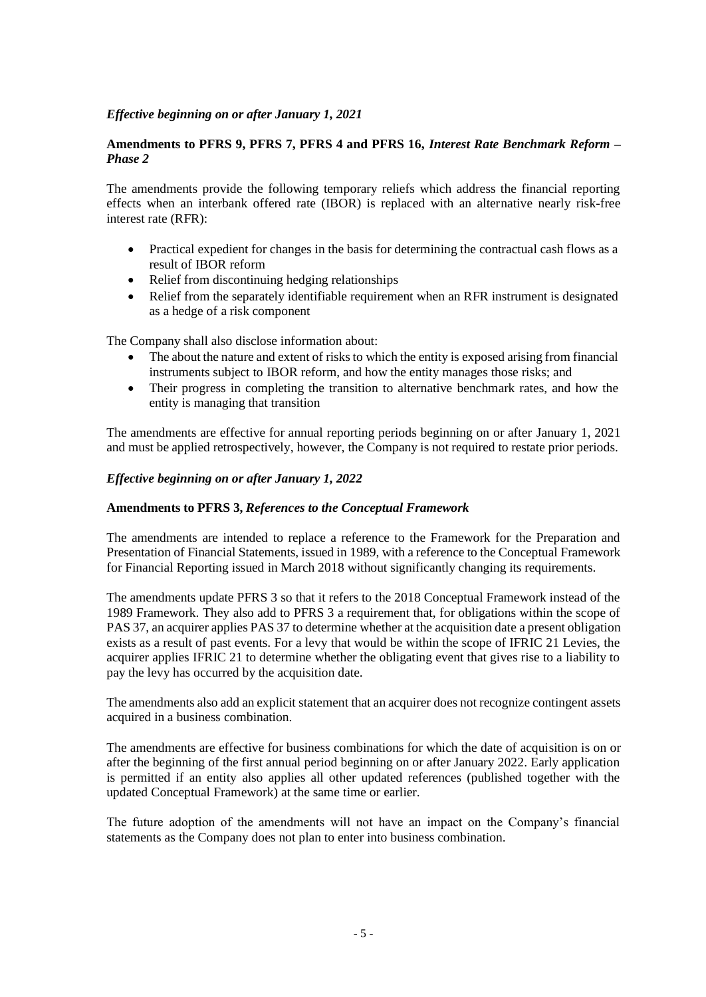### *Effective beginning on or after January 1, 2021*

### **Amendments to PFRS 9, PFRS 7, PFRS 4 and PFRS 16,** *Interest Rate Benchmark Reform – Phase 2*

The amendments provide the following temporary reliefs which address the financial reporting effects when an interbank offered rate (IBOR) is replaced with an alternative nearly risk-free interest rate (RFR):

- Practical expedient for changes in the basis for determining the contractual cash flows as a result of IBOR reform
- Relief from discontinuing hedging relationships
- Relief from the separately identifiable requirement when an RFR instrument is designated as a hedge of a risk component

The Company shall also disclose information about:

- The about the nature and extent of risks to which the entity is exposed arising from financial instruments subject to IBOR reform, and how the entity manages those risks; and
- Their progress in completing the transition to alternative benchmark rates, and how the entity is managing that transition

The amendments are effective for annual reporting periods beginning on or after January 1, 2021 and must be applied retrospectively, however, the Company is not required to restate prior periods.

### *Effective beginning on or after January 1, 2022*

### **Amendments to PFRS 3,** *References to the Conceptual Framework*

The amendments are intended to replace a reference to the Framework for the Preparation and Presentation of Financial Statements, issued in 1989, with a reference to the Conceptual Framework for Financial Reporting issued in March 2018 without significantly changing its requirements.

The amendments update PFRS 3 so that it refers to the 2018 Conceptual Framework instead of the 1989 Framework. They also add to PFRS 3 a requirement that, for obligations within the scope of PAS 37, an acquirer applies PAS 37 to determine whether at the acquisition date a present obligation exists as a result of past events. For a levy that would be within the scope of IFRIC 21 Levies, the acquirer applies IFRIC 21 to determine whether the obligating event that gives rise to a liability to pay the levy has occurred by the acquisition date.

The amendments also add an explicit statement that an acquirer does not recognize contingent assets acquired in a business combination.

The amendments are effective for business combinations for which the date of acquisition is on or after the beginning of the first annual period beginning on or after January 2022. Early application is permitted if an entity also applies all other updated references (published together with the updated Conceptual Framework) at the same time or earlier.

The future adoption of the amendments will not have an impact on the Company's financial statements as the Company does not plan to enter into business combination.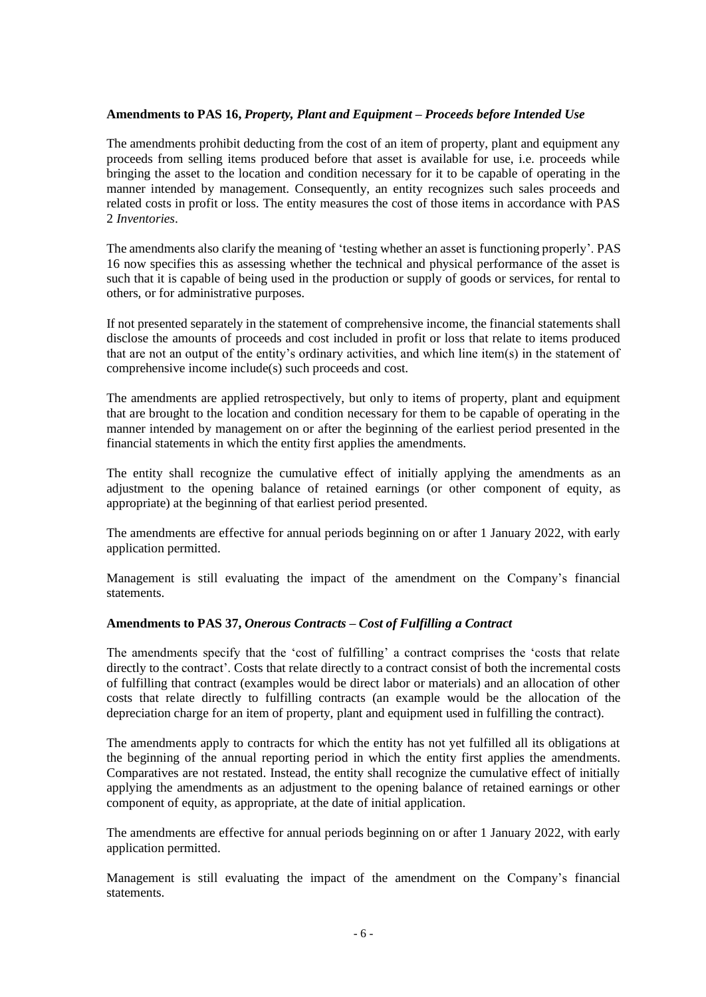### **Amendments to PAS 16,** *Property, Plant and Equipment – Proceeds before Intended Use*

The amendments prohibit deducting from the cost of an item of property, plant and equipment any proceeds from selling items produced before that asset is available for use, i.e. proceeds while bringing the asset to the location and condition necessary for it to be capable of operating in the manner intended by management. Consequently, an entity recognizes such sales proceeds and related costs in profit or loss. The entity measures the cost of those items in accordance with PAS 2 *Inventories*.

The amendments also clarify the meaning of 'testing whether an asset is functioning properly'. PAS 16 now specifies this as assessing whether the technical and physical performance of the asset is such that it is capable of being used in the production or supply of goods or services, for rental to others, or for administrative purposes.

If not presented separately in the statement of comprehensive income, the financial statements shall disclose the amounts of proceeds and cost included in profit or loss that relate to items produced that are not an output of the entity's ordinary activities, and which line item(s) in the statement of comprehensive income include(s) such proceeds and cost.

The amendments are applied retrospectively, but only to items of property, plant and equipment that are brought to the location and condition necessary for them to be capable of operating in the manner intended by management on or after the beginning of the earliest period presented in the financial statements in which the entity first applies the amendments.

The entity shall recognize the cumulative effect of initially applying the amendments as an adjustment to the opening balance of retained earnings (or other component of equity, as appropriate) at the beginning of that earliest period presented.

The amendments are effective for annual periods beginning on or after 1 January 2022, with early application permitted.

Management is still evaluating the impact of the amendment on the Company's financial statements.

### **Amendments to PAS 37,** *Onerous Contracts – Cost of Fulfilling a Contract*

The amendments specify that the 'cost of fulfilling' a contract comprises the 'costs that relate directly to the contract'. Costs that relate directly to a contract consist of both the incremental costs of fulfilling that contract (examples would be direct labor or materials) and an allocation of other costs that relate directly to fulfilling contracts (an example would be the allocation of the depreciation charge for an item of property, plant and equipment used in fulfilling the contract).

The amendments apply to contracts for which the entity has not yet fulfilled all its obligations at the beginning of the annual reporting period in which the entity first applies the amendments. Comparatives are not restated. Instead, the entity shall recognize the cumulative effect of initially applying the amendments as an adjustment to the opening balance of retained earnings or other component of equity, as appropriate, at the date of initial application.

The amendments are effective for annual periods beginning on or after 1 January 2022, with early application permitted.

Management is still evaluating the impact of the amendment on the Company's financial statements.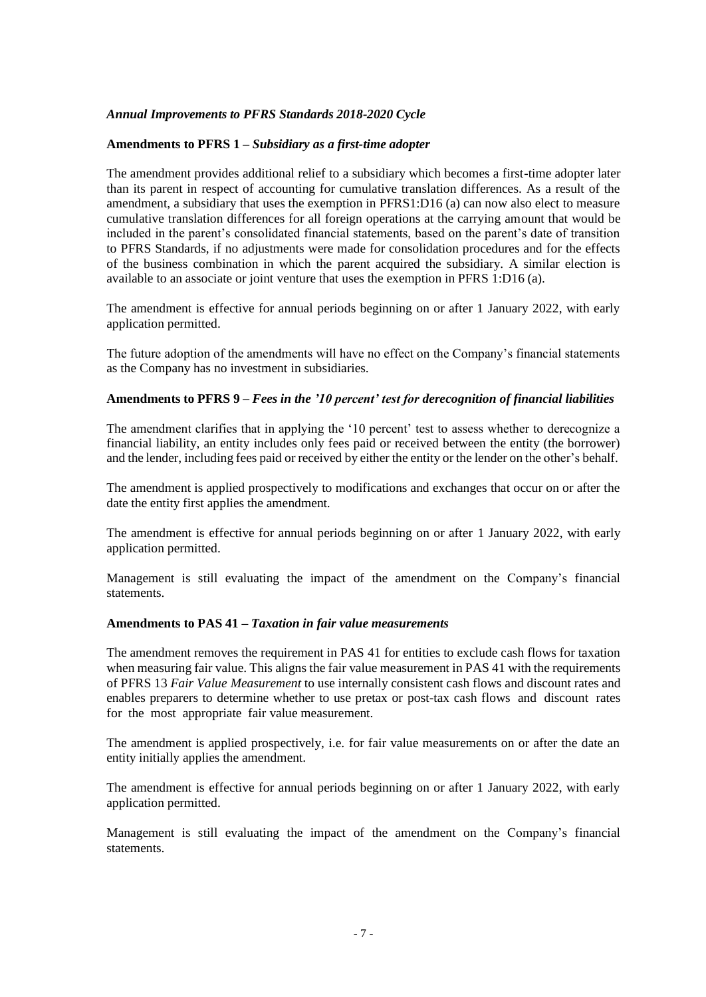### *Annual Improvements to PFRS Standards 2018-2020 Cycle*

### **Amendments to PFRS 1 –** *Subsidiary as a first-time adopter*

The amendment provides additional relief to a subsidiary which becomes a first-time adopter later than its parent in respect of accounting for cumulative translation differences. As a result of the amendment, a subsidiary that uses the exemption in PFRS1:D16 (a) can now also elect to measure cumulative translation differences for all foreign operations at the carrying amount that would be included in the parent's consolidated financial statements, based on the parent's date of transition to PFRS Standards, if no adjustments were made for consolidation procedures and for the effects of the business combination in which the parent acquired the subsidiary. A similar election is available to an associate or joint venture that uses the exemption in PFRS 1:D16 (a).

The amendment is effective for annual periods beginning on or after 1 January 2022, with early application permitted.

The future adoption of the amendments will have no effect on the Company's financial statements as the Company has no investment in subsidiaries.

### **Amendments to PFRS 9 –** *Fees in the '10 percent' test for derecognition of financial liabilities*

The amendment clarifies that in applying the '10 percent' test to assess whether to derecognize a financial liability, an entity includes only fees paid or received between the entity (the borrower) and the lender, including fees paid or received by either the entity or the lender on the other's behalf.

The amendment is applied prospectively to modifications and exchanges that occur on or after the date the entity first applies the amendment.

The amendment is effective for annual periods beginning on or after 1 January 2022, with early application permitted.

Management is still evaluating the impact of the amendment on the Company's financial statements.

### **Amendments to PAS 41 –** *Taxation in fair value measurements*

The amendment removes the requirement in PAS 41 for entities to exclude cash flows for taxation when measuring fair value. This aligns the fair value measurement in PAS 41 with the requirements of PFRS 13 *Fair Value Measurement* to use internally consistent cash flows and discount rates and enables preparers to determine whether to use pretax or post-tax cash flows and discount rates for the most appropriate fair value measurement.

The amendment is applied prospectively, i.e. for fair value measurements on or after the date an entity initially applies the amendment.

The amendment is effective for annual periods beginning on or after 1 January 2022, with early application permitted.

Management is still evaluating the impact of the amendment on the Company's financial statements.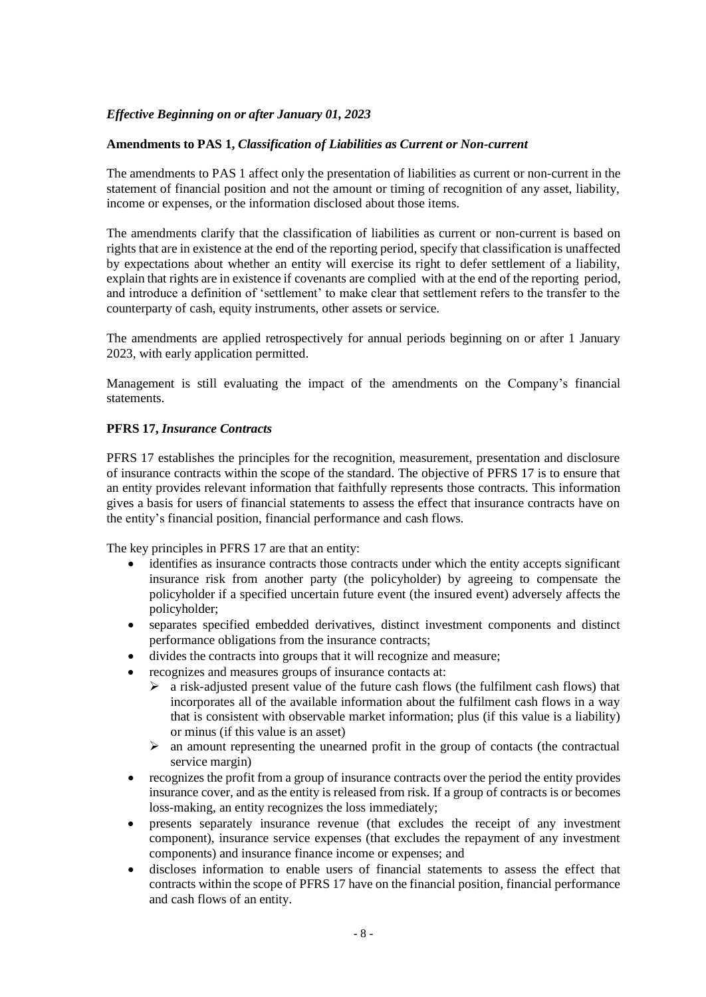# *Effective Beginning on or after January 01, 2023*

### **Amendments to PAS 1,** *Classification of Liabilities as Current or Non-current*

The amendments to PAS 1 affect only the presentation of liabilities as current or non-current in the statement of financial position and not the amount or timing of recognition of any asset, liability, income or expenses, or the information disclosed about those items.

The amendments clarify that the classification of liabilities as current or non-current is based on rights that are in existence at the end of the reporting period, specify that classification is unaffected by expectations about whether an entity will exercise its right to defer settlement of a liability, explain that rights are in existence if covenants are complied with at the end of the reporting period, and introduce a definition of 'settlement' to make clear that settlement refers to the transfer to the counterparty of cash, equity instruments, other assets or service.

The amendments are applied retrospectively for annual periods beginning on or after 1 January 2023, with early application permitted.

Management is still evaluating the impact of the amendments on the Company's financial statements.

### **PFRS 17,** *Insurance Contracts*

PFRS 17 establishes the principles for the recognition, measurement, presentation and disclosure of insurance contracts within the scope of the standard. The objective of PFRS 17 is to ensure that an entity provides relevant information that faithfully represents those contracts. This information gives a basis for users of financial statements to assess the effect that insurance contracts have on the entity's financial position, financial performance and cash flows.

The key principles in PFRS 17 are that an entity:

- identifies as insurance contracts those contracts under which the entity accepts significant insurance risk from another party (the policyholder) by agreeing to compensate the policyholder if a specified uncertain future event (the insured event) adversely affects the policyholder;
- separates specified embedded derivatives, distinct investment components and distinct performance obligations from the insurance contracts;
- divides the contracts into groups that it will recognize and measure;
- recognizes and measures groups of insurance contacts at:
	- $\geq$  a risk-adjusted present value of the future cash flows (the fulfilment cash flows) that incorporates all of the available information about the fulfilment cash flows in a way that is consistent with observable market information; plus (if this value is a liability) or minus (if this value is an asset)
	- $\triangleright$  an amount representing the unearned profit in the group of contacts (the contractual service margin)
- recognizes the profit from a group of insurance contracts over the period the entity provides insurance cover, and as the entity is released from risk. If a group of contracts is or becomes loss-making, an entity recognizes the loss immediately;
- presents separately insurance revenue (that excludes the receipt of any investment component), insurance service expenses (that excludes the repayment of any investment components) and insurance finance income or expenses; and
- discloses information to enable users of financial statements to assess the effect that contracts within the scope of PFRS 17 have on the financial position, financial performance and cash flows of an entity.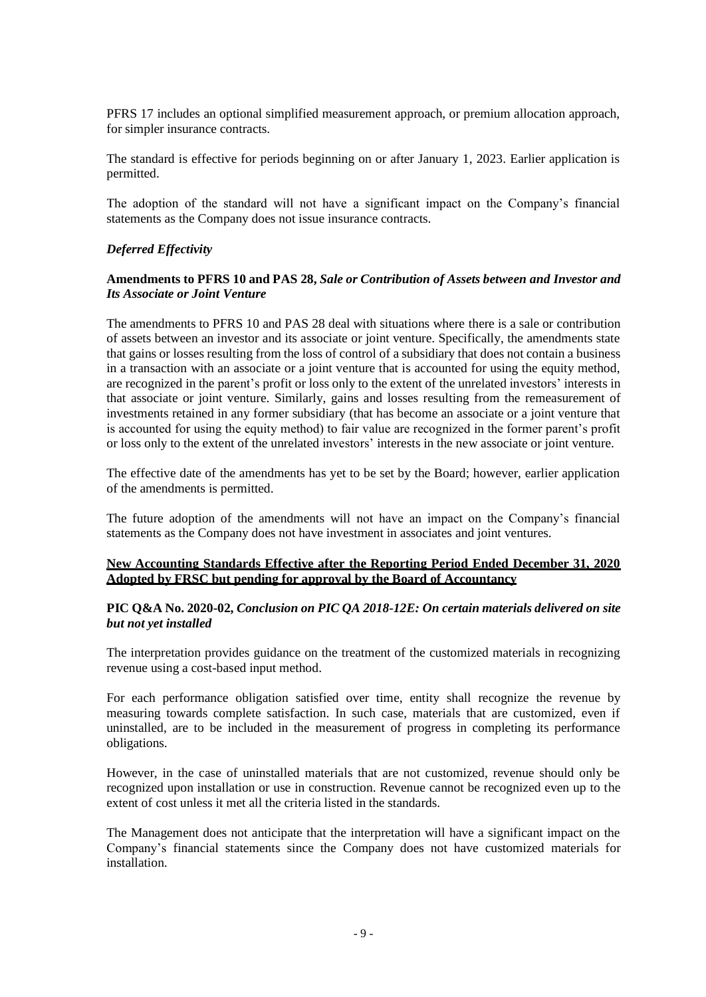PFRS 17 includes an optional simplified measurement approach, or premium allocation approach, for simpler insurance contracts.

The standard is effective for periods beginning on or after January 1, 2023. Earlier application is permitted.

The adoption of the standard will not have a significant impact on the Company's financial statements as the Company does not issue insurance contracts.

### *Deferred Effectivity*

#### **Amendments to PFRS 10 and PAS 28,** *Sale or Contribution of Assets between and Investor and Its Associate or Joint Venture*

The amendments to PFRS 10 and PAS 28 deal with situations where there is a sale or contribution of assets between an investor and its associate or joint venture. Specifically, the amendments state that gains or losses resulting from the loss of control of a subsidiary that does not contain a business in a transaction with an associate or a joint venture that is accounted for using the equity method, are recognized in the parent's profit or loss only to the extent of the unrelated investors' interests in that associate or joint venture. Similarly, gains and losses resulting from the remeasurement of investments retained in any former subsidiary (that has become an associate or a joint venture that is accounted for using the equity method) to fair value are recognized in the former parent's profit or loss only to the extent of the unrelated investors' interests in the new associate or joint venture.

The effective date of the amendments has yet to be set by the Board; however, earlier application of the amendments is permitted.

The future adoption of the amendments will not have an impact on the Company's financial statements as the Company does not have investment in associates and joint ventures.

#### **New Accounting Standards Effective after the Reporting Period Ended December 31, 2020 Adopted by FRSC but pending for approval by the Board of Accountancy**

#### **PIC Q&A No. 2020-02,** *Conclusion on PIC QA 2018-12E: On certain materials delivered on site but not yet installed*

The interpretation provides guidance on the treatment of the customized materials in recognizing revenue using a cost-based input method.

For each performance obligation satisfied over time, entity shall recognize the revenue by measuring towards complete satisfaction. In such case, materials that are customized, even if uninstalled, are to be included in the measurement of progress in completing its performance obligations.

However, in the case of uninstalled materials that are not customized, revenue should only be recognized upon installation or use in construction. Revenue cannot be recognized even up to the extent of cost unless it met all the criteria listed in the standards.

The Management does not anticipate that the interpretation will have a significant impact on the Company's financial statements since the Company does not have customized materials for installation.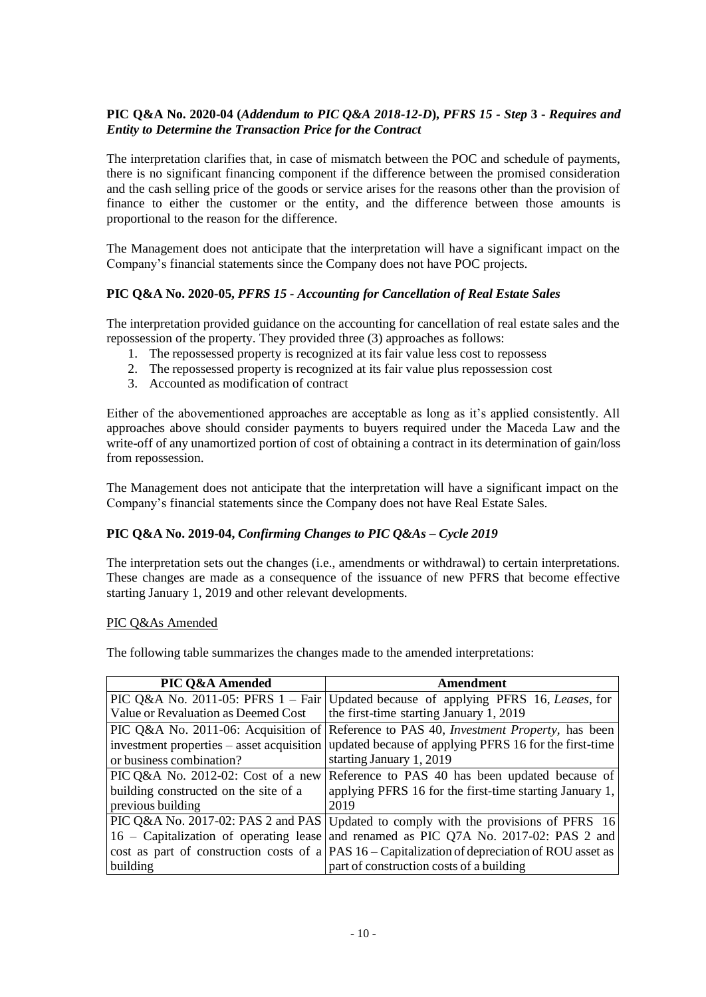### **PIC Q&A No. 2020-04 (***Addendum to PIC Q&A 2018-12-D***),** *PFRS 15 - Step* **3 -** *Requires and Entity to Determine the Transaction Price for the Contract*

The interpretation clarifies that, in case of mismatch between the POC and schedule of payments, there is no significant financing component if the difference between the promised consideration and the cash selling price of the goods or service arises for the reasons other than the provision of finance to either the customer or the entity, and the difference between those amounts is proportional to the reason for the difference.

The Management does not anticipate that the interpretation will have a significant impact on the Company's financial statements since the Company does not have POC projects.

### **PIC Q&A No. 2020-05,** *PFRS 15 - Accounting for Cancellation of Real Estate Sales*

The interpretation provided guidance on the accounting for cancellation of real estate sales and the repossession of the property. They provided three (3) approaches as follows:

- 1. The repossessed property is recognized at its fair value less cost to repossess
- 2. The repossessed property is recognized at its fair value plus repossession cost
- 3. Accounted as modification of contract

Either of the abovementioned approaches are acceptable as long as it's applied consistently. All approaches above should consider payments to buyers required under the Maceda Law and the write-off of any unamortized portion of cost of obtaining a contract in its determination of gain/loss from repossession.

The Management does not anticipate that the interpretation will have a significant impact on the Company's financial statements since the Company does not have Real Estate Sales.

# **PIC Q&A No. 2019-04,** *Confirming Changes to PIC Q&As – Cycle 2019*

The interpretation sets out the changes (i.e., amendments or withdrawal) to certain interpretations. These changes are made as a consequence of the issuance of new PFRS that become effective starting January 1, 2019 and other relevant developments.

### PIC Q&As Amended

The following table summarizes the changes made to the amended interpretations:

| PIC Q&A Amended                             | Amendment                                                                                         |
|---------------------------------------------|---------------------------------------------------------------------------------------------------|
|                                             | PIC Q&A No. 2011-05: PFRS 1 – Fair   Updated because of applying PFRS 16, Leases, for             |
| Value or Revaluation as Deemed Cost         | the first-time starting January 1, 2019                                                           |
|                                             | PIC Q&A No. 2011-06: Acquisition of Reference to PAS 40, <i>Investment Property</i> , has been    |
| investment properties $-$ asset acquisition | updated because of applying PFRS 16 for the first-time                                            |
| or business combination?                    | starting January 1, 2019                                                                          |
|                                             | PIC Q&A No. 2012-02: Cost of a new Reference to PAS 40 has been updated because of                |
| building constructed on the site of a       | applying PFRS 16 for the first-time starting January 1,                                           |
| previous building                           | 2019                                                                                              |
|                                             | PIC Q&A No. 2017-02: PAS 2 and PAS Updated to comply with the provisions of PFRS 16               |
|                                             | 16 – Capitalization of operating lease and renamed as PIC Q7A No. 2017-02: PAS 2 and              |
|                                             | cost as part of construction costs of a $ PAS16 - Capitalization$ of depreciation of ROU asset as |
| building                                    | part of construction costs of a building                                                          |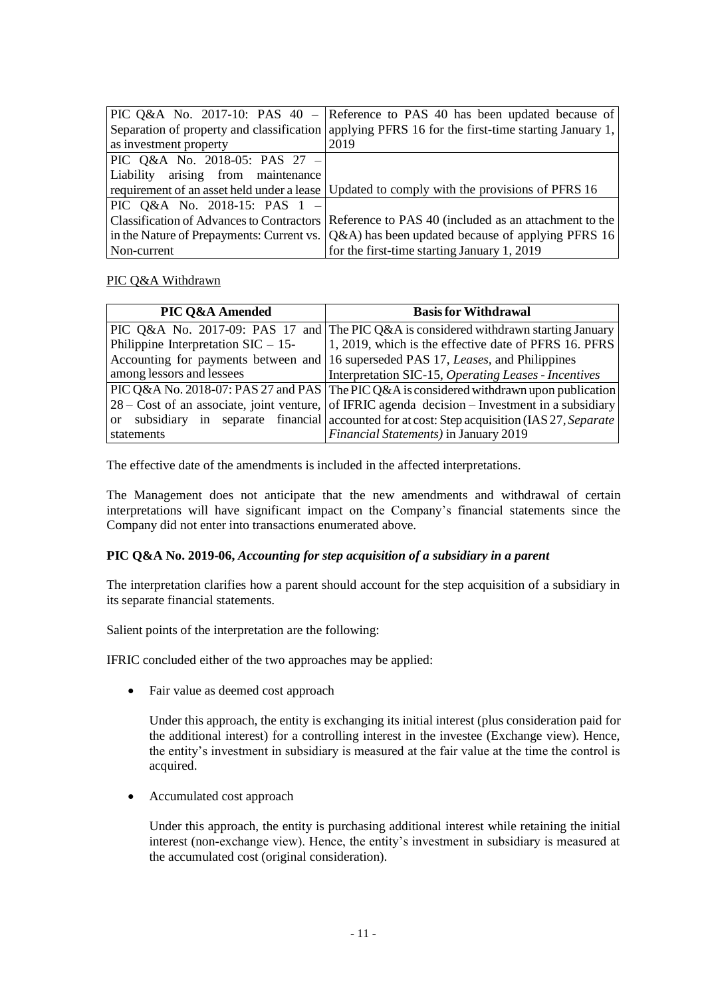|                                    | PIC $Q\&A$ No. 2017-10: PAS 40 - Reference to PAS 40 has been updated because of                  |
|------------------------------------|---------------------------------------------------------------------------------------------------|
|                                    | Separation of property and classification applying PFRS 16 for the first-time starting January 1, |
| as investment property             | 2019                                                                                              |
| PIC Q&A No. 2018-05: PAS $27$ -    |                                                                                                   |
| Liability arising from maintenance |                                                                                                   |
|                                    | requirement of an asset held under a lease   Updated to comply with the provisions of PFRS 16     |
| PIC $Q&A$ No. 2018-15: PAS 1 -     |                                                                                                   |
|                                    | Classification of Advances to Contractors Reference to PAS 40 (included as an attachment to the   |
|                                    | in the Nature of Prepayments: Current vs. $(Q&A)$ has been updated because of applying PFRS 16    |
| Non-current                        | for the first-time starting January 1, 2019                                                       |

### PIC Q&A Withdrawn

| PIC O&A Amended                        | <b>Basis for Withdrawal</b>                                                                               |  |  |
|----------------------------------------|-----------------------------------------------------------------------------------------------------------|--|--|
|                                        | PIC Q&A No. 2017-09: PAS 17 and The PIC Q&A is considered withdrawn starting January                      |  |  |
| Philippine Interpretation $SIC - 15$ - | 1, 2019, which is the effective date of PFRS 16. PFRS                                                     |  |  |
|                                        | Accounting for payments between and 16 superseded PAS 17, Leases, and Philippines                         |  |  |
| among lessors and lessees              | Interpretation SIC-15, Operating Leases - Incentives                                                      |  |  |
|                                        | PIC Q&A No. 2018-07: PAS 27 and PAS The PIC Q&A is considered withdrawn upon publication                  |  |  |
|                                        | $ 28 - \text{Cost of an associate},$ joint venture, of IFRIC agenda decision – Investment in a subsidiary |  |  |
| $\alpha$                               | subsidiary in separate financial accounted for at cost: Step acquisition (IAS 27, Separate                |  |  |
| statements                             | Financial Statements) in January 2019                                                                     |  |  |

The effective date of the amendments is included in the affected interpretations.

The Management does not anticipate that the new amendments and withdrawal of certain interpretations will have significant impact on the Company's financial statements since the Company did not enter into transactions enumerated above.

# **PIC Q&A No. 2019-06,** *Accounting for step acquisition of a subsidiary in a parent*

The interpretation clarifies how a parent should account for the step acquisition of a subsidiary in its separate financial statements.

Salient points of the interpretation are the following:

IFRIC concluded either of the two approaches may be applied:

• Fair value as deemed cost approach

Under this approach, the entity is exchanging its initial interest (plus consideration paid for the additional interest) for a controlling interest in the investee (Exchange view). Hence, the entity's investment in subsidiary is measured at the fair value at the time the control is acquired.

Accumulated cost approach

Under this approach, the entity is purchasing additional interest while retaining the initial interest (non-exchange view). Hence, the entity's investment in subsidiary is measured at the accumulated cost (original consideration).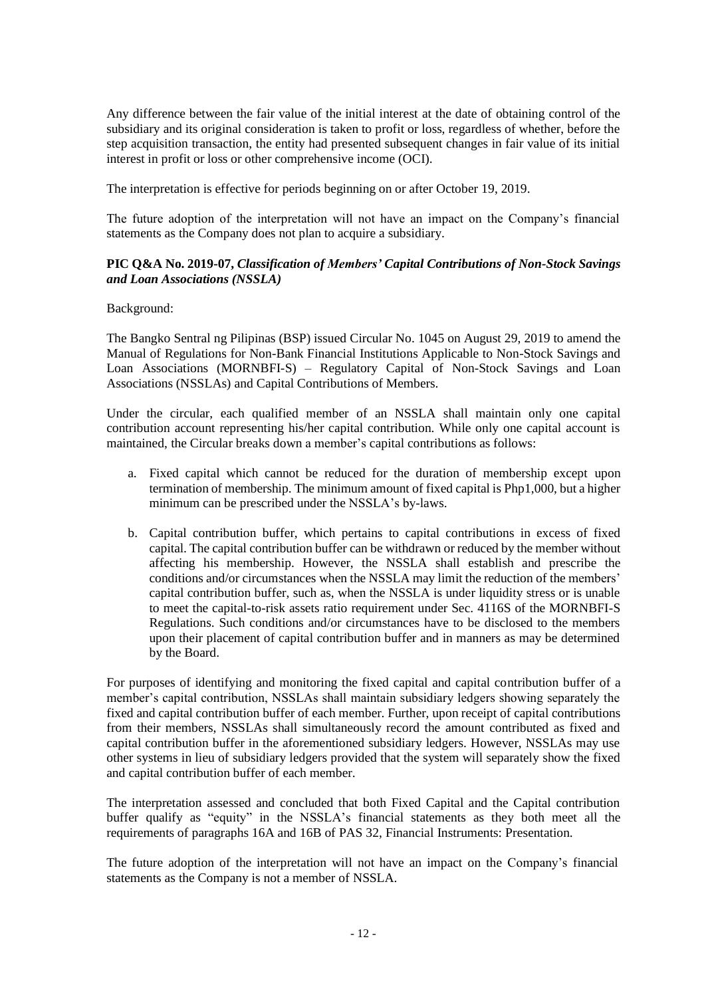Any difference between the fair value of the initial interest at the date of obtaining control of the subsidiary and its original consideration is taken to profit or loss, regardless of whether, before the step acquisition transaction, the entity had presented subsequent changes in fair value of its initial interest in profit or loss or other comprehensive income (OCI).

The interpretation is effective for periods beginning on or after October 19, 2019.

The future adoption of the interpretation will not have an impact on the Company's financial statements as the Company does not plan to acquire a subsidiary.

# **PIC Q&A No. 2019-07,** *Classification of Members' Capital Contributions of Non-Stock Savings and Loan Associations (NSSLA)*

Background:

The Bangko Sentral ng Pilipinas (BSP) issued Circular No. 1045 on August 29, 2019 to amend the Manual of Regulations for Non-Bank Financial Institutions Applicable to Non-Stock Savings and Loan Associations (MORNBFI-S) – Regulatory Capital of Non-Stock Savings and Loan Associations (NSSLAs) and Capital Contributions of Members.

Under the circular, each qualified member of an NSSLA shall maintain only one capital contribution account representing his/her capital contribution. While only one capital account is maintained, the Circular breaks down a member's capital contributions as follows:

- a. Fixed capital which cannot be reduced for the duration of membership except upon termination of membership. The minimum amount of fixed capital is Php1,000, but a higher minimum can be prescribed under the NSSLA's by-laws.
- b. Capital contribution buffer, which pertains to capital contributions in excess of fixed capital. The capital contribution buffer can be withdrawn or reduced by the member without affecting his membership. However, the NSSLA shall establish and prescribe the conditions and/or circumstances when the NSSLA may limit the reduction of the members' capital contribution buffer, such as, when the NSSLA is under liquidity stress or is unable to meet the capital-to-risk assets ratio requirement under Sec. 4116S of the MORNBFI-S Regulations. Such conditions and/or circumstances have to be disclosed to the members upon their placement of capital contribution buffer and in manners as may be determined by the Board.

For purposes of identifying and monitoring the fixed capital and capital contribution buffer of a member's capital contribution, NSSLAs shall maintain subsidiary ledgers showing separately the fixed and capital contribution buffer of each member. Further, upon receipt of capital contributions from their members, NSSLAs shall simultaneously record the amount contributed as fixed and capital contribution buffer in the aforementioned subsidiary ledgers. However, NSSLAs may use other systems in lieu of subsidiary ledgers provided that the system will separately show the fixed and capital contribution buffer of each member.

The interpretation assessed and concluded that both Fixed Capital and the Capital contribution buffer qualify as "equity" in the NSSLA's financial statements as they both meet all the requirements of paragraphs 16A and 16B of PAS 32, Financial Instruments: Presentation.

The future adoption of the interpretation will not have an impact on the Company's financial statements as the Company is not a member of NSSLA.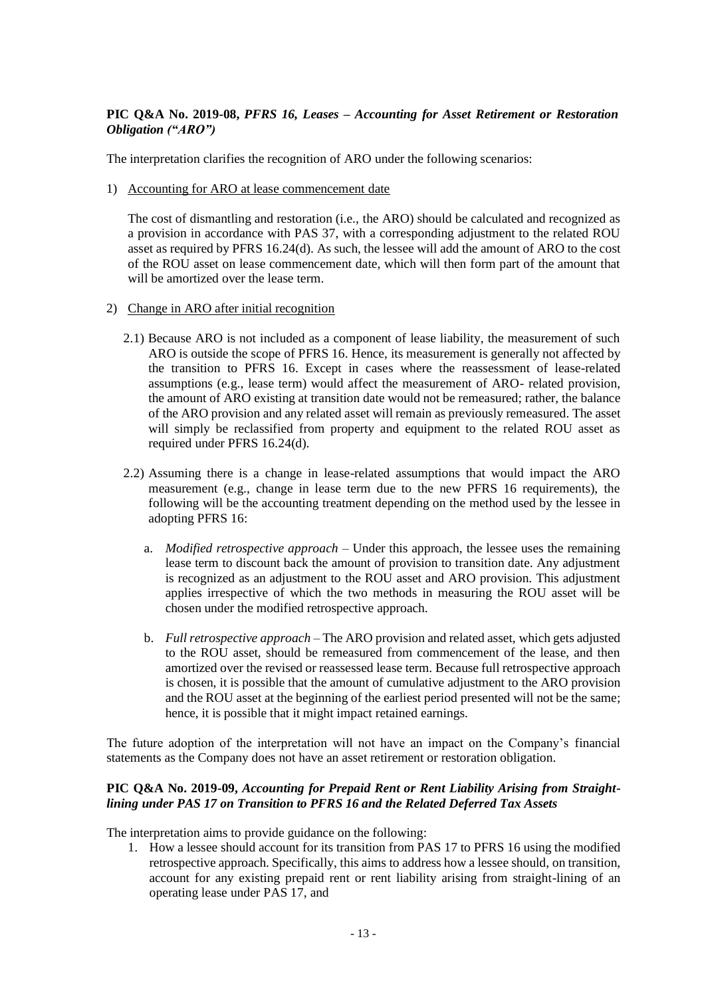# **PIC Q&A No. 2019-08,** *PFRS 16, Leases – Accounting for Asset Retirement or Restoration Obligation ("ARO")*

The interpretation clarifies the recognition of ARO under the following scenarios:

1) Accounting for ARO at lease commencement date

The cost of dismantling and restoration (i.e., the ARO) should be calculated and recognized as a provision in accordance with PAS 37, with a corresponding adjustment to the related ROU asset as required by PFRS 16.24(d). As such, the lessee will add the amount of ARO to the cost of the ROU asset on lease commencement date, which will then form part of the amount that will be amortized over the lease term.

- 2) Change in ARO after initial recognition
	- 2.1) Because ARO is not included as a component of lease liability, the measurement of such ARO is outside the scope of PFRS 16. Hence, its measurement is generally not affected by the transition to PFRS 16. Except in cases where the reassessment of lease-related assumptions (e.g., lease term) would affect the measurement of ARO- related provision, the amount of ARO existing at transition date would not be remeasured; rather, the balance of the ARO provision and any related asset will remain as previously remeasured. The asset will simply be reclassified from property and equipment to the related ROU asset as required under PFRS 16.24(d).
	- 2.2) Assuming there is a change in lease-related assumptions that would impact the ARO measurement (e.g., change in lease term due to the new PFRS 16 requirements), the following will be the accounting treatment depending on the method used by the lessee in adopting PFRS 16:
		- a. *Modified retrospective approach*  Under this approach, the lessee uses the remaining lease term to discount back the amount of provision to transition date. Any adjustment is recognized as an adjustment to the ROU asset and ARO provision. This adjustment applies irrespective of which the two methods in measuring the ROU asset will be chosen under the modified retrospective approach.
		- b. *Full retrospective approach* The ARO provision and related asset, which gets adjusted to the ROU asset, should be remeasured from commencement of the lease, and then amortized over the revised or reassessed lease term. Because full retrospective approach is chosen, it is possible that the amount of cumulative adjustment to the ARO provision and the ROU asset at the beginning of the earliest period presented will not be the same; hence, it is possible that it might impact retained earnings.

The future adoption of the interpretation will not have an impact on the Company's financial statements as the Company does not have an asset retirement or restoration obligation.

### **PIC Q&A No. 2019-09,** *Accounting for Prepaid Rent or Rent Liability Arising from Straightlining under PAS 17 on Transition to PFRS 16 and the Related Deferred Tax Assets*

The interpretation aims to provide guidance on the following:

1. How a lessee should account for its transition from PAS 17 to PFRS 16 using the modified retrospective approach. Specifically, this aims to address how a lessee should, on transition, account for any existing prepaid rent or rent liability arising from straight-lining of an operating lease under PAS 17, and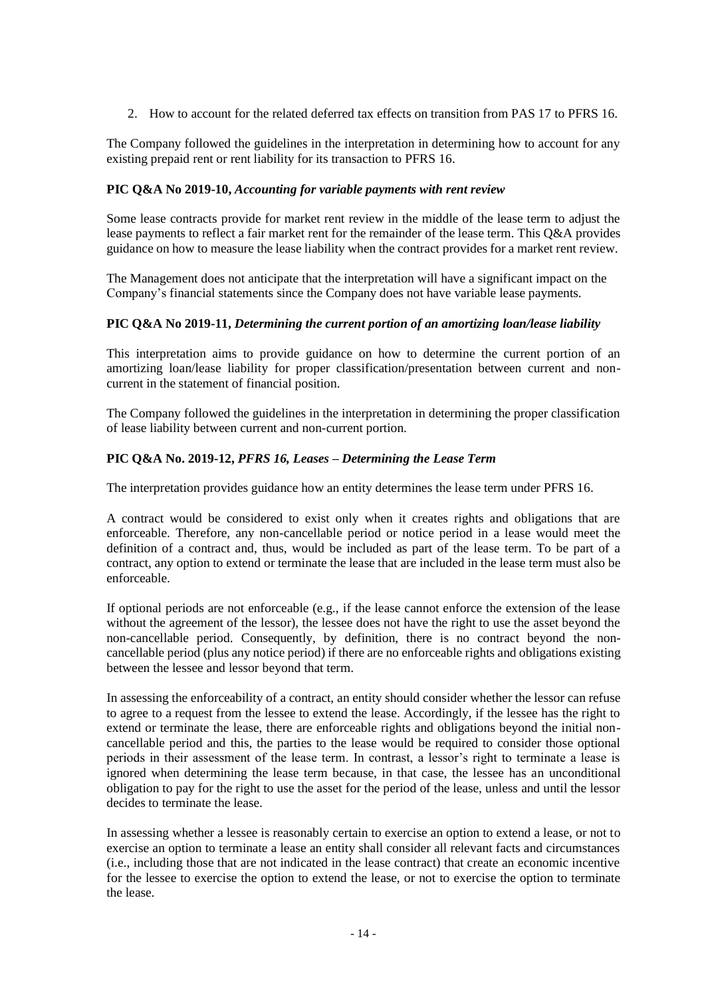2. How to account for the related deferred tax effects on transition from PAS 17 to PFRS 16.

The Company followed the guidelines in the interpretation in determining how to account for any existing prepaid rent or rent liability for its transaction to PFRS 16.

### **PIC Q&A No 2019-10,** *Accounting for variable payments with rent review*

Some lease contracts provide for market rent review in the middle of the lease term to adjust the lease payments to reflect a fair market rent for the remainder of the lease term. This Q&A provides guidance on how to measure the lease liability when the contract provides for a market rent review.

The Management does not anticipate that the interpretation will have a significant impact on the Company's financial statements since the Company does not have variable lease payments.

# **PIC Q&A No 2019-11,** *Determining the current portion of an amortizing loan/lease liability*

This interpretation aims to provide guidance on how to determine the current portion of an amortizing loan/lease liability for proper classification/presentation between current and noncurrent in the statement of financial position.

The Company followed the guidelines in the interpretation in determining the proper classification of lease liability between current and non-current portion.

### **PIC Q&A No. 2019-12,** *PFRS 16, Leases – Determining the Lease Term*

The interpretation provides guidance how an entity determines the lease term under PFRS 16.

A contract would be considered to exist only when it creates rights and obligations that are enforceable. Therefore, any non-cancellable period or notice period in a lease would meet the definition of a contract and, thus, would be included as part of the lease term. To be part of a contract, any option to extend or terminate the lease that are included in the lease term must also be enforceable.

If optional periods are not enforceable (e.g., if the lease cannot enforce the extension of the lease without the agreement of the lessor), the lessee does not have the right to use the asset beyond the non-cancellable period. Consequently, by definition, there is no contract beyond the noncancellable period (plus any notice period) if there are no enforceable rights and obligations existing between the lessee and lessor beyond that term.

In assessing the enforceability of a contract, an entity should consider whether the lessor can refuse to agree to a request from the lessee to extend the lease. Accordingly, if the lessee has the right to extend or terminate the lease, there are enforceable rights and obligations beyond the initial noncancellable period and this, the parties to the lease would be required to consider those optional periods in their assessment of the lease term. In contrast, a lessor's right to terminate a lease is ignored when determining the lease term because, in that case, the lessee has an unconditional obligation to pay for the right to use the asset for the period of the lease, unless and until the lessor decides to terminate the lease.

In assessing whether a lessee is reasonably certain to exercise an option to extend a lease, or not to exercise an option to terminate a lease an entity shall consider all relevant facts and circumstances (i.e., including those that are not indicated in the lease contract) that create an economic incentive for the lessee to exercise the option to extend the lease, or not to exercise the option to terminate the lease.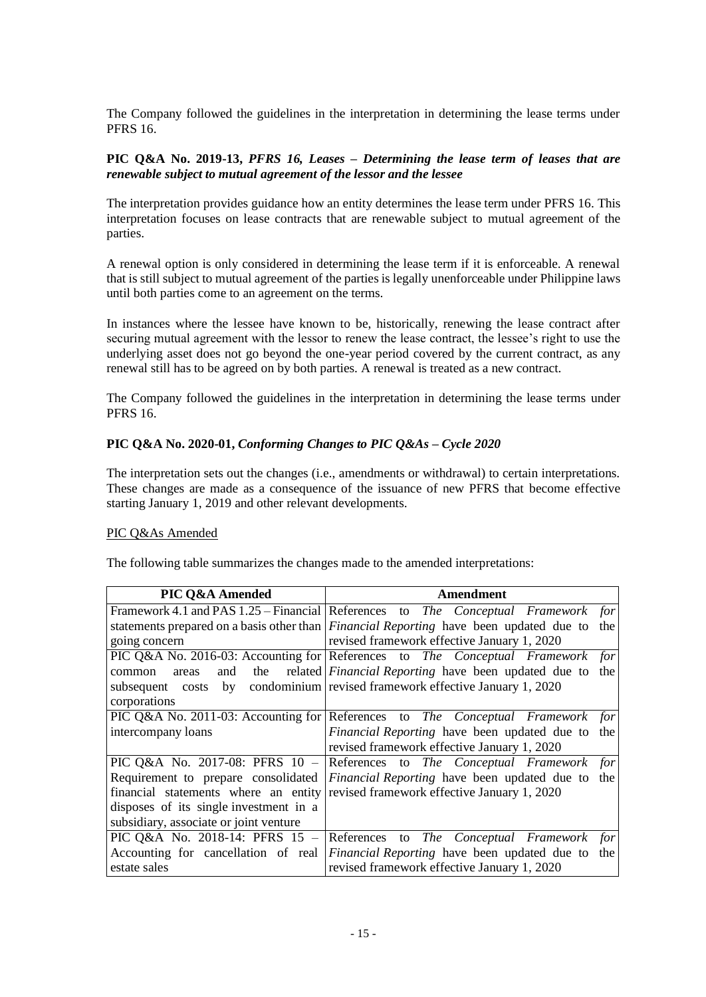The Company followed the guidelines in the interpretation in determining the lease terms under PFRS 16.

### **PIC Q&A No. 2019-13,** *PFRS 16, Leases – Determining the lease term of leases that are renewable subject to mutual agreement of the lessor and the lessee*

The interpretation provides guidance how an entity determines the lease term under PFRS 16. This interpretation focuses on lease contracts that are renewable subject to mutual agreement of the parties.

A renewal option is only considered in determining the lease term if it is enforceable. A renewal that is still subject to mutual agreement of the parties is legally unenforceable under Philippine laws until both parties come to an agreement on the terms.

In instances where the lessee have known to be, historically, renewing the lease contract after securing mutual agreement with the lessor to renew the lease contract, the lessee's right to use the underlying asset does not go beyond the one-year period covered by the current contract, as any renewal still has to be agreed on by both parties. A renewal is treated as a new contract.

The Company followed the guidelines in the interpretation in determining the lease terms under PFRS 16.

# **PIC Q&A No. 2020-01,** *Conforming Changes to PIC Q&As – Cycle 2020*

The interpretation sets out the changes (i.e., amendments or withdrawal) to certain interpretations. These changes are made as a consequence of the issuance of new PFRS that become effective starting January 1, 2019 and other relevant developments.

### PIC Q&As Amended

The following table summarizes the changes made to the amended interpretations:

| PIC Q&A Amended                        | Amendment                                                                                     |  |  |  |
|----------------------------------------|-----------------------------------------------------------------------------------------------|--|--|--|
|                                        | Framework 4.1 and PAS 1.25 – Financial References to The Conceptual Framework for             |  |  |  |
|                                        | statements prepared on a basis other than Financial Reporting have been updated due to<br>the |  |  |  |
| going concern                          | revised framework effective January 1, 2020                                                   |  |  |  |
|                                        | PIC Q&A No. 2016-03: Accounting for References to The Conceptual Framework for                |  |  |  |
| the<br>and<br>common<br>areas          | related <i>Financial Reporting</i> have been updated due to<br>the                            |  |  |  |
|                                        | subsequent costs by condominium revised framework effective January 1, 2020                   |  |  |  |
| corporations                           |                                                                                               |  |  |  |
|                                        | PIC Q&A No. 2011-03: Accounting for References to <i>The Conceptual Framework for</i>         |  |  |  |
| intercompany loans                     | <i>Financial Reporting</i> have been updated due to<br>the                                    |  |  |  |
|                                        | revised framework effective January 1, 2020                                                   |  |  |  |
|                                        | PIC Q&A No. 2017-08: PFRS 10 – References to <i>The Conceptual Framework for</i>              |  |  |  |
| Requirement to prepare consolidated    | Financial Reporting have been updated due to the                                              |  |  |  |
| financial statements where an entity   | revised framework effective January 1, 2020                                                   |  |  |  |
| disposes of its single investment in a |                                                                                               |  |  |  |
| subsidiary, associate or joint venture |                                                                                               |  |  |  |
| PIC Q&A No. 2018-14: PFRS 15 -         | References to The Conceptual Framework for                                                    |  |  |  |
| Accounting for cancellation of real    | <i>Financial Reporting</i> have been updated due to<br>the                                    |  |  |  |
| estate sales                           | revised framework effective January 1, 2020                                                   |  |  |  |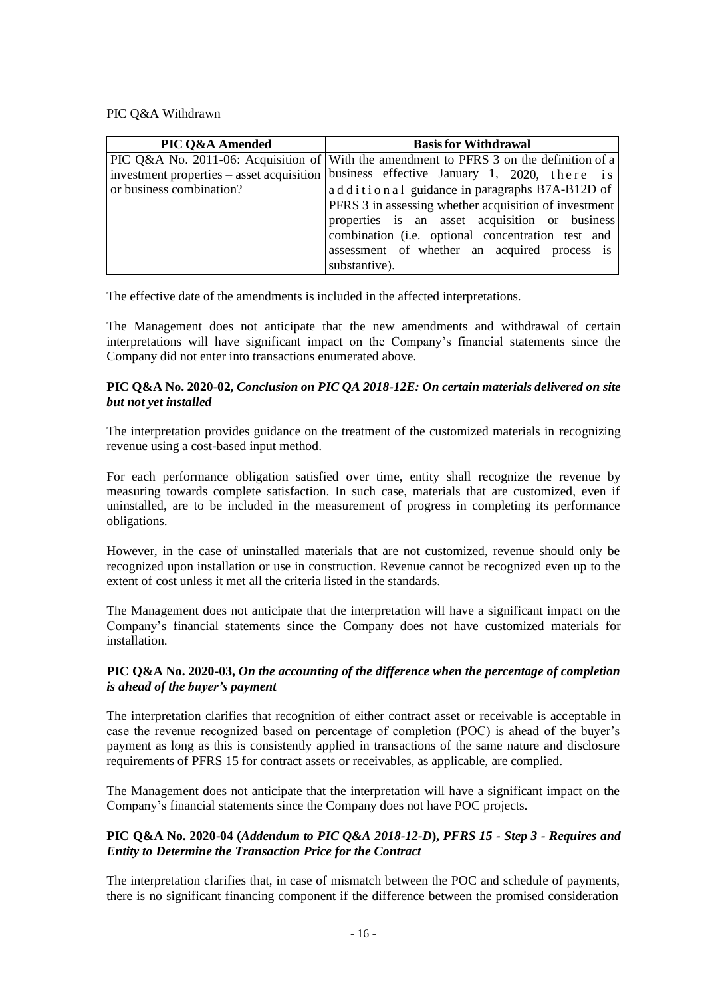#### PIC Q&A Withdrawn

| PIC O&A Amended          | <b>Basis for Withdrawal</b>                                                             |
|--------------------------|-----------------------------------------------------------------------------------------|
|                          | PIC Q&A No. 2011-06: Acquisition of With the amendment to PFRS 3 on the definition of a |
|                          | investment properties – asset acquisition business effective January 1, 2020, there is  |
| or business combination? | additional guidance in paragraphs B7A-B12D of                                           |
|                          | PFRS 3 in assessing whether acquisition of investment                                   |
|                          | properties is an asset acquisition or business                                          |
|                          | combination ( <i>i.e.</i> optional concentration test and                               |
|                          | assessment of whether an acquired process is                                            |
|                          | substantive).                                                                           |

The effective date of the amendments is included in the affected interpretations.

The Management does not anticipate that the new amendments and withdrawal of certain interpretations will have significant impact on the Company's financial statements since the Company did not enter into transactions enumerated above.

### **PIC Q&A No. 2020-02,** *Conclusion on PIC QA 2018-12E: On certain materials delivered on site but not yet installed*

The interpretation provides guidance on the treatment of the customized materials in recognizing revenue using a cost-based input method.

For each performance obligation satisfied over time, entity shall recognize the revenue by measuring towards complete satisfaction. In such case, materials that are customized, even if uninstalled, are to be included in the measurement of progress in completing its performance obligations.

However, in the case of uninstalled materials that are not customized, revenue should only be recognized upon installation or use in construction. Revenue cannot be recognized even up to the extent of cost unless it met all the criteria listed in the standards.

The Management does not anticipate that the interpretation will have a significant impact on the Company's financial statements since the Company does not have customized materials for installation.

### **PIC Q&A No. 2020-03,** *On the accounting of the difference when the percentage of completion is ahead of the buyer's payment*

The interpretation clarifies that recognition of either contract asset or receivable is acceptable in case the revenue recognized based on percentage of completion (POC) is ahead of the buyer's payment as long as this is consistently applied in transactions of the same nature and disclosure requirements of PFRS 15 for contract assets or receivables, as applicable, are complied.

The Management does not anticipate that the interpretation will have a significant impact on the Company's financial statements since the Company does not have POC projects.

### **PIC Q&A No. 2020-04 (***Addendum to PIC Q&A 2018-12-D***),** *PFRS 15 - Step 3 - Requires and Entity to Determine the Transaction Price for the Contract*

The interpretation clarifies that, in case of mismatch between the POC and schedule of payments, there is no significant financing component if the difference between the promised consideration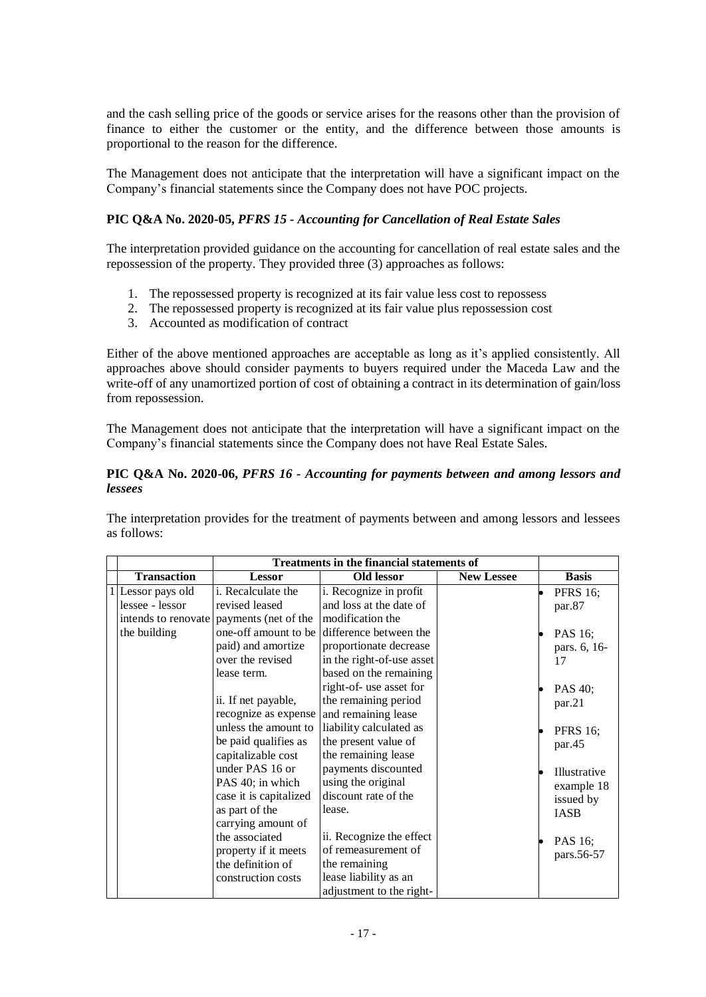and the cash selling price of the goods or service arises for the reasons other than the provision of finance to either the customer or the entity, and the difference between those amounts is proportional to the reason for the difference.

The Management does not anticipate that the interpretation will have a significant impact on the Company's financial statements since the Company does not have POC projects.

# **PIC Q&A No. 2020-05,** *PFRS 15 - Accounting for Cancellation of Real Estate Sales*

The interpretation provided guidance on the accounting for cancellation of real estate sales and the repossession of the property. They provided three (3) approaches as follows:

- 1. The repossessed property is recognized at its fair value less cost to repossess
- 2. The repossessed property is recognized at its fair value plus repossession cost
- 3. Accounted as modification of contract

Either of the above mentioned approaches are acceptable as long as it's applied consistently. All approaches above should consider payments to buyers required under the Maceda Law and the write-off of any unamortized portion of cost of obtaining a contract in its determination of gain/loss from repossession.

The Management does not anticipate that the interpretation will have a significant impact on the Company's financial statements since the Company does not have Real Estate Sales.

### **PIC Q&A No. 2020-06,** *PFRS 16 - Accounting for payments between and among lessors and lessees*

The interpretation provides for the treatment of payments between and among lessors and lessees as follows:

|                    | <b>Treatments in the financial statements of</b> |                           |                   |                 |
|--------------------|--------------------------------------------------|---------------------------|-------------------|-----------------|
| <b>Transaction</b> | <b>Lessor</b>                                    | Old lessor                | <b>New Lessee</b> | <b>Basis</b>    |
| 1 Lessor pays old  | i. Recalculate the                               | i. Recognize in profit    |                   | <b>PFRS 16;</b> |
| lessee - lessor    | revised leased                                   | and loss at the date of   |                   | par.87          |
|                    | intends to renovate payments (net of the         | modification the          |                   |                 |
| the building       | one-off amount to be                             | difference between the    |                   | PAS 16;         |
|                    | paid) and amortize                               | proportionate decrease    |                   | pars. 6, 16-    |
|                    | over the revised                                 | in the right-of-use asset |                   | 17              |
|                    | lease term.                                      | based on the remaining    |                   |                 |
|                    |                                                  | right-of- use asset for   |                   | PAS 40;         |
|                    | ii. If net payable,                              | the remaining period      |                   | par.21          |
|                    | recognize as expense                             | and remaining lease       |                   |                 |
|                    | unless the amount to                             | liability calculated as   |                   | <b>PFRS 16;</b> |
|                    | be paid qualifies as                             | the present value of      |                   | par.45          |
|                    | capitalizable cost                               | the remaining lease       |                   |                 |
|                    | under PAS 16 or                                  | payments discounted       |                   | Illustrative    |
|                    | PAS 40; in which                                 | using the original        |                   | example 18      |
|                    | case it is capitalized                           | discount rate of the      |                   | issued by       |
|                    | as part of the                                   | lease.                    |                   | <b>IASB</b>     |
|                    | carrying amount of                               |                           |                   |                 |
|                    | the associated                                   | ii. Recognize the effect  |                   | PAS 16;         |
|                    | property if it meets                             | of remeasurement of       |                   | pars.56-57      |
|                    | the definition of                                | the remaining             |                   |                 |
|                    | construction costs                               | lease liability as an     |                   |                 |
|                    |                                                  | adjustment to the right-  |                   |                 |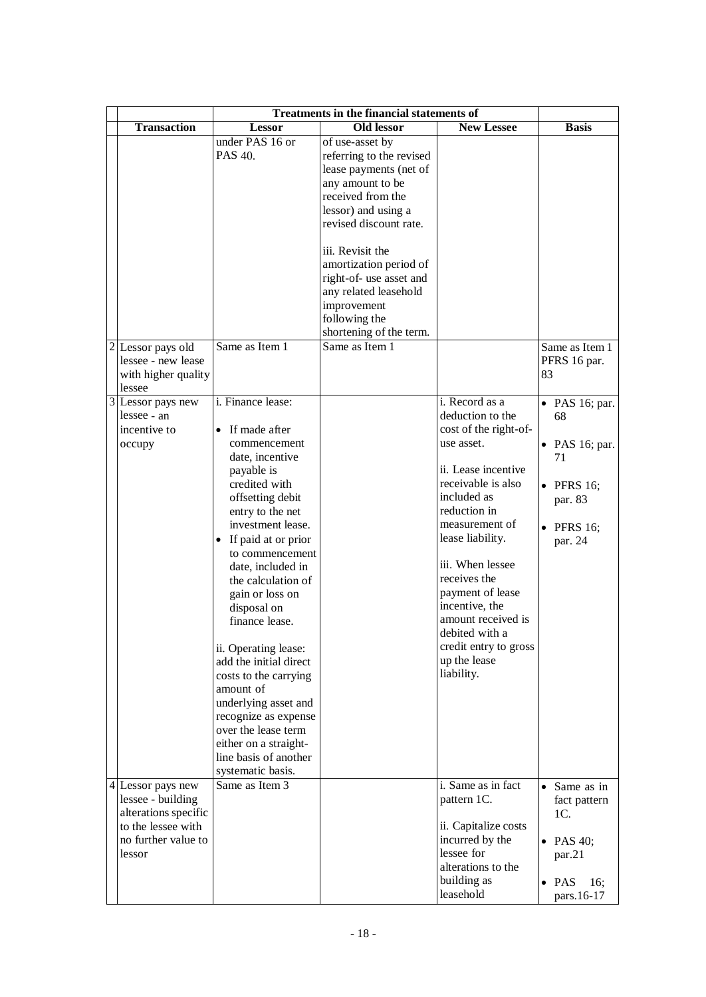|                                                                                                                         | <b>Treatments in the financial statements of</b>                                                                                                                                                                                                                                                                                                                                                                                                                                                                                         |                                                                                                                                                                                                                                                                                                                              |                                                                                                                                                                                                                                                                                                                                                                      |                                                                                                                        |  |  |
|-------------------------------------------------------------------------------------------------------------------------|------------------------------------------------------------------------------------------------------------------------------------------------------------------------------------------------------------------------------------------------------------------------------------------------------------------------------------------------------------------------------------------------------------------------------------------------------------------------------------------------------------------------------------------|------------------------------------------------------------------------------------------------------------------------------------------------------------------------------------------------------------------------------------------------------------------------------------------------------------------------------|----------------------------------------------------------------------------------------------------------------------------------------------------------------------------------------------------------------------------------------------------------------------------------------------------------------------------------------------------------------------|------------------------------------------------------------------------------------------------------------------------|--|--|
| <b>Transaction</b>                                                                                                      | <b>Lessor</b>                                                                                                                                                                                                                                                                                                                                                                                                                                                                                                                            | <b>Old lessor</b>                                                                                                                                                                                                                                                                                                            | <b>New Lessee</b>                                                                                                                                                                                                                                                                                                                                                    | <b>Basis</b>                                                                                                           |  |  |
|                                                                                                                         | under PAS 16 or<br>PAS 40.                                                                                                                                                                                                                                                                                                                                                                                                                                                                                                               | of use-asset by<br>referring to the revised<br>lease payments (net of<br>any amount to be<br>received from the<br>lessor) and using a<br>revised discount rate.<br>iii. Revisit the<br>amortization period of<br>right-of- use asset and<br>any related leasehold<br>improvement<br>following the<br>shortening of the term. |                                                                                                                                                                                                                                                                                                                                                                      |                                                                                                                        |  |  |
| 2 Lessor pays old<br>lessee - new lease<br>with higher quality<br>lessee                                                | Same as Item 1                                                                                                                                                                                                                                                                                                                                                                                                                                                                                                                           | Same as Item 1                                                                                                                                                                                                                                                                                                               |                                                                                                                                                                                                                                                                                                                                                                      | Same as Item 1<br>PFRS 16 par.<br>83                                                                                   |  |  |
| $3$ Lessor pays new<br>lessee - an<br>incentive to<br>occupy                                                            | i. Finance lease:<br>If made after<br>commencement<br>date, incentive<br>payable is<br>credited with<br>offsetting debit<br>entry to the net<br>investment lease.<br>If paid at or prior<br>$\bullet$<br>to commencement<br>date, included in<br>the calculation of<br>gain or loss on<br>disposal on<br>finance lease.<br>ii. Operating lease:<br>add the initial direct<br>costs to the carrying<br>amount of<br>underlying asset and<br>recognize as expense<br>over the lease term<br>either on a straight-<br>line basis of another |                                                                                                                                                                                                                                                                                                                              | i. Record as a<br>deduction to the<br>cost of the right-of-<br>use asset.<br>ii. Lease incentive<br>receivable is also<br>included as<br>reduction in<br>measurement of<br>lease liability.<br>iii. When lessee<br>receives the<br>payment of lease<br>incentive, the<br>amount received is<br>debited with a<br>credit entry to gross<br>up the lease<br>liability. | $\bullet$ PAS 16; par.<br>68<br>• PAS 16; par.<br>71<br>$\bullet$ PFRS 16;<br>par. 83<br>$\bullet$ PFRS 16;<br>par. 24 |  |  |
| $4$ Lessor pays new<br>lessee - building<br>alterations specific<br>to the lessee with<br>no further value to<br>lessor | systematic basis.<br>Same as Item 3                                                                                                                                                                                                                                                                                                                                                                                                                                                                                                      |                                                                                                                                                                                                                                                                                                                              | i. Same as in fact<br>pattern 1C.<br>ii. Capitalize costs<br>incurred by the<br>lessee for<br>alterations to the<br>building as<br>leasehold                                                                                                                                                                                                                         | • Same as in<br>fact pattern<br>1C.<br>$\bullet$ PAS 40;<br>par.21<br>$\bullet$ PAS<br>16;<br>pars.16-17               |  |  |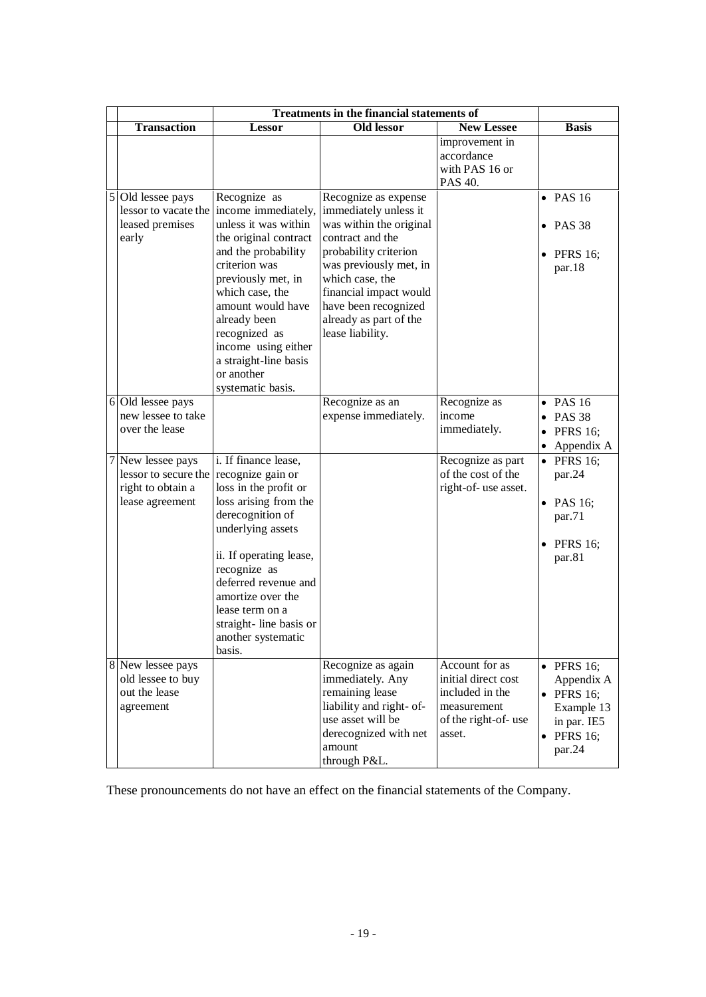| <b>Treatments in the financial statements of</b>                                                    |                                                                                                                                                                                                                                                                                                                |                                                                                                                                                                                                                                                                    |                                                                                                           |                                                                                                                     |  |  |  |
|-----------------------------------------------------------------------------------------------------|----------------------------------------------------------------------------------------------------------------------------------------------------------------------------------------------------------------------------------------------------------------------------------------------------------------|--------------------------------------------------------------------------------------------------------------------------------------------------------------------------------------------------------------------------------------------------------------------|-----------------------------------------------------------------------------------------------------------|---------------------------------------------------------------------------------------------------------------------|--|--|--|
| <b>Transaction</b>                                                                                  | <b>Lessor</b>                                                                                                                                                                                                                                                                                                  | <b>Old lessor</b>                                                                                                                                                                                                                                                  | <b>New Lessee</b>                                                                                         | <b>Basis</b>                                                                                                        |  |  |  |
|                                                                                                     |                                                                                                                                                                                                                                                                                                                |                                                                                                                                                                                                                                                                    | improvement in<br>accordance<br>with PAS 16 or<br>PAS 40.                                                 |                                                                                                                     |  |  |  |
| 5 Old lessee pays<br>lessor to vacate the<br>leased premises<br>early                               | Recognize as<br>income immediately,<br>unless it was within<br>the original contract<br>and the probability<br>criterion was<br>previously met, in<br>which case, the<br>amount would have<br>already been<br>recognized as<br>income using either<br>a straight-line basis<br>or another<br>systematic basis. | Recognize as expense<br>immediately unless it<br>was within the original<br>contract and the<br>probability criterion<br>was previously met, in<br>which case, the<br>financial impact would<br>have been recognized<br>already as part of the<br>lease liability. |                                                                                                           | $\bullet$ PAS 16<br>$\bullet$ PAS 38<br>$\bullet$ PFRS 16;<br>par.18                                                |  |  |  |
| 6 Old lessee pays<br>new lessee to take<br>over the lease                                           |                                                                                                                                                                                                                                                                                                                | Recognize as an<br>expense immediately.                                                                                                                                                                                                                            | Recognize as<br>income<br>immediately.                                                                    | $\bullet$ PAS 16<br>$\bullet$ PAS 38<br>$\bullet$ PFRS 16;<br>• Appendix A                                          |  |  |  |
| 7 New lessee pays<br>lessor to secure the recognize gain or<br>right to obtain a<br>lease agreement | i. If finance lease,<br>loss in the profit or<br>loss arising from the<br>derecognition of<br>underlying assets<br>ii. If operating lease,<br>recognize as<br>deferred revenue and<br>amortize over the<br>lease term on a<br>straight-line basis or<br>another systematic<br>basis.                           |                                                                                                                                                                                                                                                                    | Recognize as part<br>of the cost of the<br>right-of- use asset.                                           | • PFRS 16;<br>par.24<br>$\bullet$ PAS 16;<br>par.71<br>$\bullet$ PFRS 16;<br>par.81                                 |  |  |  |
| 8 New lessee pays<br>old lessee to buy<br>out the lease<br>agreement                                |                                                                                                                                                                                                                                                                                                                | Recognize as again<br>immediately. Any<br>remaining lease<br>liability and right- of-<br>use asset will be<br>derecognized with net<br>amount<br>through P&L.                                                                                                      | Account for as<br>initial direct cost<br>included in the<br>measurement<br>of the right-of- use<br>asset. | $\bullet$ PFRS 16;<br>Appendix A<br>$\bullet$ PFRS 16;<br>Example 13<br>in par. IE5<br>$\bullet$ PFRS 16;<br>par.24 |  |  |  |

These pronouncements do not have an effect on the financial statements of the Company.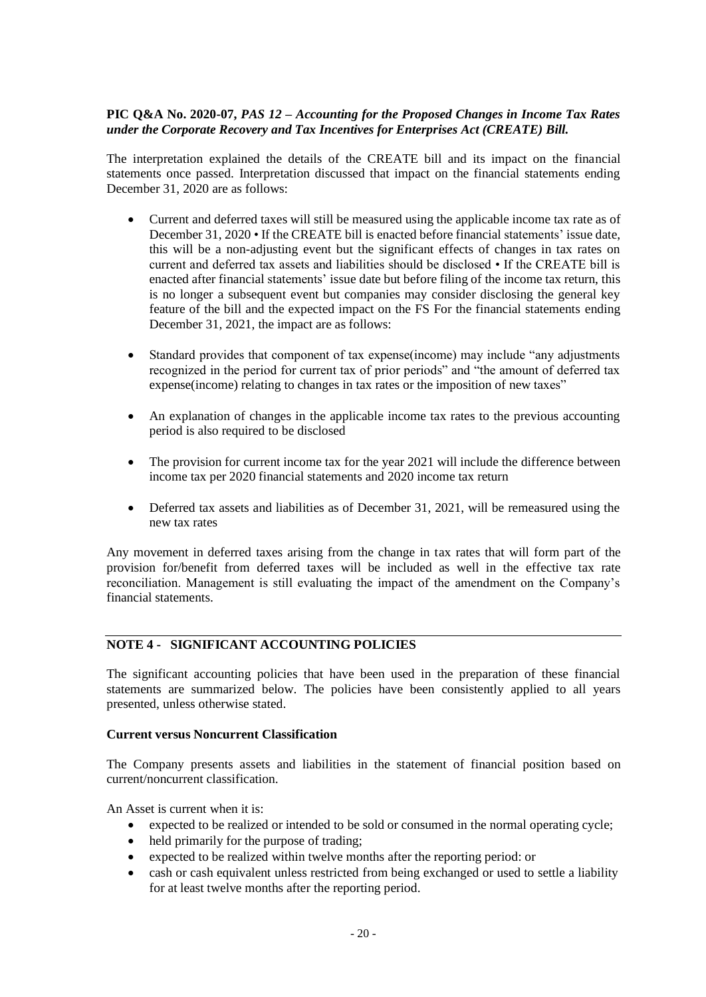### **PIC Q&A No. 2020-07,** *PAS 12 – Accounting for the Proposed Changes in Income Tax Rates under the Corporate Recovery and Tax Incentives for Enterprises Act (CREATE) Bill.*

The interpretation explained the details of the CREATE bill and its impact on the financial statements once passed. Interpretation discussed that impact on the financial statements ending December 31, 2020 are as follows:

- Current and deferred taxes will still be measured using the applicable income tax rate as of December 31, 2020 • If the CREATE bill is enacted before financial statements' issue date, this will be a non-adjusting event but the significant effects of changes in tax rates on current and deferred tax assets and liabilities should be disclosed • If the CREATE bill is enacted after financial statements' issue date but before filing of the income tax return, this is no longer a subsequent event but companies may consider disclosing the general key feature of the bill and the expected impact on the FS For the financial statements ending December 31, 2021, the impact are as follows:
- Standard provides that component of tax expense(income) may include "any adjustments recognized in the period for current tax of prior periods" and "the amount of deferred tax expense(income) relating to changes in tax rates or the imposition of new taxes"
- An explanation of changes in the applicable income tax rates to the previous accounting period is also required to be disclosed
- The provision for current income tax for the year 2021 will include the difference between income tax per 2020 financial statements and 2020 income tax return
- Deferred tax assets and liabilities as of December 31, 2021, will be remeasured using the new tax rates

Any movement in deferred taxes arising from the change in tax rates that will form part of the provision for/benefit from deferred taxes will be included as well in the effective tax rate reconciliation. Management is still evaluating the impact of the amendment on the Company's financial statements.

# **NOTE 4 - SIGNIFICANT ACCOUNTING POLICIES**

The significant accounting policies that have been used in the preparation of these financial statements are summarized below. The policies have been consistently applied to all years presented, unless otherwise stated.

### **Current versus Noncurrent Classification**

The Company presents assets and liabilities in the statement of financial position based on current/noncurrent classification.

An Asset is current when it is:

- expected to be realized or intended to be sold or consumed in the normal operating cycle;
- held primarily for the purpose of trading;
- expected to be realized within twelve months after the reporting period: or
- cash or cash equivalent unless restricted from being exchanged or used to settle a liability for at least twelve months after the reporting period.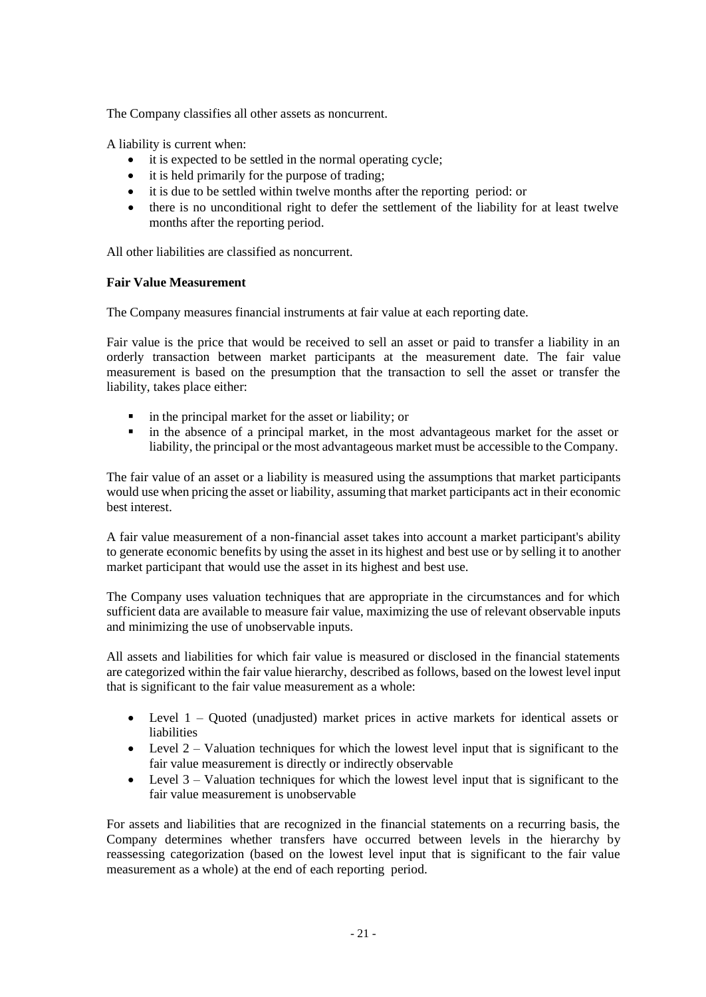The Company classifies all other assets as noncurrent.

A liability is current when:

- it is expected to be settled in the normal operating cycle;
- it is held primarily for the purpose of trading;
- it is due to be settled within twelve months after the reporting period: or
- there is no unconditional right to defer the settlement of the liability for at least twelve months after the reporting period.

All other liabilities are classified as noncurrent.

# **Fair Value Measurement**

The Company measures financial instruments at fair value at each reporting date.

Fair value is the price that would be received to sell an asset or paid to transfer a liability in an orderly transaction between market participants at the measurement date. The fair value measurement is based on the presumption that the transaction to sell the asset or transfer the liability, takes place either:

- in the principal market for the asset or liability; or
- in the absence of a principal market, in the most advantageous market for the asset or liability, the principal or the most advantageous market must be accessible to the Company.

The fair value of an asset or a liability is measured using the assumptions that market participants would use when pricing the asset or liability, assuming that market participants act in their economic best interest.

A fair value measurement of a non-financial asset takes into account a market participant's ability to generate economic benefits by using the asset in its highest and best use or by selling it to another market participant that would use the asset in its highest and best use.

The Company uses valuation techniques that are appropriate in the circumstances and for which sufficient data are available to measure fair value, maximizing the use of relevant observable inputs and minimizing the use of unobservable inputs.

All assets and liabilities for which fair value is measured or disclosed in the financial statements are categorized within the fair value hierarchy, described as follows, based on the lowest level input that is significant to the fair value measurement as a whole:

- Level 1 Quoted (unadjusted) market prices in active markets for identical assets or liabilities
- $\bullet$  Level 2 Valuation techniques for which the lowest level input that is significant to the fair value measurement is directly or indirectly observable
- Level  $3 -$  Valuation techniques for which the lowest level input that is significant to the fair value measurement is unobservable

For assets and liabilities that are recognized in the financial statements on a recurring basis, the Company determines whether transfers have occurred between levels in the hierarchy by reassessing categorization (based on the lowest level input that is significant to the fair value measurement as a whole) at the end of each reporting period.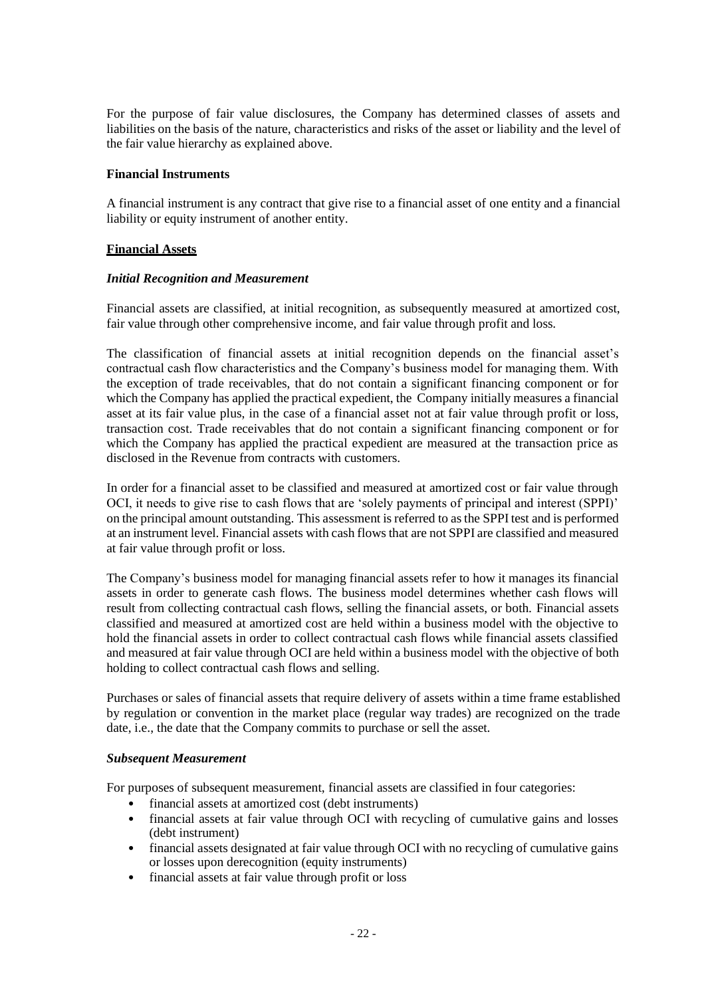For the purpose of fair value disclosures, the Company has determined classes of assets and liabilities on the basis of the nature, characteristics and risks of the asset or liability and the level of the fair value hierarchy as explained above.

### **Financial Instruments**

A financial instrument is any contract that give rise to a financial asset of one entity and a financial liability or equity instrument of another entity.

#### **Financial Assets**

#### *Initial Recognition and Measurement*

Financial assets are classified, at initial recognition, as subsequently measured at amortized cost, fair value through other comprehensive income, and fair value through profit and loss.

The classification of financial assets at initial recognition depends on the financial asset's contractual cash flow characteristics and the Company's business model for managing them. With the exception of trade receivables, that do not contain a significant financing component or for which the Company has applied the practical expedient, the Company initially measures a financial asset at its fair value plus, in the case of a financial asset not at fair value through profit or loss, transaction cost. Trade receivables that do not contain a significant financing component or for which the Company has applied the practical expedient are measured at the transaction price as disclosed in the Revenue from contracts with customers.

In order for a financial asset to be classified and measured at amortized cost or fair value through OCI, it needs to give rise to cash flows that are 'solely payments of principal and interest (SPPI)' on the principal amount outstanding. This assessment isreferred to asthe SPPItest and is performed at an instrument level. Financial assets with cash flows that are not SPPI are classified and measured at fair value through profit or loss.

The Company's business model for managing financial assets refer to how it manages its financial assets in order to generate cash flows. The business model determines whether cash flows will result from collecting contractual cash flows, selling the financial assets, or both. Financial assets classified and measured at amortized cost are held within a business model with the objective to hold the financial assets in order to collect contractual cash flows while financial assets classified and measured at fair value through OCI are held within a business model with the objective of both holding to collect contractual cash flows and selling.

Purchases or sales of financial assets that require delivery of assets within a time frame established by regulation or convention in the market place (regular way trades) are recognized on the trade date, i.e., the date that the Company commits to purchase or sell the asset.

#### *Subsequent Measurement*

For purposes of subsequent measurement, financial assets are classified in four categories:

- financial assets at amortized cost (debt instruments)
- financial assets at fair value through OCI with recycling of cumulative gains and losses (debt instrument)
- financial assets designated at fair value through OCI with no recycling of cumulative gains or losses upon derecognition (equity instruments)
- financial assets at fair value through profit or loss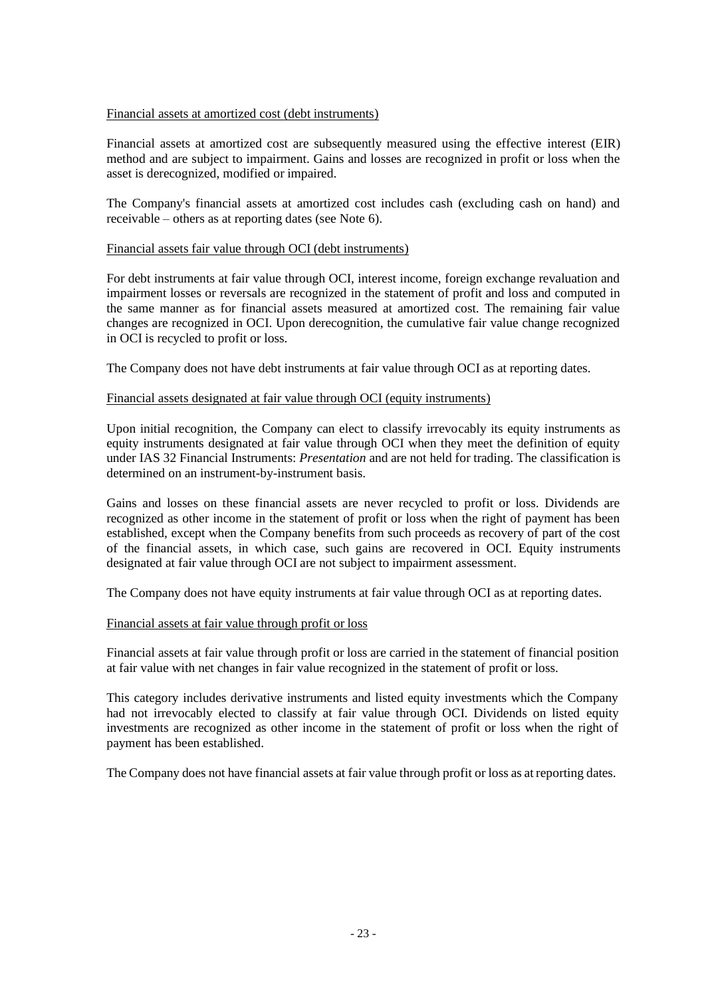#### Financial assets at amortized cost (debt instruments)

Financial assets at amortized cost are subsequently measured using the effective interest (EIR) method and are subject to impairment. Gains and losses are recognized in profit or loss when the asset is derecognized, modified or impaired.

The Company's financial assets at amortized cost includes cash (excluding cash on hand) and receivable – others as at reporting dates (see Note 6).

#### Financial assets fair value through OCI (debt instruments)

For debt instruments at fair value through OCI, interest income, foreign exchange revaluation and impairment losses or reversals are recognized in the statement of profit and loss and computed in the same manner as for financial assets measured at amortized cost. The remaining fair value changes are recognized in OCI. Upon derecognition, the cumulative fair value change recognized in OCI is recycled to profit or loss.

The Company does not have debt instruments at fair value through OCI as at reporting dates.

#### Financial assets designated at fair value through OCI (equity instruments)

Upon initial recognition, the Company can elect to classify irrevocably its equity instruments as equity instruments designated at fair value through OCI when they meet the definition of equity under IAS 32 Financial Instruments: *Presentation* and are not held for trading. The classification is determined on an instrument-by-instrument basis.

Gains and losses on these financial assets are never recycled to profit or loss. Dividends are recognized as other income in the statement of profit or loss when the right of payment has been established, except when the Company benefits from such proceeds as recovery of part of the cost of the financial assets, in which case, such gains are recovered in OCI. Equity instruments designated at fair value through OCI are not subject to impairment assessment.

The Company does not have equity instruments at fair value through OCI as at reporting dates.

#### Financial assets at fair value through profit or loss

Financial assets at fair value through profit or loss are carried in the statement of financial position at fair value with net changes in fair value recognized in the statement of profit or loss.

This category includes derivative instruments and listed equity investments which the Company had not irrevocably elected to classify at fair value through OCI. Dividends on listed equity investments are recognized as other income in the statement of profit or loss when the right of payment has been established.

The Company does not have financial assets at fair value through profit or loss as at reporting dates.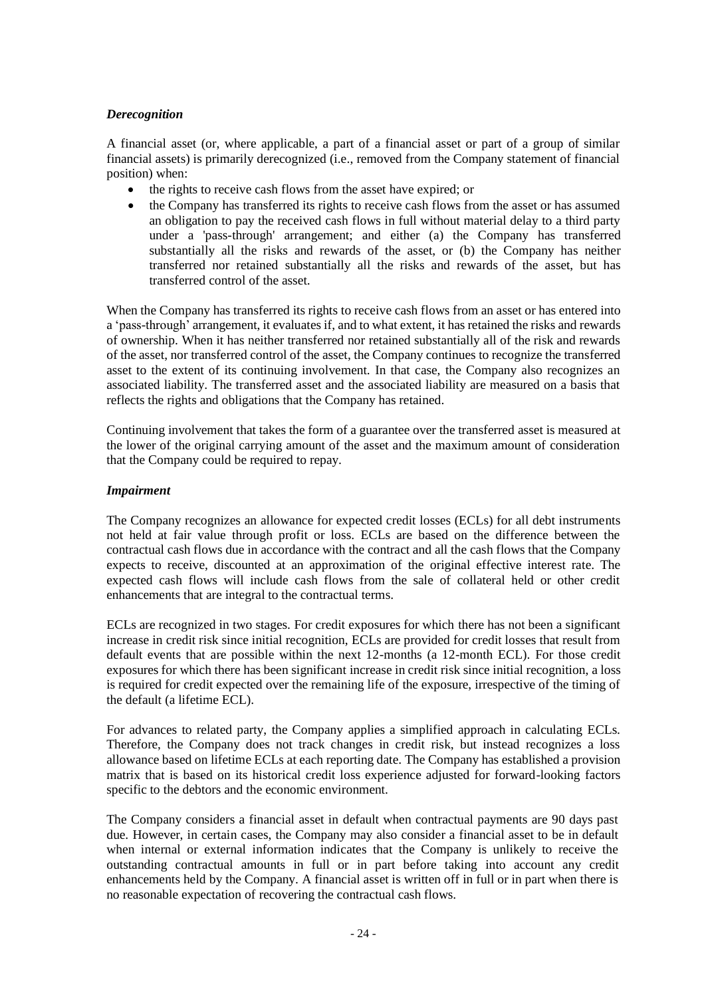### *Derecognition*

A financial asset (or, where applicable, a part of a financial asset or part of a group of similar financial assets) is primarily derecognized (i.e., removed from the Company statement of financial position) when:

- the rights to receive cash flows from the asset have expired; or
- the Company has transferred its rights to receive cash flows from the asset or has assumed an obligation to pay the received cash flows in full without material delay to a third party under a 'pass-through' arrangement; and either (a) the Company has transferred substantially all the risks and rewards of the asset, or (b) the Company has neither transferred nor retained substantially all the risks and rewards of the asset, but has transferred control of the asset.

When the Company has transferred its rights to receive cash flows from an asset or has entered into a 'pass-through' arrangement, it evaluates if, and to what extent, it has retained the risks and rewards of ownership. When it has neither transferred nor retained substantially all of the risk and rewards of the asset, nor transferred control of the asset, the Company continues to recognize the transferred asset to the extent of its continuing involvement. In that case, the Company also recognizes an associated liability. The transferred asset and the associated liability are measured on a basis that reflects the rights and obligations that the Company has retained.

Continuing involvement that takes the form of a guarantee over the transferred asset is measured at the lower of the original carrying amount of the asset and the maximum amount of consideration that the Company could be required to repay.

### *Impairment*

The Company recognizes an allowance for expected credit losses (ECLs) for all debt instruments not held at fair value through profit or loss. ECLs are based on the difference between the contractual cash flows due in accordance with the contract and all the cash flows that the Company expects to receive, discounted at an approximation of the original effective interest rate. The expected cash flows will include cash flows from the sale of collateral held or other credit enhancements that are integral to the contractual terms.

ECLs are recognized in two stages. For credit exposures for which there has not been a significant increase in credit risk since initial recognition, ECLs are provided for credit losses that result from default events that are possible within the next 12-months (a 12-month ECL). For those credit exposures for which there has been significant increase in credit risk since initial recognition, a loss is required for credit expected over the remaining life of the exposure, irrespective of the timing of the default (a lifetime ECL).

For advances to related party, the Company applies a simplified approach in calculating ECLs. Therefore, the Company does not track changes in credit risk, but instead recognizes a loss allowance based on lifetime ECLs at each reporting date. The Company has established a provision matrix that is based on its historical credit loss experience adjusted for forward-looking factors specific to the debtors and the economic environment.

The Company considers a financial asset in default when contractual payments are 90 days past due. However, in certain cases, the Company may also consider a financial asset to be in default when internal or external information indicates that the Company is unlikely to receive the outstanding contractual amounts in full or in part before taking into account any credit enhancements held by the Company. A financial asset is written off in full or in part when there is no reasonable expectation of recovering the contractual cash flows.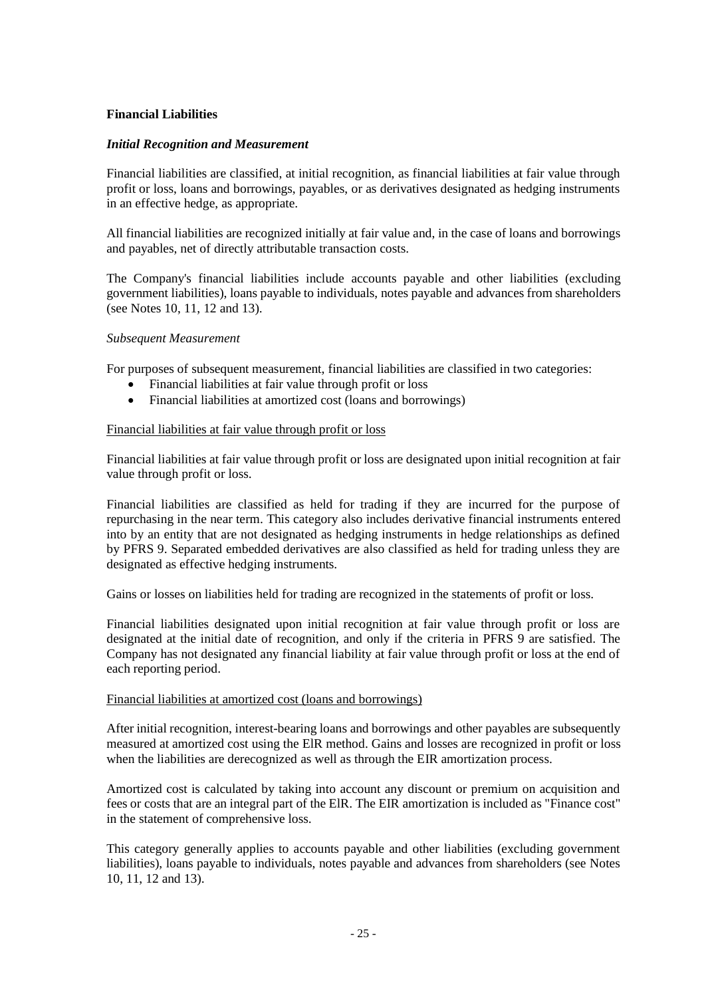### **Financial Liabilities**

### *Initial Recognition and Measurement*

Financial liabilities are classified, at initial recognition, as financial liabilities at fair value through profit or loss, loans and borrowings, payables, or as derivatives designated as hedging instruments in an effective hedge, as appropriate.

All financial liabilities are recognized initially at fair value and, in the case of loans and borrowings and payables, net of directly attributable transaction costs.

The Company's financial liabilities include accounts payable and other liabilities (excluding government liabilities), loans payable to individuals, notes payable and advances from shareholders (see Notes 10, 11, 12 and 13).

### *Subsequent Measurement*

For purposes of subsequent measurement, financial liabilities are classified in two categories:

- Financial liabilities at fair value through profit or loss
- Financial liabilities at amortized cost (loans and borrowings)

### Financial liabilities at fair value through profit or loss

Financial liabilities at fair value through profit or loss are designated upon initial recognition at fair value through profit or loss.

Financial liabilities are classified as held for trading if they are incurred for the purpose of repurchasing in the near term. This category also includes derivative financial instruments entered into by an entity that are not designated as hedging instruments in hedge relationships as defined by PFRS 9. Separated embedded derivatives are also classified as held for trading unless they are designated as effective hedging instruments.

Gains or losses on liabilities held for trading are recognized in the statements of profit or loss.

Financial liabilities designated upon initial recognition at fair value through profit or loss are designated at the initial date of recognition, and only if the criteria in PFRS 9 are satisfied. The Company has not designated any financial liability at fair value through profit or loss at the end of each reporting period.

### Financial liabilities at amortized cost (loans and borrowings)

After initial recognition, interest-bearing loans and borrowings and other payables are subsequently measured at amortized cost using the ElR method. Gains and losses are recognized in profit or loss when the liabilities are derecognized as well as through the EIR amortization process.

Amortized cost is calculated by taking into account any discount or premium on acquisition and fees or costs that are an integral part of the ElR. The EIR amortization is included as "Finance cost" in the statement of comprehensive loss.

This category generally applies to accounts payable and other liabilities (excluding government liabilities), loans payable to individuals, notes payable and advances from shareholders (see Notes 10, 11, 12 and 13).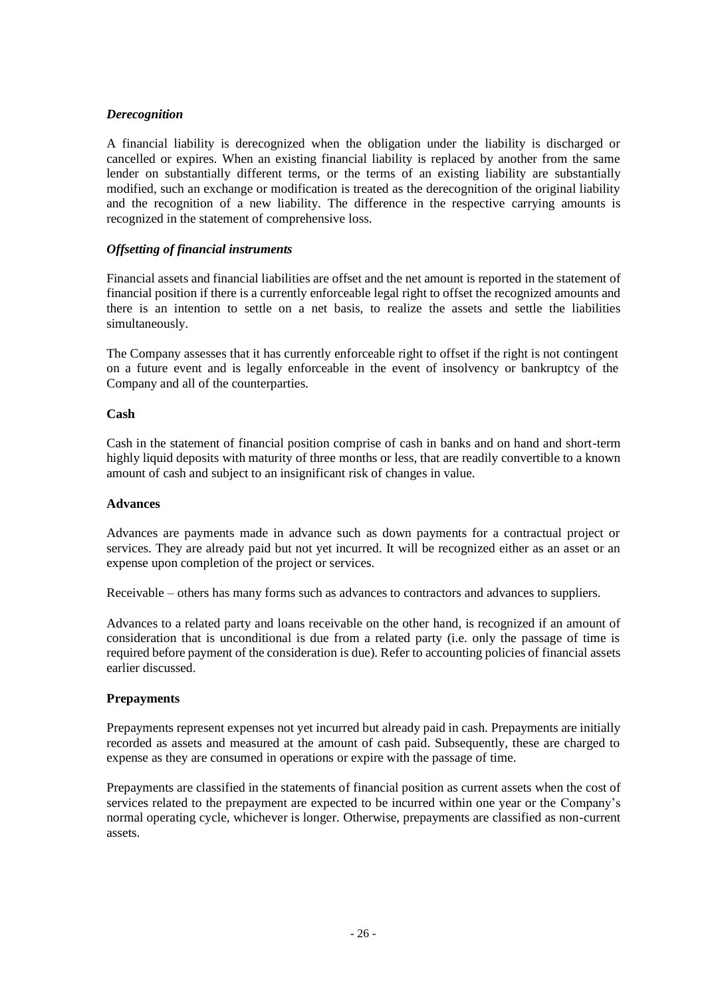### *Derecognition*

A financial liability is derecognized when the obligation under the liability is discharged or cancelled or expires. When an existing financial liability is replaced by another from the same lender on substantially different terms, or the terms of an existing liability are substantially modified, such an exchange or modification is treated as the derecognition of the original liability and the recognition of a new liability. The difference in the respective carrying amounts is recognized in the statement of comprehensive loss.

# *Offsetting of financial instruments*

Financial assets and financial liabilities are offset and the net amount is reported in the statement of financial position if there is a currently enforceable legal right to offset the recognized amounts and there is an intention to settle on a net basis, to realize the assets and settle the liabilities simultaneously.

The Company assesses that it has currently enforceable right to offset if the right is not contingent on a future event and is legally enforceable in the event of insolvency or bankruptcy of the Company and all of the counterparties.

### **Cash**

Cash in the statement of financial position comprise of cash in banks and on hand and short-term highly liquid deposits with maturity of three months or less, that are readily convertible to a known amount of cash and subject to an insignificant risk of changes in value.

### **Advances**

Advances are payments made in advance such as down payments for a contractual project or services. They are already paid but not yet incurred. It will be recognized either as an asset or an expense upon completion of the project or services.

Receivable – others has many forms such as advances to contractors and advances to suppliers.

Advances to a related party and loans receivable on the other hand, is recognized if an amount of consideration that is unconditional is due from a related party (i.e. only the passage of time is required before payment of the consideration is due). Refer to accounting policies of financial assets earlier discussed.

### **Prepayments**

Prepayments represent expenses not yet incurred but already paid in cash. Prepayments are initially recorded as assets and measured at the amount of cash paid. Subsequently, these are charged to expense as they are consumed in operations or expire with the passage of time.

Prepayments are classified in the statements of financial position as current assets when the cost of services related to the prepayment are expected to be incurred within one year or the Company's normal operating cycle, whichever is longer. Otherwise, prepayments are classified as non-current assets.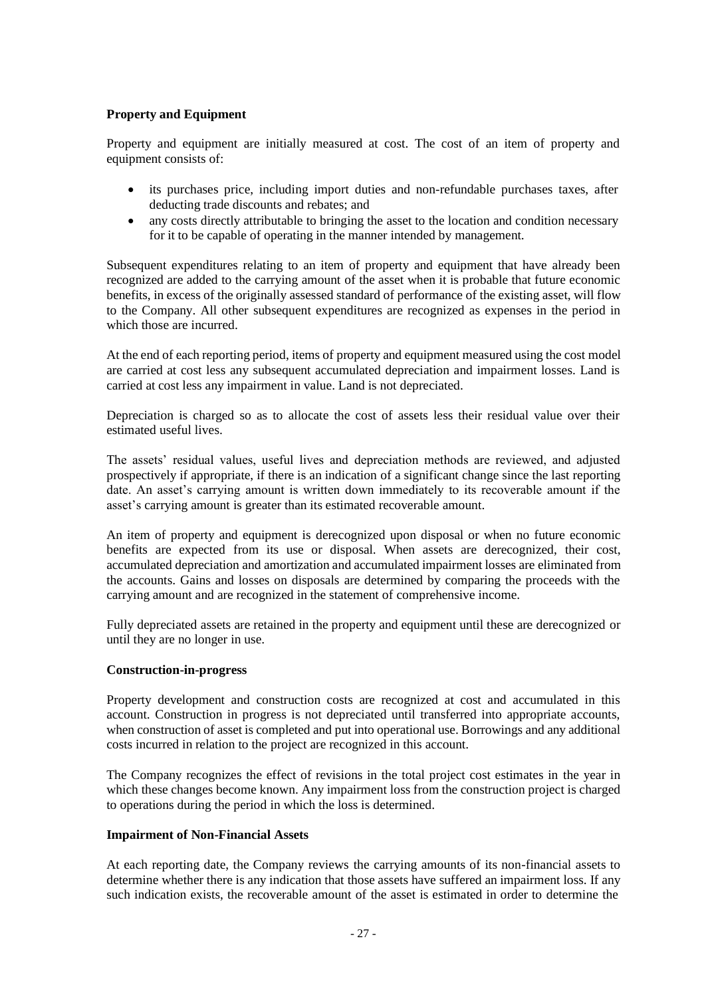# **Property and Equipment**

Property and equipment are initially measured at cost. The cost of an item of property and equipment consists of:

- its purchases price, including import duties and non-refundable purchases taxes, after deducting trade discounts and rebates; and
- any costs directly attributable to bringing the asset to the location and condition necessary for it to be capable of operating in the manner intended by management.

Subsequent expenditures relating to an item of property and equipment that have already been recognized are added to the carrying amount of the asset when it is probable that future economic benefits, in excess of the originally assessed standard of performance of the existing asset, will flow to the Company. All other subsequent expenditures are recognized as expenses in the period in which those are incurred.

At the end of each reporting period, items of property and equipment measured using the cost model are carried at cost less any subsequent accumulated depreciation and impairment losses. Land is carried at cost less any impairment in value. Land is not depreciated.

Depreciation is charged so as to allocate the cost of assets less their residual value over their estimated useful lives.

The assets' residual values, useful lives and depreciation methods are reviewed, and adjusted prospectively if appropriate, if there is an indication of a significant change since the last reporting date. An asset's carrying amount is written down immediately to its recoverable amount if the asset's carrying amount is greater than its estimated recoverable amount.

An item of property and equipment is derecognized upon disposal or when no future economic benefits are expected from its use or disposal. When assets are derecognized, their cost, accumulated depreciation and amortization and accumulated impairment losses are eliminated from the accounts. Gains and losses on disposals are determined by comparing the proceeds with the carrying amount and are recognized in the statement of comprehensive income.

Fully depreciated assets are retained in the property and equipment until these are derecognized or until they are no longer in use.

### **Construction-in-progress**

Property development and construction costs are recognized at cost and accumulated in this account. Construction in progress is not depreciated until transferred into appropriate accounts, when construction of asset is completed and put into operational use. Borrowings and any additional costs incurred in relation to the project are recognized in this account.

The Company recognizes the effect of revisions in the total project cost estimates in the year in which these changes become known. Any impairment loss from the construction project is charged to operations during the period in which the loss is determined.

### **Impairment of Non-Financial Assets**

At each reporting date, the Company reviews the carrying amounts of its non-financial assets to determine whether there is any indication that those assets have suffered an impairment loss. If any such indication exists, the recoverable amount of the asset is estimated in order to determine the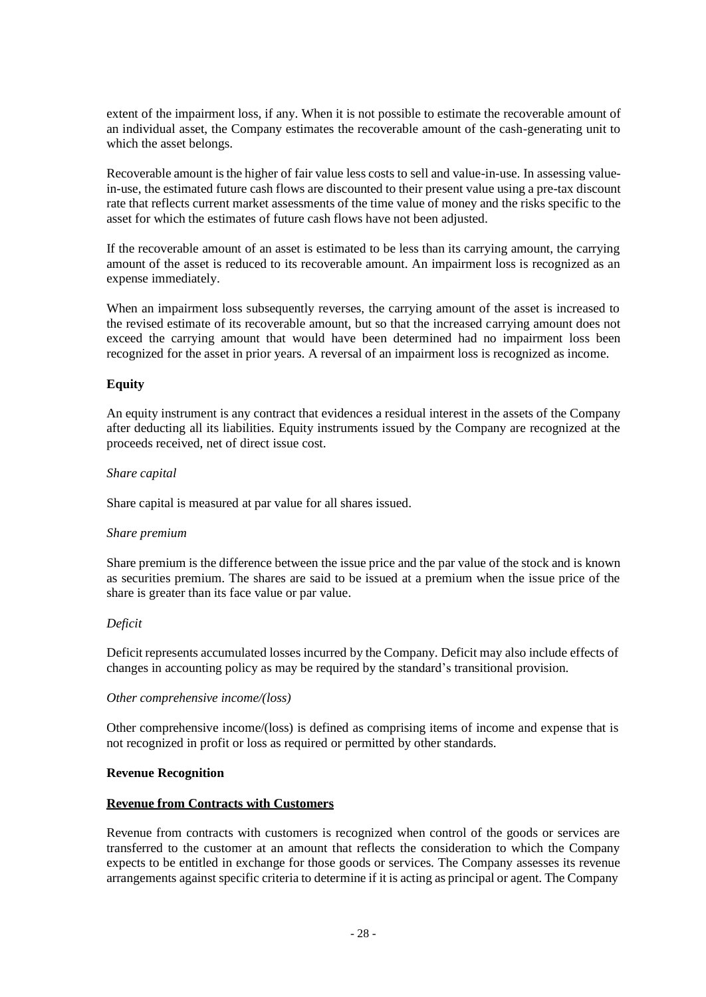extent of the impairment loss, if any. When it is not possible to estimate the recoverable amount of an individual asset, the Company estimates the recoverable amount of the cash-generating unit to which the asset belongs.

Recoverable amount isthe higher of fair value less costs to sell and value-in-use. In assessing valuein-use, the estimated future cash flows are discounted to their present value using a pre-tax discount rate that reflects current market assessments of the time value of money and the risks specific to the asset for which the estimates of future cash flows have not been adjusted.

If the recoverable amount of an asset is estimated to be less than its carrying amount, the carrying amount of the asset is reduced to its recoverable amount. An impairment loss is recognized as an expense immediately.

When an impairment loss subsequently reverses, the carrying amount of the asset is increased to the revised estimate of its recoverable amount, but so that the increased carrying amount does not exceed the carrying amount that would have been determined had no impairment loss been recognized for the asset in prior years. A reversal of an impairment loss is recognized as income.

# **Equity**

An equity instrument is any contract that evidences a residual interest in the assets of the Company after deducting all its liabilities. Equity instruments issued by the Company are recognized at the proceeds received, net of direct issue cost.

### *Share capital*

Share capital is measured at par value for all shares issued.

### *Share premium*

Share premium is the difference between the issue price and the par value of the stock and is known as securities premium. The shares are said to be issued at a premium when the issue price of the share is greater than its face value or par value.

### *Deficit*

Deficit represents accumulated losses incurred by the Company. Deficit may also include effects of changes in accounting policy as may be required by the standard's transitional provision.

### *Other comprehensive income/(loss)*

Other comprehensive income/(loss) is defined as comprising items of income and expense that is not recognized in profit or loss as required or permitted by other standards.

### **Revenue Recognition**

### **Revenue from Contracts with Customers**

Revenue from contracts with customers is recognized when control of the goods or services are transferred to the customer at an amount that reflects the consideration to which the Company expects to be entitled in exchange for those goods or services. The Company assesses its revenue arrangements against specific criteria to determine if it is acting as principal or agent. The Company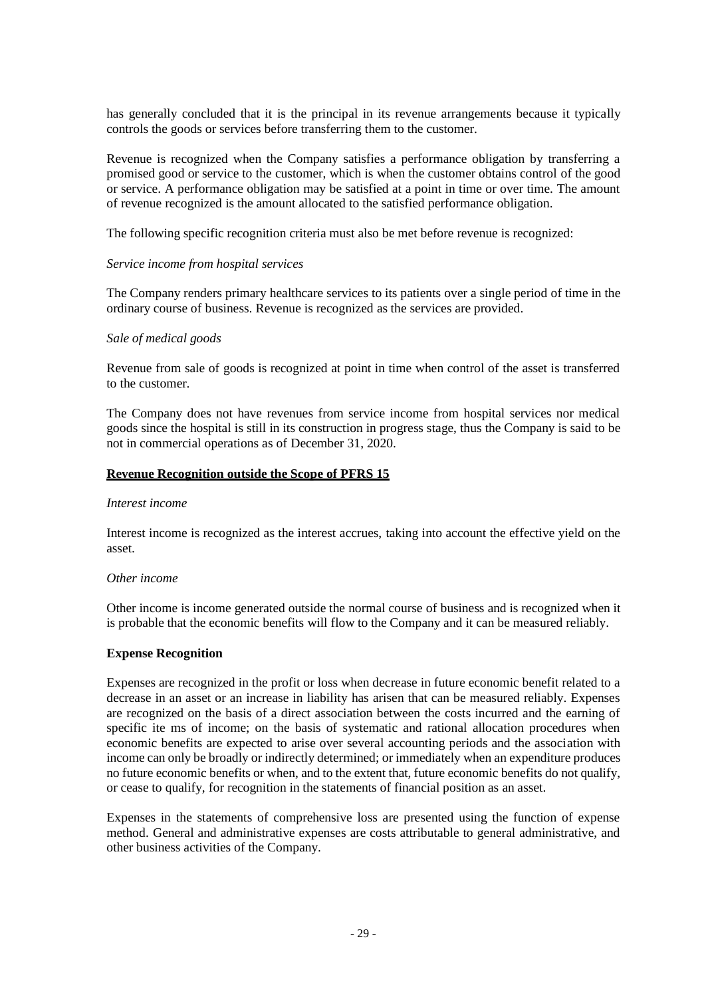has generally concluded that it is the principal in its revenue arrangements because it typically controls the goods or services before transferring them to the customer.

Revenue is recognized when the Company satisfies a performance obligation by transferring a promised good or service to the customer, which is when the customer obtains control of the good or service. A performance obligation may be satisfied at a point in time or over time. The amount of revenue recognized is the amount allocated to the satisfied performance obligation.

The following specific recognition criteria must also be met before revenue is recognized:

#### *Service income from hospital services*

The Company renders primary healthcare services to its patients over a single period of time in the ordinary course of business. Revenue is recognized as the services are provided.

#### *Sale of medical goods*

Revenue from sale of goods is recognized at point in time when control of the asset is transferred to the customer.

The Company does not have revenues from service income from hospital services nor medical goods since the hospital is still in its construction in progress stage, thus the Company is said to be not in commercial operations as of December 31, 2020.

#### **Revenue Recognition outside the Scope of PFRS 15**

#### *Interest income*

Interest income is recognized as the interest accrues, taking into account the effective yield on the asset.

#### *Other income*

Other income is income generated outside the normal course of business and is recognized when it is probable that the economic benefits will flow to the Company and it can be measured reliably.

#### **Expense Recognition**

Expenses are recognized in the profit or loss when decrease in future economic benefit related to a decrease in an asset or an increase in liability has arisen that can be measured reliably. Expenses are recognized on the basis of a direct association between the costs incurred and the earning of specific ite ms of income; on the basis of systematic and rational allocation procedures when economic benefits are expected to arise over several accounting periods and the association with income can only be broadly or indirectly determined; or immediately when an expenditure produces no future economic benefits or when, and to the extent that, future economic benefits do not qualify, or cease to qualify, for recognition in the statements of financial position as an asset.

Expenses in the statements of comprehensive loss are presented using the function of expense method. General and administrative expenses are costs attributable to general administrative, and other business activities of the Company.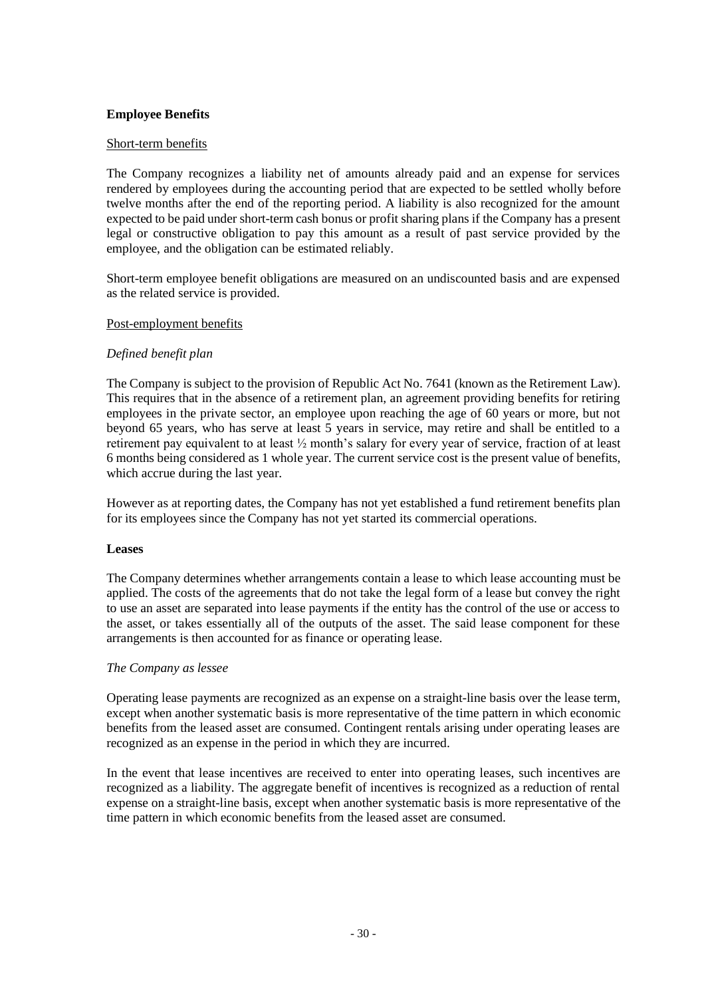# **Employee Benefits**

#### Short-term benefits

The Company recognizes a liability net of amounts already paid and an expense for services rendered by employees during the accounting period that are expected to be settled wholly before twelve months after the end of the reporting period. A liability is also recognized for the amount expected to be paid under short-term cash bonus or profit sharing plans if the Company has a present legal or constructive obligation to pay this amount as a result of past service provided by the employee, and the obligation can be estimated reliably.

Short-term employee benefit obligations are measured on an undiscounted basis and are expensed as the related service is provided.

#### Post-employment benefits

### *Defined benefit plan*

The Company is subject to the provision of Republic Act No. 7641 (known as the Retirement Law). This requires that in the absence of a retirement plan, an agreement providing benefits for retiring employees in the private sector, an employee upon reaching the age of 60 years or more, but not beyond 65 years, who has serve at least 5 years in service, may retire and shall be entitled to a retirement pay equivalent to at least ½ month's salary for every year of service, fraction of at least 6 months being considered as 1 whole year. The current service cost is the present value of benefits, which accrue during the last year.

However as at reporting dates, the Company has not yet established a fund retirement benefits plan for its employees since the Company has not yet started its commercial operations.

#### **Leases**

The Company determines whether arrangements contain a lease to which lease accounting must be applied. The costs of the agreements that do not take the legal form of a lease but convey the right to use an asset are separated into lease payments if the entity has the control of the use or access to the asset, or takes essentially all of the outputs of the asset. The said lease component for these arrangements is then accounted for as finance or operating lease.

#### *The Company as lessee*

Operating lease payments are recognized as an expense on a straight-line basis over the lease term, except when another systematic basis is more representative of the time pattern in which economic benefits from the leased asset are consumed. Contingent rentals arising under operating leases are recognized as an expense in the period in which they are incurred.

In the event that lease incentives are received to enter into operating leases, such incentives are recognized as a liability. The aggregate benefit of incentives is recognized as a reduction of rental expense on a straight-line basis, except when another systematic basis is more representative of the time pattern in which economic benefits from the leased asset are consumed.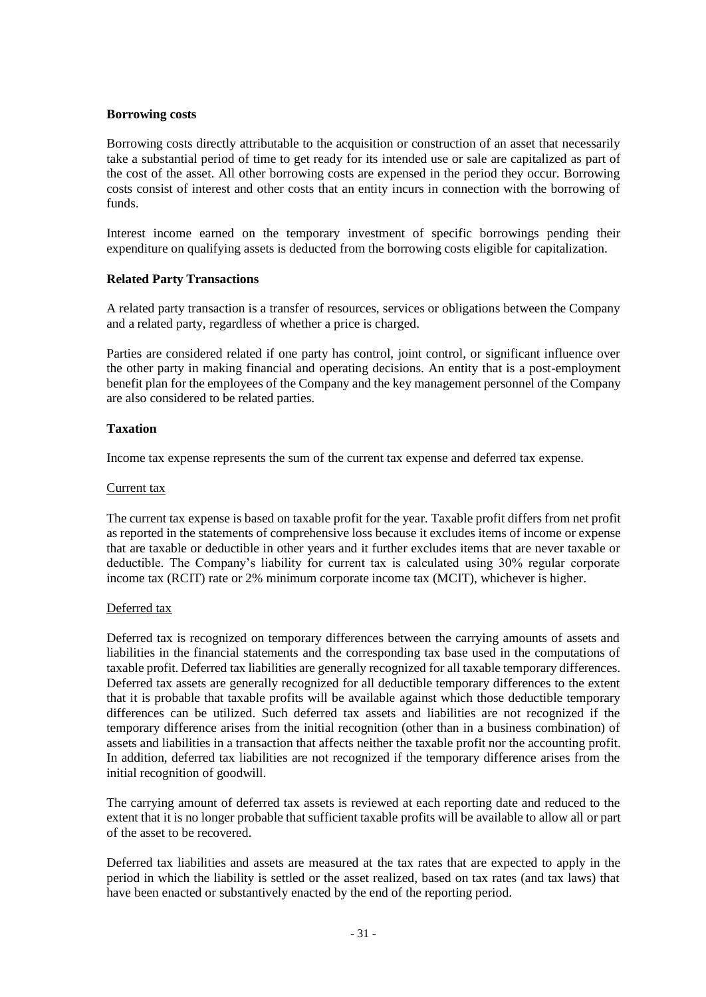### **Borrowing costs**

Borrowing costs directly attributable to the acquisition or construction of an asset that necessarily take a substantial period of time to get ready for its intended use or sale are capitalized as part of the cost of the asset. All other borrowing costs are expensed in the period they occur. Borrowing costs consist of interest and other costs that an entity incurs in connection with the borrowing of funds.

Interest income earned on the temporary investment of specific borrowings pending their expenditure on qualifying assets is deducted from the borrowing costs eligible for capitalization.

### **Related Party Transactions**

A related party transaction is a transfer of resources, services or obligations between the Company and a related party, regardless of whether a price is charged.

Parties are considered related if one party has control, joint control, or significant influence over the other party in making financial and operating decisions. An entity that is a post-employment benefit plan for the employees of the Company and the key management personnel of the Company are also considered to be related parties.

### **Taxation**

Income tax expense represents the sum of the current tax expense and deferred tax expense.

### Current tax

The current tax expense is based on taxable profit for the year. Taxable profit differs from net profit as reported in the statements of comprehensive loss because it excludes items of income or expense that are taxable or deductible in other years and it further excludes items that are never taxable or deductible. The Company's liability for current tax is calculated using 30% regular corporate income tax (RCIT) rate or 2% minimum corporate income tax (MCIT), whichever is higher.

### Deferred tax

Deferred tax is recognized on temporary differences between the carrying amounts of assets and liabilities in the financial statements and the corresponding tax base used in the computations of taxable profit. Deferred tax liabilities are generally recognized for all taxable temporary differences. Deferred tax assets are generally recognized for all deductible temporary differences to the extent that it is probable that taxable profits will be available against which those deductible temporary differences can be utilized. Such deferred tax assets and liabilities are not recognized if the temporary difference arises from the initial recognition (other than in a business combination) of assets and liabilities in a transaction that affects neither the taxable profit nor the accounting profit. In addition, deferred tax liabilities are not recognized if the temporary difference arises from the initial recognition of goodwill.

The carrying amount of deferred tax assets is reviewed at each reporting date and reduced to the extent that it is no longer probable that sufficient taxable profits will be available to allow all or part of the asset to be recovered.

Deferred tax liabilities and assets are measured at the tax rates that are expected to apply in the period in which the liability is settled or the asset realized, based on tax rates (and tax laws) that have been enacted or substantively enacted by the end of the reporting period.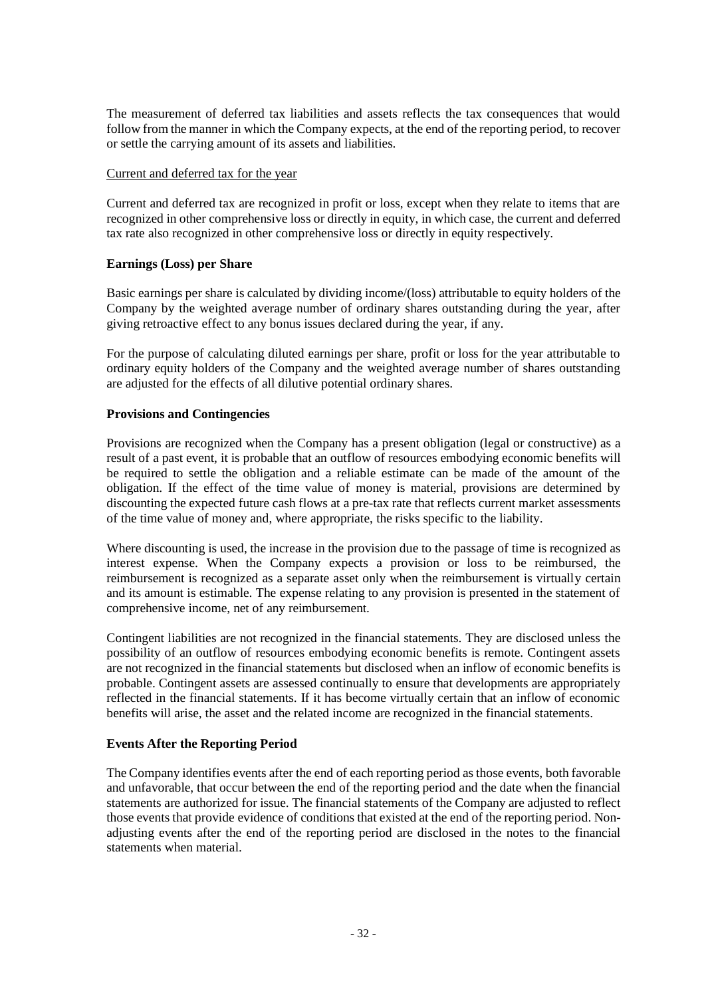The measurement of deferred tax liabilities and assets reflects the tax consequences that would follow from the manner in which the Company expects, at the end of the reporting period, to recover or settle the carrying amount of its assets and liabilities.

### Current and deferred tax for the year

Current and deferred tax are recognized in profit or loss, except when they relate to items that are recognized in other comprehensive loss or directly in equity, in which case, the current and deferred tax rate also recognized in other comprehensive loss or directly in equity respectively.

# **Earnings (Loss) per Share**

Basic earnings per share is calculated by dividing income/(loss) attributable to equity holders of the Company by the weighted average number of ordinary shares outstanding during the year, after giving retroactive effect to any bonus issues declared during the year, if any.

For the purpose of calculating diluted earnings per share, profit or loss for the year attributable to ordinary equity holders of the Company and the weighted average number of shares outstanding are adjusted for the effects of all dilutive potential ordinary shares.

### **Provisions and Contingencies**

Provisions are recognized when the Company has a present obligation (legal or constructive) as a result of a past event, it is probable that an outflow of resources embodying economic benefits will be required to settle the obligation and a reliable estimate can be made of the amount of the obligation. If the effect of the time value of money is material, provisions are determined by discounting the expected future cash flows at a pre-tax rate that reflects current market assessments of the time value of money and, where appropriate, the risks specific to the liability.

Where discounting is used, the increase in the provision due to the passage of time is recognized as interest expense. When the Company expects a provision or loss to be reimbursed, the reimbursement is recognized as a separate asset only when the reimbursement is virtually certain and its amount is estimable. The expense relating to any provision is presented in the statement of comprehensive income, net of any reimbursement.

Contingent liabilities are not recognized in the financial statements. They are disclosed unless the possibility of an outflow of resources embodying economic benefits is remote. Contingent assets are not recognized in the financial statements but disclosed when an inflow of economic benefits is probable. Contingent assets are assessed continually to ensure that developments are appropriately reflected in the financial statements. If it has become virtually certain that an inflow of economic benefits will arise, the asset and the related income are recognized in the financial statements.

### **Events After the Reporting Period**

The Company identifies events after the end of each reporting period asthose events, both favorable and unfavorable, that occur between the end of the reporting period and the date when the financial statements are authorized for issue. The financial statements of the Company are adjusted to reflect those events that provide evidence of conditions that existed at the end of the reporting period. Nonadjusting events after the end of the reporting period are disclosed in the notes to the financial statements when material.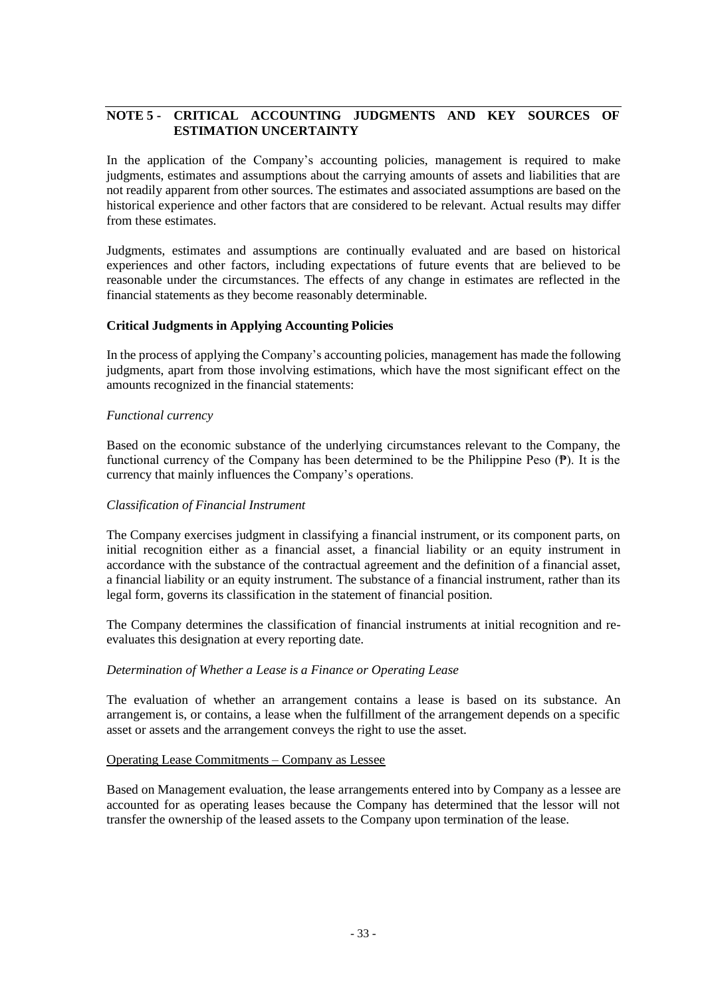# **NOTE 5 - CRITICAL ACCOUNTING JUDGMENTS AND KEY SOURCES OF ESTIMATION UNCERTAINTY**

In the application of the Company's accounting policies, management is required to make judgments, estimates and assumptions about the carrying amounts of assets and liabilities that are not readily apparent from other sources. The estimates and associated assumptions are based on the historical experience and other factors that are considered to be relevant. Actual results may differ from these estimates.

Judgments, estimates and assumptions are continually evaluated and are based on historical experiences and other factors, including expectations of future events that are believed to be reasonable under the circumstances. The effects of any change in estimates are reflected in the financial statements as they become reasonably determinable.

### **Critical Judgments in Applying Accounting Policies**

In the process of applying the Company's accounting policies, management has made the following judgments, apart from those involving estimations, which have the most significant effect on the amounts recognized in the financial statements:

### *Functional currency*

Based on the economic substance of the underlying circumstances relevant to the Company, the functional currency of the Company has been determined to be the Philippine Peso (₱). It is the currency that mainly influences the Company's operations.

### *Classification of Financial Instrument*

The Company exercises judgment in classifying a financial instrument, or its component parts, on initial recognition either as a financial asset, a financial liability or an equity instrument in accordance with the substance of the contractual agreement and the definition of a financial asset, a financial liability or an equity instrument. The substance of a financial instrument, rather than its legal form, governs its classification in the statement of financial position.

The Company determines the classification of financial instruments at initial recognition and reevaluates this designation at every reporting date.

### *Determination of Whether a Lease is a Finance or Operating Lease*

The evaluation of whether an arrangement contains a lease is based on its substance. An arrangement is, or contains, a lease when the fulfillment of the arrangement depends on a specific asset or assets and the arrangement conveys the right to use the asset.

### Operating Lease Commitments – Company as Lessee

Based on Management evaluation, the lease arrangements entered into by Company as a lessee are accounted for as operating leases because the Company has determined that the lessor will not transfer the ownership of the leased assets to the Company upon termination of the lease.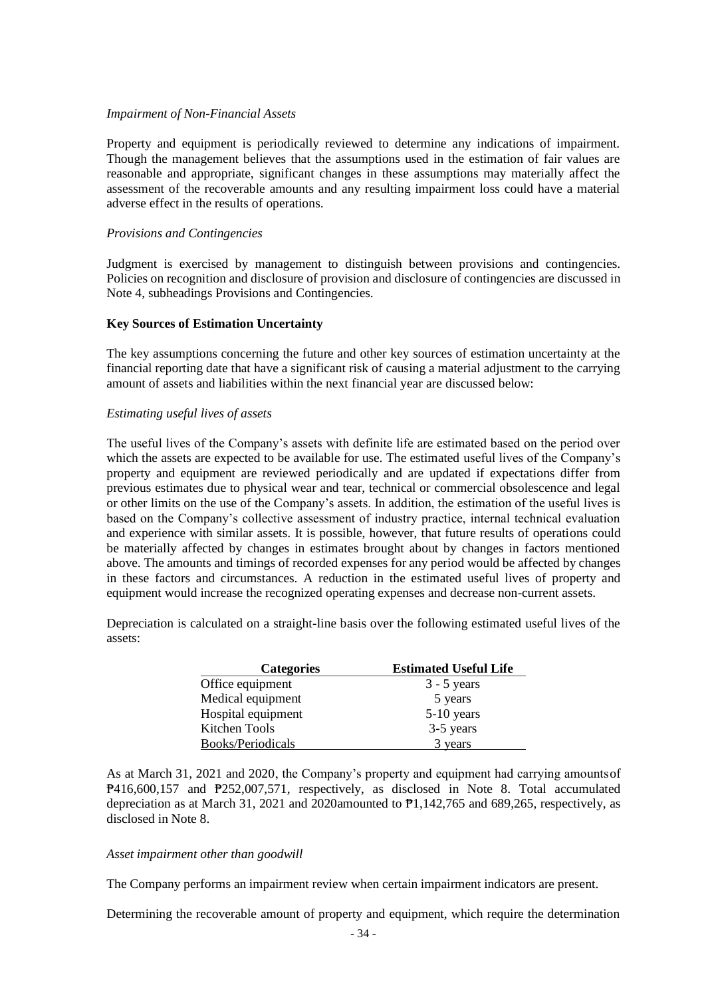#### *Impairment of Non-Financial Assets*

Property and equipment is periodically reviewed to determine any indications of impairment. Though the management believes that the assumptions used in the estimation of fair values are reasonable and appropriate, significant changes in these assumptions may materially affect the assessment of the recoverable amounts and any resulting impairment loss could have a material adverse effect in the results of operations.

#### *Provisions and Contingencies*

Judgment is exercised by management to distinguish between provisions and contingencies. Policies on recognition and disclosure of provision and disclosure of contingencies are discussed in Note 4, subheadings Provisions and Contingencies.

#### **Key Sources of Estimation Uncertainty**

The key assumptions concerning the future and other key sources of estimation uncertainty at the financial reporting date that have a significant risk of causing a material adjustment to the carrying amount of assets and liabilities within the next financial year are discussed below:

#### *Estimating useful lives of assets*

The useful lives of the Company's assets with definite life are estimated based on the period over which the assets are expected to be available for use. The estimated useful lives of the Company's property and equipment are reviewed periodically and are updated if expectations differ from previous estimates due to physical wear and tear, technical or commercial obsolescence and legal or other limits on the use of the Company's assets. In addition, the estimation of the useful lives is based on the Company's collective assessment of industry practice, internal technical evaluation and experience with similar assets. It is possible, however, that future results of operations could be materially affected by changes in estimates brought about by changes in factors mentioned above. The amounts and timings of recorded expenses for any period would be affected by changes in these factors and circumstances. A reduction in the estimated useful lives of property and equipment would increase the recognized operating expenses and decrease non-current assets.

Depreciation is calculated on a straight-line basis over the following estimated useful lives of the assets:

| <b>Categories</b>        | <b>Estimated Useful Life</b> |
|--------------------------|------------------------------|
| Office equipment         | $3 - 5$ years                |
| Medical equipment        | 5 years                      |
| Hospital equipment       | 5-10 years                   |
| <b>Kitchen Tools</b>     | 3-5 years                    |
| <b>Books/Periodicals</b> | 3 years                      |

As at March 31, 2021 and 2020, the Company's property and equipment had carrying amountsof ₱416,600,157 and ₱252,007,571, respectively, as disclosed in Note 8. Total accumulated depreciation as at March 31, 2021 and  $2020$  amounted to  $\overline{P}1,142,765$  and 689,265, respectively, as disclosed in Note 8.

#### *Asset impairment other than goodwill*

The Company performs an impairment review when certain impairment indicators are present.

Determining the recoverable amount of property and equipment, which require the determination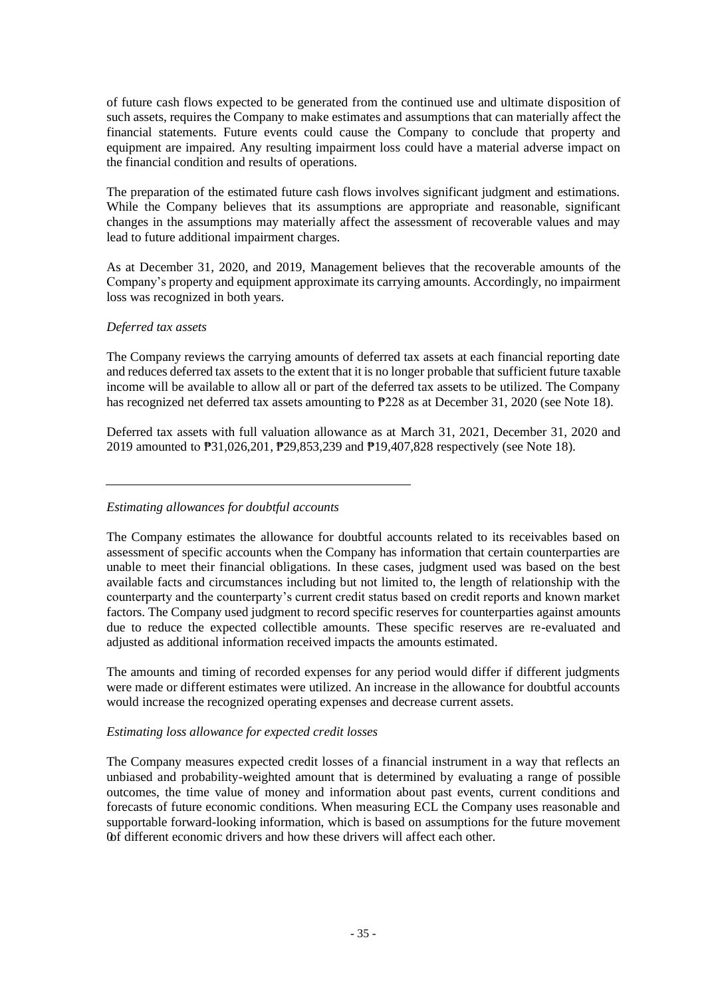of future cash flows expected to be generated from the continued use and ultimate disposition of such assets, requires the Company to make estimates and assumptions that can materially affect the financial statements. Future events could cause the Company to conclude that property and equipment are impaired. Any resulting impairment loss could have a material adverse impact on the financial condition and results of operations.

The preparation of the estimated future cash flows involves significant judgment and estimations. While the Company believes that its assumptions are appropriate and reasonable, significant changes in the assumptions may materially affect the assessment of recoverable values and may lead to future additional impairment charges.

As at December 31, 2020, and 2019, Management believes that the recoverable amounts of the Company's property and equipment approximate its carrying amounts. Accordingly, no impairment loss was recognized in both years.

### *Deferred tax assets*

The Company reviews the carrying amounts of deferred tax assets at each financial reporting date and reduces deferred tax assets to the extent that it is no longer probable that sufficient future taxable income will be available to allow all or part of the deferred tax assets to be utilized. The Company has recognized net deferred tax assets amounting to  $P228$  as at December 31, 2020 (see Note 18).

Deferred tax assets with full valuation allowance as at March 31, 2021, December 31, 2020 and 2019 amounted to ₱31,026,201, ₱29,853,239 and ₱19,407,828 respectively (see Note 18).

### *Estimating allowances for doubtful accounts*

The Company estimates the allowance for doubtful accounts related to its receivables based on assessment of specific accounts when the Company has information that certain counterparties are unable to meet their financial obligations. In these cases, judgment used was based on the best available facts and circumstances including but not limited to, the length of relationship with the counterparty and the counterparty's current credit status based on credit reports and known market factors. The Company used judgment to record specific reserves for counterparties against amounts due to reduce the expected collectible amounts. These specific reserves are re-evaluated and adjusted as additional information received impacts the amounts estimated.

The amounts and timing of recorded expenses for any period would differ if different judgments were made or different estimates were utilized. An increase in the allowance for doubtful accounts would increase the recognized operating expenses and decrease current assets.

### *Estimating loss allowance for expected credit losses*

The Company measures expected credit losses of a financial instrument in a way that reflects an unbiased and probability-weighted amount that is determined by evaluating a range of possible outcomes, the time value of money and information about past events, current conditions and forecasts of future economic conditions. When measuring ECL the Company uses reasonable and supportable forward-looking information, which is based on assumptions for the future movement 0of different economic drivers and how these drivers will affect each other.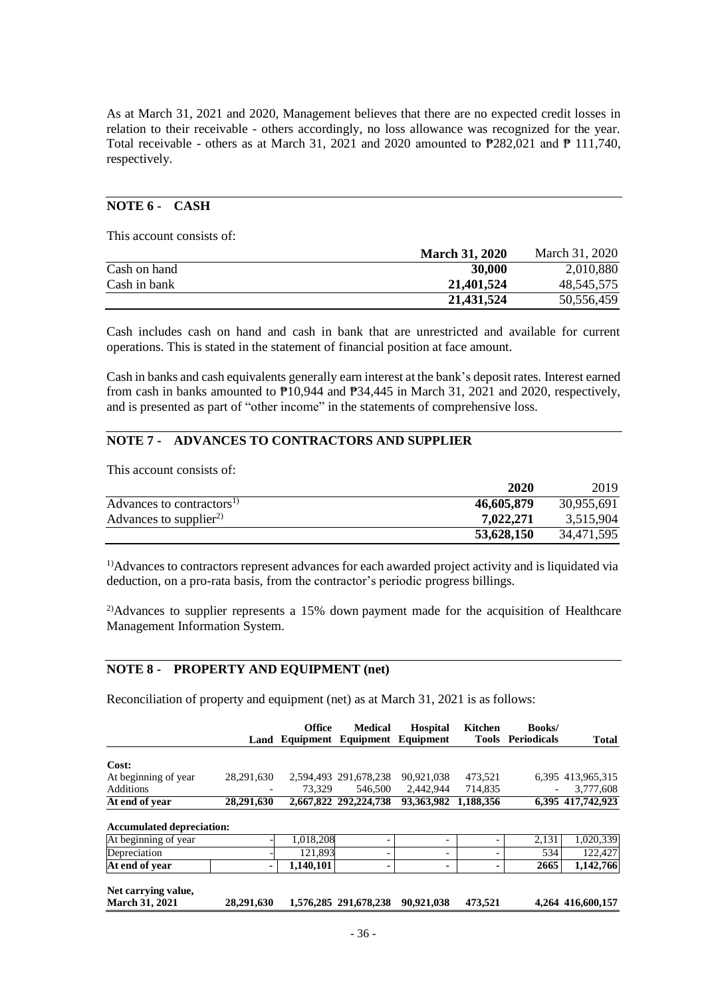As at March 31, 2021 and 2020, Management believes that there are no expected credit losses in relation to their receivable - others accordingly, no loss allowance was recognized for the year. Total receivable - others as at March 31, 2021 and 2020 amounted to  $P282,021$  and  $P111,740$ , respectively.

# **NOTE 6 - CASH**

This account consists of:

|              | <b>March 31, 2020</b> | March 31, 2020 |
|--------------|-----------------------|----------------|
| Cash on hand | 30,000                | 2,010,880      |
| Cash in bank | 21,401,524            | 48.545.575     |
|              | 21,431,524            | 50,556,459     |

Cash includes cash on hand and cash in bank that are unrestricted and available for current operations. This is stated in the statement of financial position at face amount.

Cash in banks and cash equivalents generally earn interest at the bank's deposit rates. Interest earned from cash in banks amounted to  $\overline{P}10,944$  and  $\overline{P}34,445$  in March 31, 2021 and 2020, respectively, and is presented as part of "other income" in the statements of comprehensive loss.

# **NOTE 7 - ADVANCES TO CONTRACTORS AND SUPPLIER**

This account consists of:

|                                       | 2020       | 2019       |
|---------------------------------------|------------|------------|
| Advances to contractors <sup>1)</sup> | 46,605,879 | 30,955,691 |
| Advances to supplier <sup>2)</sup>    | 7,022,271  | 3,515,904  |
|                                       | 53,628,150 | 34,471,595 |

<sup>1)</sup>Advances to contractors represent advances for each awarded project activity and is liquidated via deduction, on a pro-rata basis, from the contractor's periodic progress billings.

2)Advances to supplier represents a 15% down payment made for the acquisition of Healthcare Management Information System.

# **NOTE 8 - PROPERTY AND EQUIPMENT (net)**

Reconciliation of property and equipment (net) as at March 31, 2021 is as follows:

|                                              |            | <b>Office</b> | <b>Medical</b><br>Land Equipment Equipment Equipment | <b>Hospital</b>          | <b>Kitchen</b> | <b>Books/</b><br><b>Tools Periodicals</b> | <b>Total</b>      |
|----------------------------------------------|------------|---------------|------------------------------------------------------|--------------------------|----------------|-------------------------------------------|-------------------|
|                                              |            |               |                                                      |                          |                |                                           |                   |
| Cost:                                        |            |               |                                                      |                          |                |                                           |                   |
| At beginning of year                         | 28,291,630 |               | 2,594,493 291,678,238                                | 90,921,038               | 473,521        |                                           | 6,395 413,965,315 |
| <b>Additions</b>                             |            | 73.329        | 546,500                                              | 2.442.944                | 714,835        | $\qquad \qquad \blacksquare$              | 3,777,608         |
| At end of year                               | 28,291,630 |               | 2.667.822 292.224.738                                | 93,363,982               | 1,188,356      |                                           | 6,395 417,742,923 |
| <b>Accumulated depreciation:</b>             |            |               |                                                      |                          |                |                                           |                   |
| At beginning of year                         |            | 1,018,208     |                                                      | $\overline{\phantom{a}}$ |                | 2,131                                     | 1,020,339         |
| Depreciation                                 |            | 121.893       |                                                      | $\overline{\phantom{a}}$ |                | 534                                       | 122.427           |
| At end of year                               |            | 1,140,101     |                                                      | $\blacksquare$           |                | 2665                                      | 1,142,766         |
| Net carrying value,<br><b>March 31, 2021</b> | 28.291.630 |               | 1.576.285 291.678.238                                | 90.921.038               | 473.521        |                                           | 4.264 416,600,157 |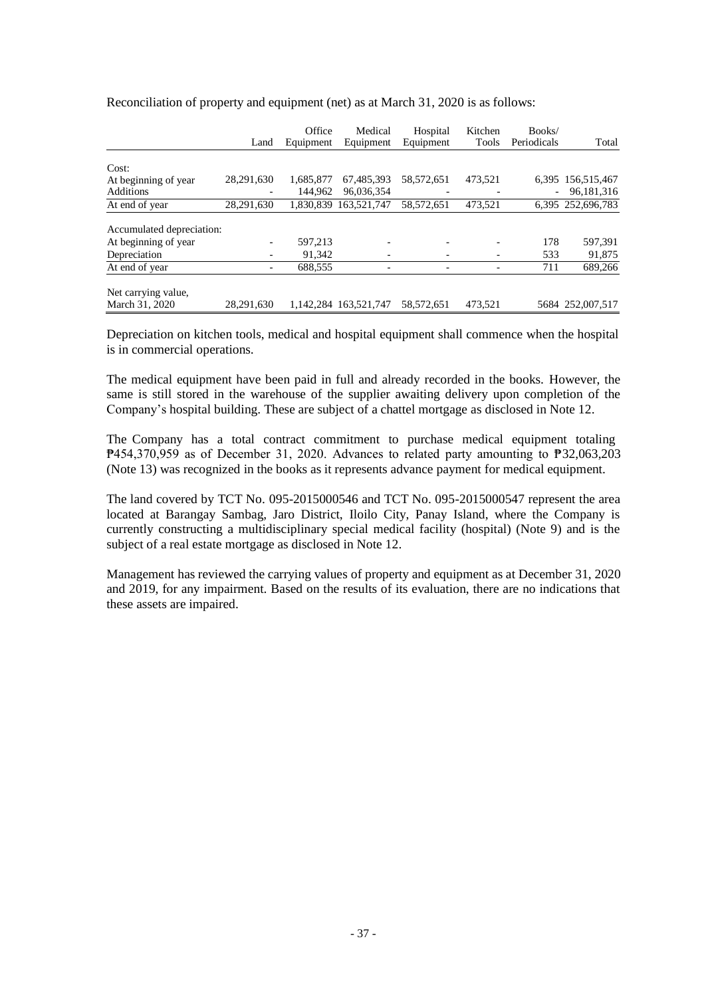|                           | Land       | Office<br>Equipment | Medical<br>Equipment  | Hospital<br>Equipment    | Kitchen<br>Tools | Books/<br>Periodicals    | Total             |
|---------------------------|------------|---------------------|-----------------------|--------------------------|------------------|--------------------------|-------------------|
|                           |            |                     |                       |                          |                  |                          |                   |
| Cost:                     |            |                     |                       |                          |                  |                          |                   |
| At beginning of year      | 28,291,630 | 1.685.877           | 67.485.393            | 58,572,651               | 473,521          |                          | 6,395 156,515,467 |
| Additions                 |            | 144.962             | 96.036.354            |                          |                  | $\overline{\phantom{a}}$ | 96,181,316        |
| At end of year            | 28,291,630 | 1.830.839           | 163,521,747           | 58,572,651               | 473,521          |                          | 6.395 252,696.783 |
| Accumulated depreciation: |            |                     |                       |                          |                  |                          |                   |
| At beginning of year      |            | 597,213             |                       |                          |                  | 178                      | 597.391           |
| Depreciation              |            | 91.342              |                       |                          |                  | 533                      | 91,875            |
| At end of year            |            | 688,555             | -                     | $\overline{\phantom{0}}$ |                  | 711                      | 689,266           |
| Net carrying value,       |            |                     |                       |                          |                  |                          |                   |
| March 31, 2020            | 28,291,630 |                     | 1.142.284 163.521.747 | 58,572,651               | 473.521          |                          | 5684 252,007,517  |

Reconciliation of property and equipment (net) as at March 31, 2020 is as follows:

Depreciation on kitchen tools, medical and hospital equipment shall commence when the hospital is in commercial operations.

The medical equipment have been paid in full and already recorded in the books. However, the same is still stored in the warehouse of the supplier awaiting delivery upon completion of the Company's hospital building. These are subject of a chattel mortgage as disclosed in Note 12.

The Company has a total contract commitment to purchase medical equipment totaling ₱454,370,959 as of December 31, 2020. Advances to related party amounting to ₱32,063,203 (Note 13) was recognized in the books as it represents advance payment for medical equipment.

The land covered by TCT No. 095-2015000546 and TCT No. 095-2015000547 represent the area located at Barangay Sambag, Jaro District, Iloilo City, Panay Island, where the Company is currently constructing a multidisciplinary special medical facility (hospital) (Note 9) and is the subject of a real estate mortgage as disclosed in Note 12.

Management has reviewed the carrying values of property and equipment as at December 31, 2020 and 2019, for any impairment. Based on the results of its evaluation, there are no indications that these assets are impaired.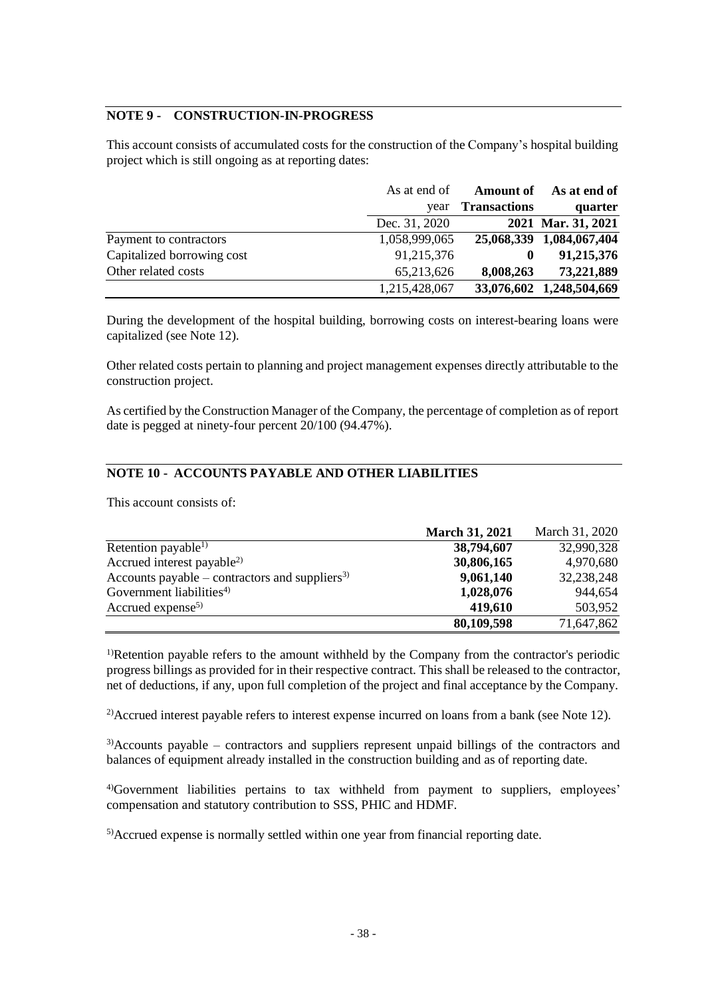# **NOTE 9 - CONSTRUCTION-IN-PROGRESS**

This account consists of accumulated costs for the construction of the Company's hospital building project which is still ongoing as at reporting dates:

|                            | As at end of  | <b>Amount of</b>    | As at end of             |
|----------------------------|---------------|---------------------|--------------------------|
|                            | vear          | <b>Transactions</b> | quarter                  |
|                            | Dec. 31, 2020 |                     | 2021 Mar. 31, 2021       |
| Payment to contractors     | 1,058,999,065 |                     | 25,068,339 1,084,067,404 |
| Capitalized borrowing cost | 91,215,376    | $\bf{0}$            | 91,215,376               |
| Other related costs        | 65,213,626    | 8,008,263           | 73,221,889               |
|                            | 1,215,428,067 |                     | 33,076,602 1,248,504,669 |

During the development of the hospital building, borrowing costs on interest-bearing loans were capitalized (see Note 12).

Other related costs pertain to planning and project management expenses directly attributable to the construction project.

As certified by the Construction Manager of the Company, the percentage of completion as of report date is pegged at ninety-four percent 20/100 (94.47%).

# **NOTE 10 - ACCOUNTS PAYABLE AND OTHER LIABILITIES**

This account consists of:

|                                                            | <b>March 31, 2021</b> | March 31, 2020 |
|------------------------------------------------------------|-----------------------|----------------|
| Retention payable <sup>1)</sup>                            | 38,794,607            | 32,990,328     |
| Accrued interest payable <sup>2)</sup>                     | 30,806,165            | 4,970,680      |
| Accounts payable – contractors and suppliers <sup>3)</sup> | 9,061,140             | 32,238,248     |
| Government liabilities <sup>4)</sup>                       | 1,028,076             | 944,654        |
| Accrued expense <sup>5)</sup>                              | 419,610               | 503,952        |
|                                                            | 80,109,598            | 71,647,862     |

<sup>1)</sup>Retention payable refers to the amount withheld by the Company from the contractor's periodic progress billings as provided for in their respective contract. This shall be released to the contractor, net of deductions, if any, upon full completion of the project and final acceptance by the Company.

<sup>2)</sup>Accrued interest payable refers to interest expense incurred on loans from a bank (see Note 12).

 $3)$ Accounts payable – contractors and suppliers represent unpaid billings of the contractors and balances of equipment already installed in the construction building and as of reporting date.

4)Government liabilities pertains to tax withheld from payment to suppliers, employees' compensation and statutory contribution to SSS, PHIC and HDMF.

5)Accrued expense is normally settled within one year from financial reporting date.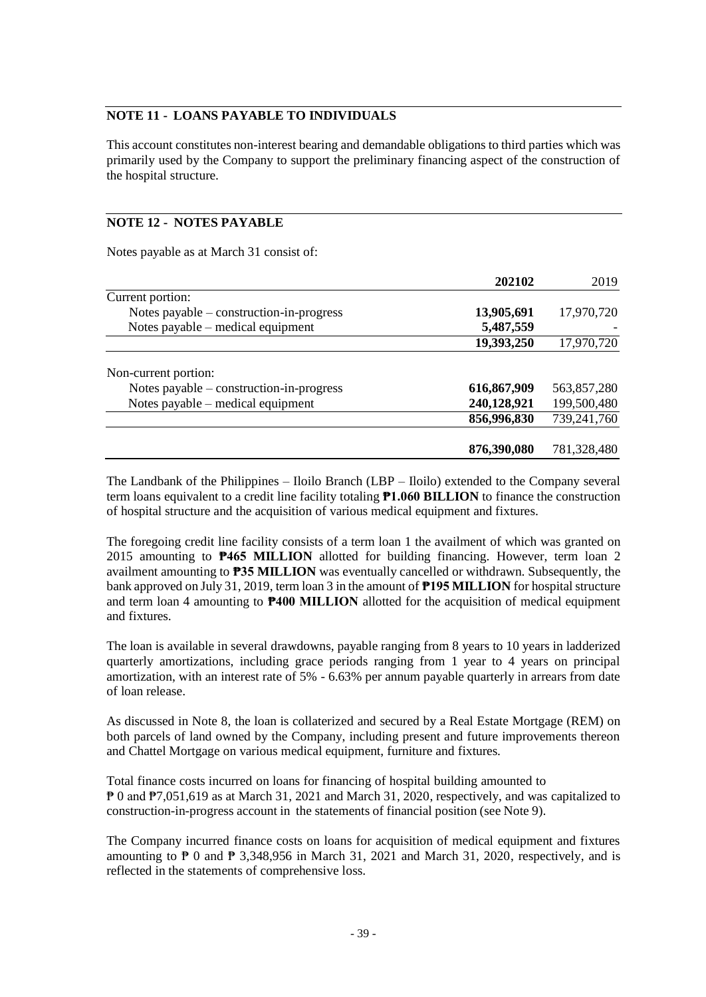# **NOTE 11 - LOANS PAYABLE TO INDIVIDUALS**

This account constitutes non-interest bearing and demandable obligations to third parties which was primarily used by the Company to support the preliminary financing aspect of the construction of the hospital structure.

# **NOTE 12 - NOTES PAYABLE**

Notes payable as at March 31 consist of:

|                                                                    | 202102      | 2019        |
|--------------------------------------------------------------------|-------------|-------------|
| Current portion:                                                   |             |             |
| Notes payable $-$ construction-in-progress                         | 13,905,691  | 17,970,720  |
| Notes payable – medical equipment                                  | 5,487,559   |             |
|                                                                    | 19,393,250  | 17,970,720  |
| Non-current portion:<br>Notes payable $-$ construction-in-progress | 616,867,909 | 563,857,280 |
| Notes payable – medical equipment                                  | 240,128,921 | 199,500,480 |
|                                                                    | 856,996,830 | 739,241,760 |
|                                                                    | 876,390,080 | 781,328,480 |

The Landbank of the Philippines – Iloilo Branch (LBP – Iloilo) extended to the Company several term loans equivalent to a credit line facility totaling **₱1.060 BILLION** to finance the construction of hospital structure and the acquisition of various medical equipment and fixtures.

The foregoing credit line facility consists of a term loan 1 the availment of which was granted on 2015 amounting to **₱465 MILLION** allotted for building financing. However, term loan 2 availment amounting to **₱35 MILLION** was eventually cancelled or withdrawn. Subsequently, the bank approved on July 31, 2019, term loan 3 in the amount of **₱195 MILLION** for hospital structure and term loan 4 amounting to **₱400 MILLION** allotted for the acquisition of medical equipment and fixtures.

The loan is available in several drawdowns, payable ranging from 8 years to 10 years in ladderized quarterly amortizations, including grace periods ranging from 1 year to 4 years on principal amortization, with an interest rate of 5% - 6.63% per annum payable quarterly in arrears from date of loan release.

As discussed in Note 8, the loan is collaterized and secured by a Real Estate Mortgage (REM) on both parcels of land owned by the Company, including present and future improvements thereon and Chattel Mortgage on various medical equipment, furniture and fixtures.

Total finance costs incurred on loans for financing of hospital building amounted to ₱ 0 and ₱7,051,619 as at March 31, 2021 and March 31, 2020, respectively, and was capitalized to construction-in-progress account in the statements of financial position (see Note 9).

The Company incurred finance costs on loans for acquisition of medical equipment and fixtures amounting to  $\overline{P}$  0 and  $\overline{P}$  3,348,956 in March 31, 2021 and March 31, 2020, respectively, and is reflected in the statements of comprehensive loss.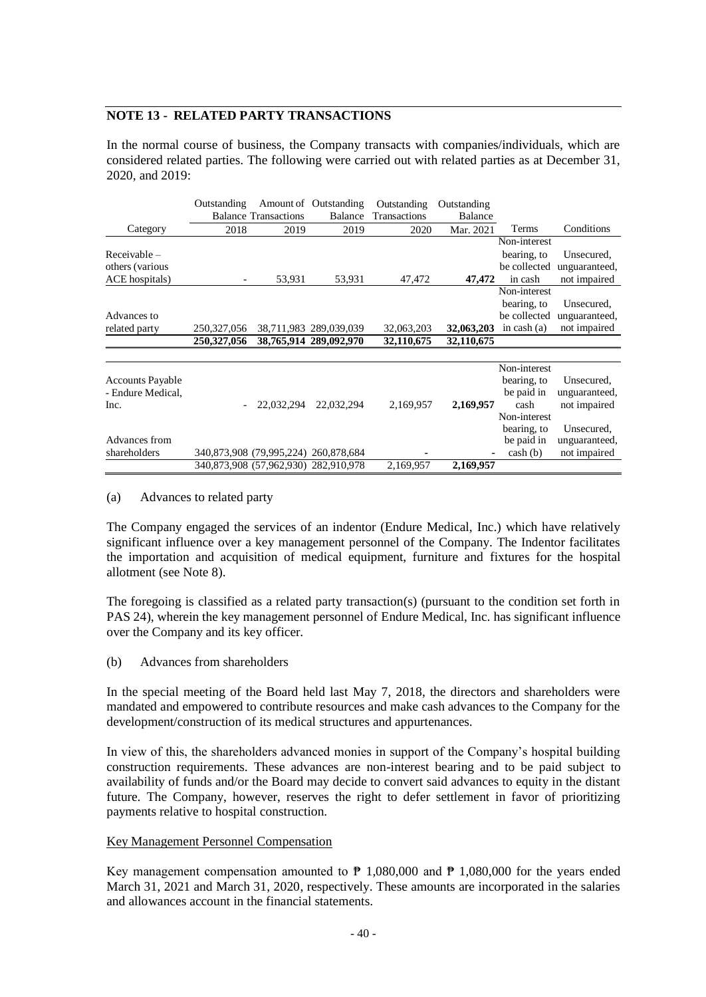# **NOTE 13 - RELATED PARTY TRANSACTIONS**

In the normal course of business, the Company transacts with companies/individuals, which are considered related parties. The following were carried out with related parties as at December 31, 2020, and 2019:

|                         | Outstanding              |                                      | Amount of Outstanding                | Outstanding         | Outstanding |               |               |
|-------------------------|--------------------------|--------------------------------------|--------------------------------------|---------------------|-------------|---------------|---------------|
|                         |                          | <b>Balance Transactions</b>          | <b>Balance</b>                       | <b>Transactions</b> | Balance     |               |               |
| Category                | 2018                     | 2019                                 | 2019                                 | 2020                | Mar. 2021   | Terms         | Conditions    |
|                         |                          |                                      |                                      |                     |             | Non-interest  |               |
| $Receivable -$          |                          |                                      |                                      |                     |             | bearing, to   | Unsecured,    |
| others (various         |                          |                                      |                                      |                     |             | be collected  | unguaranteed, |
| ACE hospitals)          | $\overline{\phantom{a}}$ | 53,931                               | 53,931                               | 47,472              | 47,472      | in cash       | not impaired  |
|                         |                          |                                      |                                      |                     |             | Non-interest  |               |
|                         |                          |                                      |                                      |                     |             | bearing, to   | Unsecured,    |
| Advances to             |                          |                                      |                                      |                     |             | be collected  | unguaranteed, |
| related party           | 250,327,056              |                                      | 38,711,983 289,039,039               | 32,063,203          | 32,063,203  | in cash $(a)$ | not impaired  |
|                         | 250,327,056              |                                      | 38,765,914 289,092,970               | 32,110,675          | 32,110,675  |               |               |
|                         |                          |                                      |                                      |                     |             |               |               |
|                         |                          |                                      |                                      |                     |             | Non-interest  |               |
| <b>Accounts Payable</b> |                          |                                      |                                      |                     |             | bearing, to   | Unsecured,    |
| - Endure Medical,       |                          |                                      |                                      |                     |             | be paid in    | unguaranteed, |
| Inc.                    |                          | 22,032,294                           | 22,032,294                           | 2,169,957           | 2,169,957   | cash          | not impaired  |
|                         |                          |                                      |                                      |                     |             | Non-interest  |               |
|                         |                          |                                      |                                      |                     |             | bearing, to   | Unsecured,    |
| Advances from           |                          |                                      |                                      |                     |             | be paid in    | unguaranteed, |
| shareholders            |                          |                                      | 340,873,908 (79,995,224) 260,878,684 |                     |             | $\cosh(b)$    | not impaired  |
|                         |                          | 340,873,908 (57,962,930) 282,910,978 |                                      | 2,169,957           | 2,169,957   |               |               |

#### (a) Advances to related party

The Company engaged the services of an indentor (Endure Medical, Inc.) which have relatively significant influence over a key management personnel of the Company. The Indentor facilitates the importation and acquisition of medical equipment, furniture and fixtures for the hospital allotment (see Note 8).

The foregoing is classified as a related party transaction(s) (pursuant to the condition set forth in PAS 24), wherein the key management personnel of Endure Medical, Inc. has significant influence over the Company and its key officer.

(b) Advances from shareholders

In the special meeting of the Board held last May 7, 2018, the directors and shareholders were mandated and empowered to contribute resources and make cash advances to the Company for the development/construction of its medical structures and appurtenances.

In view of this, the shareholders advanced monies in support of the Company's hospital building construction requirements. These advances are non-interest bearing and to be paid subject to availability of funds and/or the Board may decide to convert said advances to equity in the distant future. The Company, however, reserves the right to defer settlement in favor of prioritizing payments relative to hospital construction.

### Key Management Personnel Compensation

Key management compensation amounted to  $\overline{P}$  1,080,000 and  $\overline{P}$  1,080,000 for the years ended March 31, 2021 and March 31, 2020, respectively. These amounts are incorporated in the salaries and allowances account in the financial statements.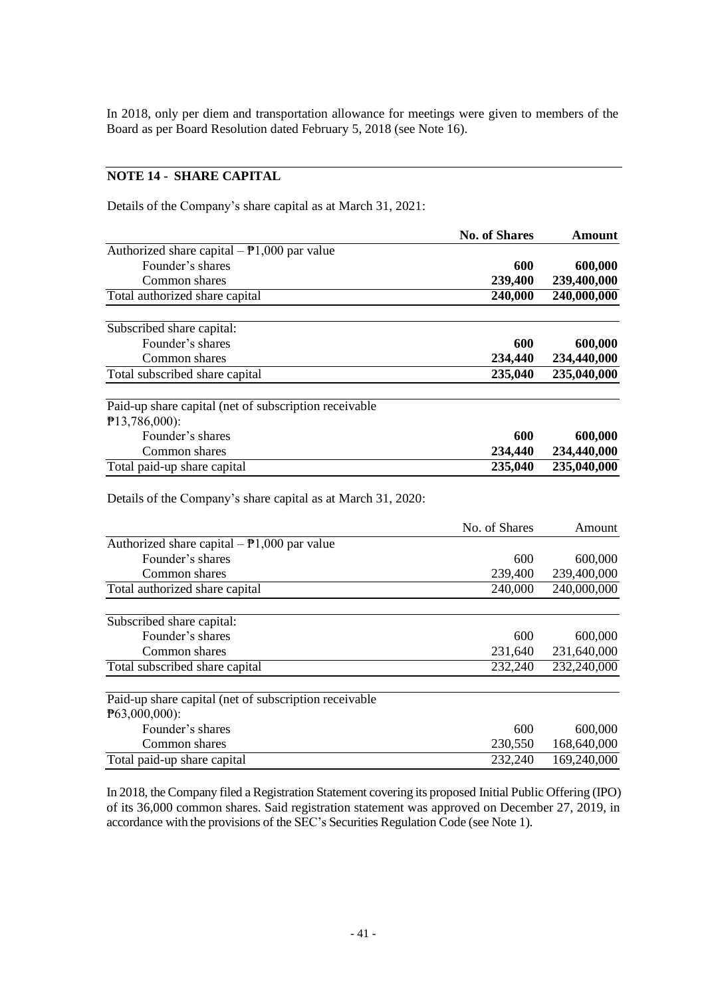In 2018, only per diem and transportation allowance for meetings were given to members of the Board as per Board Resolution dated February 5, 2018 (see Note 16).

# **NOTE 14 - SHARE CAPITAL**

Details of the Company's share capital as at March 31, 2021:

|                                                              | <b>No. of Shares</b> | <b>Amount</b> |
|--------------------------------------------------------------|----------------------|---------------|
| Authorized share capital $-\frac{1}{2}$ ,000 par value       |                      |               |
| Founder's shares                                             | 600                  | 600,000       |
| Common shares                                                | 239,400              | 239,400,000   |
| Total authorized share capital                               | 240,000              | 240,000,000   |
| Subscribed share capital:                                    |                      |               |
| Founder's shares                                             | 600                  | 600,000       |
| Common shares                                                | 234,440              | 234,440,000   |
| Total subscribed share capital                               | 235,040              | 235,040,000   |
| Paid-up share capital (net of subscription receivable        |                      |               |
| P13,786,000):                                                |                      |               |
| Founder's shares                                             | 600                  | 600,000       |
| Common shares                                                | 234,440              | 234,440,000   |
| Total paid-up share capital                                  | 235,040              | 235,040,000   |
| Details of the Company's share capital as at March 31, 2020: |                      |               |
|                                                              | No. of Shares        | Amount        |
| Authorized share capital $-\frac{1}{2}$ ,000 par value       |                      |               |
| Founder's shares                                             | 600                  | 600,000       |
| Common shares                                                | 239,400              | 239,400,000   |
| Total authorized share capital                               | 240,000              | 240,000,000   |
| Subscribed share capital:                                    |                      |               |
| Founder's shares                                             | 600                  | 600,000       |
| Common shares                                                | 231,640              | 231,640,000   |

Paid-up share capital (net of subscription receivable ₱63,000,000): Founder's shares 600 600,000 600,000 600,000 600,000 600,000 600,000 600,000 600,000 600,000 600,000 600,000 600,000 600,000 600,000 600,000 600,000 600,000 600,000 600,000 600,000 600,000 600,000 600,000 600,000 600,000 6 Common shares 230,550 168,640,000 Total paid-up share capital 232,240 169,240,000

Total subscribed share capital 232,240 232,240,000

In 2018, the Company filed a Registration Statement covering its proposed Initial Public Offering (IPO) of its 36,000 common shares. Said registration statement was approved on December 27, 2019, in accordance with the provisions of the SEC's Securities Regulation Code (see Note 1).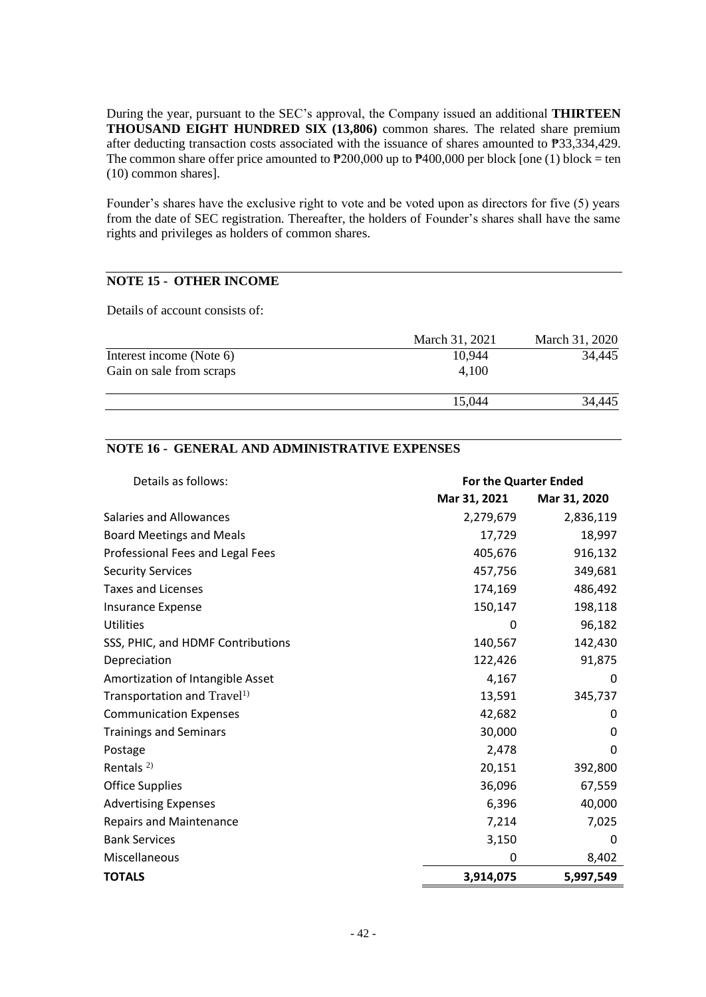During the year, pursuant to the SEC's approval, the Company issued an additional **THIRTEEN THOUSAND EIGHT HUNDRED SIX (13,806)** common shares. The related share premium after deducting transaction costs associated with the issuance of shares amounted to ₱33,334,429. The common share offer price amounted to  $P200,000$  up to  $P400,000$  per block [one (1) block = ten (10) common shares].

Founder's shares have the exclusive right to vote and be voted upon as directors for five (5) years from the date of SEC registration. Thereafter, the holders of Founder's shares shall have the same rights and privileges as holders of common shares.

# **NOTE 15 - OTHER INCOME**

Details of account consists of:

|                          | March 31, 2021 | March 31, 2020 |
|--------------------------|----------------|----------------|
| Interest income (Note 6) | 10,944         | 34,445         |
| Gain on sale from scraps | 4.100          |                |
|                          | 15.044         | 34.445         |
|                          |                |                |

# **NOTE 16 - GENERAL AND ADMINISTRATIVE EXPENSES**

| Details as follows:                     | <b>For the Quarter Ended</b> |              |  |
|-----------------------------------------|------------------------------|--------------|--|
|                                         | Mar 31, 2021                 | Mar 31, 2020 |  |
| Salaries and Allowances                 | 2,279,679                    | 2,836,119    |  |
| <b>Board Meetings and Meals</b>         | 17,729                       | 18,997       |  |
| Professional Fees and Legal Fees        | 405,676                      | 916,132      |  |
| <b>Security Services</b>                | 457,756                      | 349,681      |  |
| <b>Taxes and Licenses</b>               | 174,169                      | 486,492      |  |
| <b>Insurance Expense</b>                | 150,147                      | 198,118      |  |
| <b>Utilities</b>                        | 0                            | 96,182       |  |
| SSS, PHIC, and HDMF Contributions       | 140,567                      | 142,430      |  |
| Depreciation                            | 122,426                      | 91,875       |  |
| Amortization of Intangible Asset        | 4,167                        | 0            |  |
| Transportation and Travel <sup>1)</sup> | 13,591                       | 345,737      |  |
| <b>Communication Expenses</b>           | 42,682                       | 0            |  |
| <b>Trainings and Seminars</b>           | 30,000                       | 0            |  |
| Postage                                 | 2,478                        | 0            |  |
| Rentals $^{2)}$                         | 20,151                       | 392,800      |  |
| <b>Office Supplies</b>                  | 36,096                       | 67,559       |  |
| <b>Advertising Expenses</b>             | 6,396                        | 40,000       |  |
| <b>Repairs and Maintenance</b>          | 7,214                        | 7,025        |  |
| <b>Bank Services</b>                    | 3,150                        | 0            |  |
| Miscellaneous                           | 0                            | 8,402        |  |
| <b>TOTALS</b>                           | 3,914,075                    | 5,997,549    |  |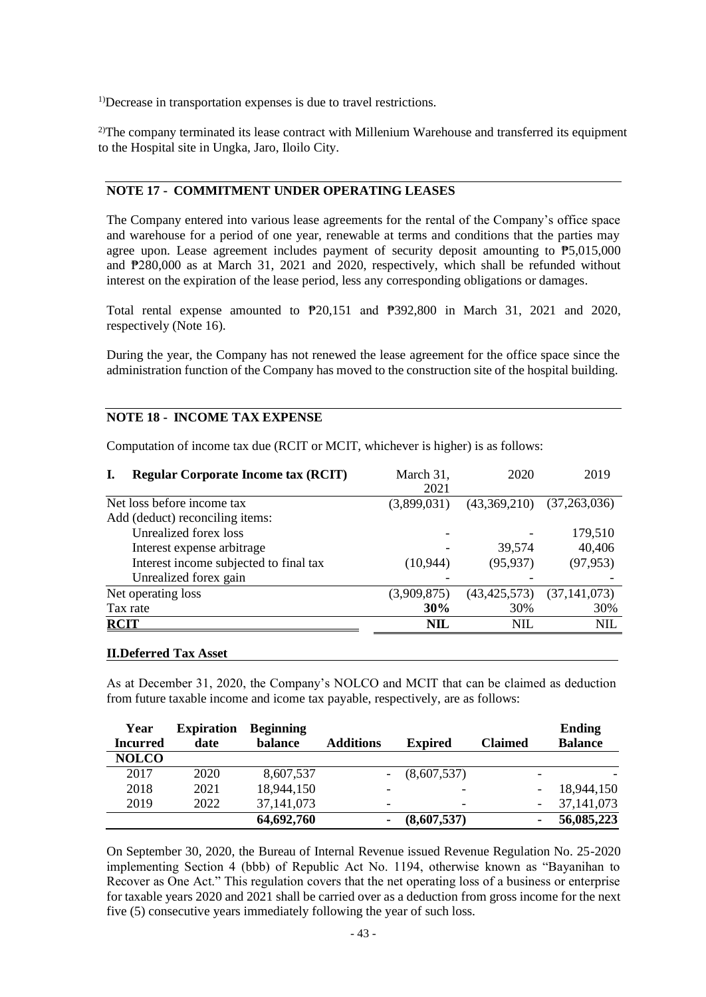<sup>1)</sup>Decrease in transportation expenses is due to travel restrictions.

<sup>2)</sup>The company terminated its lease contract with Millenium Warehouse and transferred its equipment to the Hospital site in Ungka, Jaro, Iloilo City.

# **NOTE 17 - COMMITMENT UNDER OPERATING LEASES**

The Company entered into various lease agreements for the rental of the Company's office space and warehouse for a period of one year, renewable at terms and conditions that the parties may agree upon. Lease agreement includes payment of security deposit amounting to ₱5,015,000 and ₱280,000 as at March 31, 2021 and 2020, respectively, which shall be refunded without interest on the expiration of the lease period, less any corresponding obligations or damages.

Total rental expense amounted to ₱20,151 and ₱392,800 in March 31, 2021 and 2020, respectively (Note 16).

During the year, the Company has not renewed the lease agreement for the office space since the administration function of the Company has moved to the construction site of the hospital building.

# **NOTE 18 - INCOME TAX EXPENSE**

Computation of income tax due (RCIT or MCIT, whichever is higher) is as follows:

| <b>Regular Corporate Income tax (RCIT)</b> | March 31,<br>2021 | 2020           | 2019           |
|--------------------------------------------|-------------------|----------------|----------------|
| Net loss before income tax                 | (3,899,031)       | (43,369,210)   | (37,263,036)   |
| Add (deduct) reconciling items:            |                   |                |                |
| Unrealized forex loss                      |                   |                | 179,510        |
| Interest expense arbitrage                 |                   | 39.574         | 40,406         |
| Interest income subjected to final tax     | (10,944)          | (95, 937)      | (97, 953)      |
| Unrealized forex gain                      |                   |                |                |
| Net operating loss                         | (3,909,875)       | (43, 425, 573) | (37, 141, 073) |
| Tax rate                                   | 30%               | 30%            | 30%            |
| <u>RCIT</u>                                | <b>NIL</b>        | NIL.           | <b>NIL</b>     |
|                                            |                   |                |                |

#### **II.Deferred Tax Asset**

As at December 31, 2020, the Company's NOLCO and MCIT that can be claimed as deduction from future taxable income and icome tax payable, respectively, are as follows:

| Year            | <b>Expiration</b> | <b>Beginning</b> |                          |                |                | <b>Ending</b>  |
|-----------------|-------------------|------------------|--------------------------|----------------|----------------|----------------|
| <b>Incurred</b> | date              | balance          | <b>Additions</b>         | <b>Expired</b> | <b>Claimed</b> | <b>Balance</b> |
| <b>NOLCO</b>    |                   |                  |                          |                |                |                |
| 2017            | 2020              | 8,607,537        |                          | (8,607,537)    |                |                |
| 2018            | 2021              | 18,944,150       |                          |                |                | 18,944,150     |
| 2019            | 2022              | 37, 141, 073     | $\overline{\phantom{0}}$ |                |                | 37, 141, 073   |
|                 |                   | 64,692,760       |                          | (8,607,537)    |                | 56,085,223     |

On September 30, 2020, the Bureau of Internal Revenue issued Revenue Regulation No. 25-2020 implementing Section 4 (bbb) of Republic Act No. 1194, otherwise known as "Bayanihan to Recover as One Act." This regulation covers that the net operating loss of a business or enterprise for taxable years 2020 and 2021 shall be carried over as a deduction from gross income for the next five (5) consecutive years immediately following the year of such loss.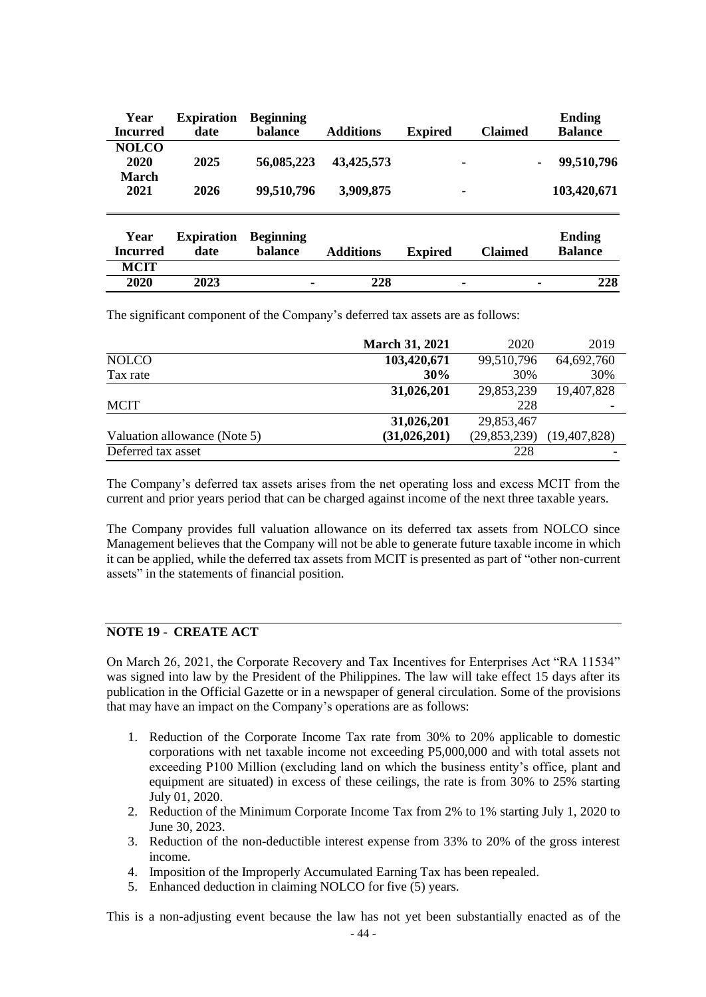| Year<br><b>Incurred</b> | <b>Expiration</b><br>date | <b>Beginning</b><br>balance | <b>Additions</b> | <b>Expired</b> | <b>Claimed</b> | <b>Ending</b><br><b>Balance</b> |
|-------------------------|---------------------------|-----------------------------|------------------|----------------|----------------|---------------------------------|
| <b>NOLCO</b>            |                           |                             |                  |                |                |                                 |
| 2020                    | 2025                      | 56,085,223                  | 43, 425, 573     | ۰              | ۰              | 99,510,796                      |
| <b>March</b><br>2021    | 2026                      | 99,510,796                  | 3,909,875        | ۰              |                | 103,420,671                     |
| Year                    | <b>Expiration</b>         | <b>Beginning</b>            |                  |                |                | <b>Ending</b>                   |
| <b>Incurred</b>         | date                      | balance                     | <b>Additions</b> | <b>Expired</b> | <b>Claimed</b> | <b>Balance</b>                  |
| <b>MCIT</b>             |                           |                             |                  |                |                |                                 |
| 2020                    | 2023                      |                             | 228              |                |                | 228                             |

The significant component of the Company's deferred tax assets are as follows:

|                              | <b>March 31, 2021</b> | 2020           | 2019           |
|------------------------------|-----------------------|----------------|----------------|
| <b>NOLCO</b>                 | 103,420,671           | 99,510,796     | 64,692,760     |
| Tax rate                     | 30%                   | 30%            | 30%            |
|                              | 31,026,201            | 29,853,239     | 19,407,828     |
| <b>MCIT</b>                  |                       | 228            |                |
|                              | 31,026,201            | 29,853,467     |                |
| Valuation allowance (Note 5) | (31, 026, 201)        | (29, 853, 239) | (19, 407, 828) |
| Deferred tax asset           |                       | 228            |                |

The Company's deferred tax assets arises from the net operating loss and excess MCIT from the current and prior years period that can be charged against income of the next three taxable years.

The Company provides full valuation allowance on its deferred tax assets from NOLCO since Management believes that the Company will not be able to generate future taxable income in which it can be applied, while the deferred tax assets from MCIT is presented as part of "other non-current assets" in the statements of financial position.

# **NOTE 19 - CREATE ACT**

On March 26, 2021, the Corporate Recovery and Tax Incentives for Enterprises Act "RA 11534" was signed into law by the President of the Philippines. The law will take effect 15 days after its publication in the Official Gazette or in a newspaper of general circulation. Some of the provisions that may have an impact on the Company's operations are as follows:

- 1. Reduction of the Corporate Income Tax rate from 30% to 20% applicable to domestic corporations with net taxable income not exceeding P5,000,000 and with total assets not exceeding P100 Million (excluding land on which the business entity's office, plant and equipment are situated) in excess of these ceilings, the rate is from 30% to 25% starting July 01, 2020.
- 2. Reduction of the Minimum Corporate Income Tax from 2% to 1% starting July 1, 2020 to June 30, 2023.
- 3. Reduction of the non-deductible interest expense from 33% to 20% of the gross interest income.
- 4. Imposition of the Improperly Accumulated Earning Tax has been repealed.
- 5. Enhanced deduction in claiming NOLCO for five (5) years.

This is a non-adjusting event because the law has not yet been substantially enacted as of the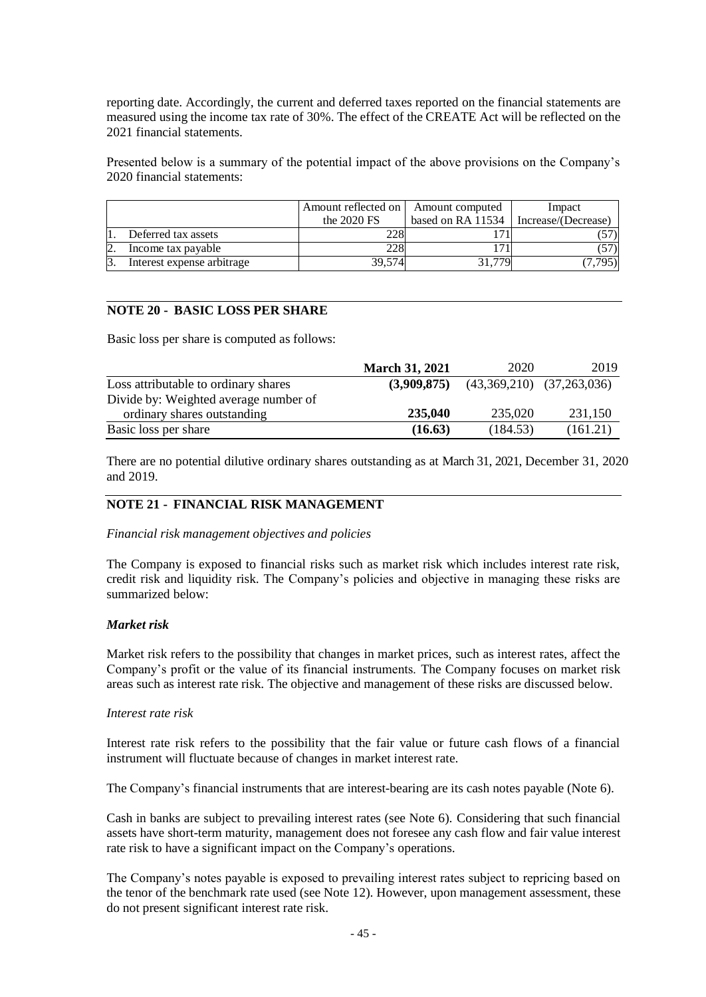reporting date. Accordingly, the current and deferred taxes reported on the financial statements are measured using the income tax rate of 30%. The effect of the CREATE Act will be reflected on the 2021 financial statements.

Presented below is a summary of the potential impact of the above provisions on the Company's 2020 financial statements:

|   |                            | Amount reflected on | Amount computed   | Impact              |
|---|----------------------------|---------------------|-------------------|---------------------|
|   |                            | the $2020$ FS       | based on RA 11534 | Increase/(Decrease) |
|   | Deferred tax assets        | 228                 |                   |                     |
|   | Income tax payable         | 228                 |                   |                     |
| ♪ | Interest expense arbitrage | 39,574              | 31.779            | (7, 795)            |

# **NOTE 20 - BASIC LOSS PER SHARE**

Basic loss per share is computed as follows:

|                                       | <b>March 31, 2021</b> | 2020                          | 2019     |
|---------------------------------------|-----------------------|-------------------------------|----------|
| Loss attributable to ordinary shares  | (3,909,875)           | $(43,369,210)$ $(37,263,036)$ |          |
| Divide by: Weighted average number of |                       |                               |          |
| ordinary shares outstanding           | 235,040               | 235,020                       | 231.150  |
| Basic loss per share                  | (16.63)               | (184.53)                      | (161.21) |

There are no potential dilutive ordinary shares outstanding as at March 31, 2021, December 31, 2020 and 2019.

# **NOTE 21 - FINANCIAL RISK MANAGEMENT**

*Financial risk management objectives and policies*

The Company is exposed to financial risks such as market risk which includes interest rate risk, credit risk and liquidity risk. The Company's policies and objective in managing these risks are summarized below:

#### *Market risk*

Market risk refers to the possibility that changes in market prices, such as interest rates, affect the Company's profit or the value of its financial instruments. The Company focuses on market risk areas such as interest rate risk. The objective and management of these risks are discussed below.

#### *Interest rate risk*

Interest rate risk refers to the possibility that the fair value or future cash flows of a financial instrument will fluctuate because of changes in market interest rate.

The Company's financial instruments that are interest-bearing are its cash notes payable (Note 6).

Cash in banks are subject to prevailing interest rates (see Note 6). Considering that such financial assets have short-term maturity, management does not foresee any cash flow and fair value interest rate risk to have a significant impact on the Company's operations.

The Company's notes payable is exposed to prevailing interest rates subject to repricing based on the tenor of the benchmark rate used (see Note 12). However, upon management assessment, these do not present significant interest rate risk.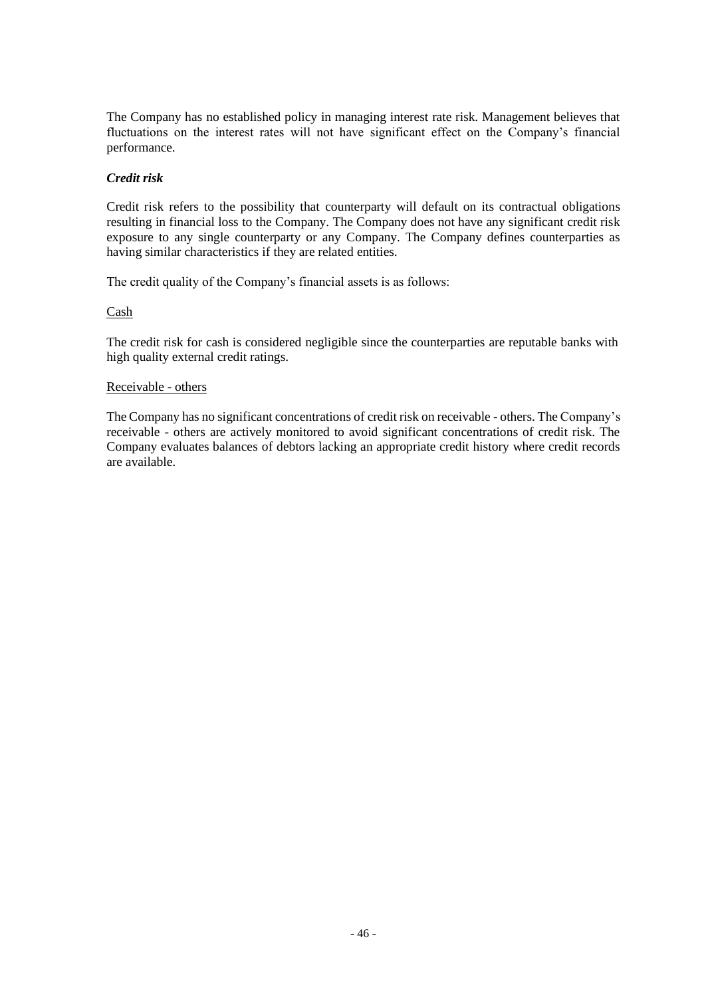The Company has no established policy in managing interest rate risk. Management believes that fluctuations on the interest rates will not have significant effect on the Company's financial performance.

### *Credit risk*

Credit risk refers to the possibility that counterparty will default on its contractual obligations resulting in financial loss to the Company. The Company does not have any significant credit risk exposure to any single counterparty or any Company. The Company defines counterparties as having similar characteristics if they are related entities.

The credit quality of the Company's financial assets is as follows:

### Cash

The credit risk for cash is considered negligible since the counterparties are reputable banks with high quality external credit ratings.

#### Receivable - others

The Company has no significant concentrations of credit risk on receivable - others. The Company's receivable - others are actively monitored to avoid significant concentrations of credit risk. The Company evaluates balances of debtors lacking an appropriate credit history where credit records are available.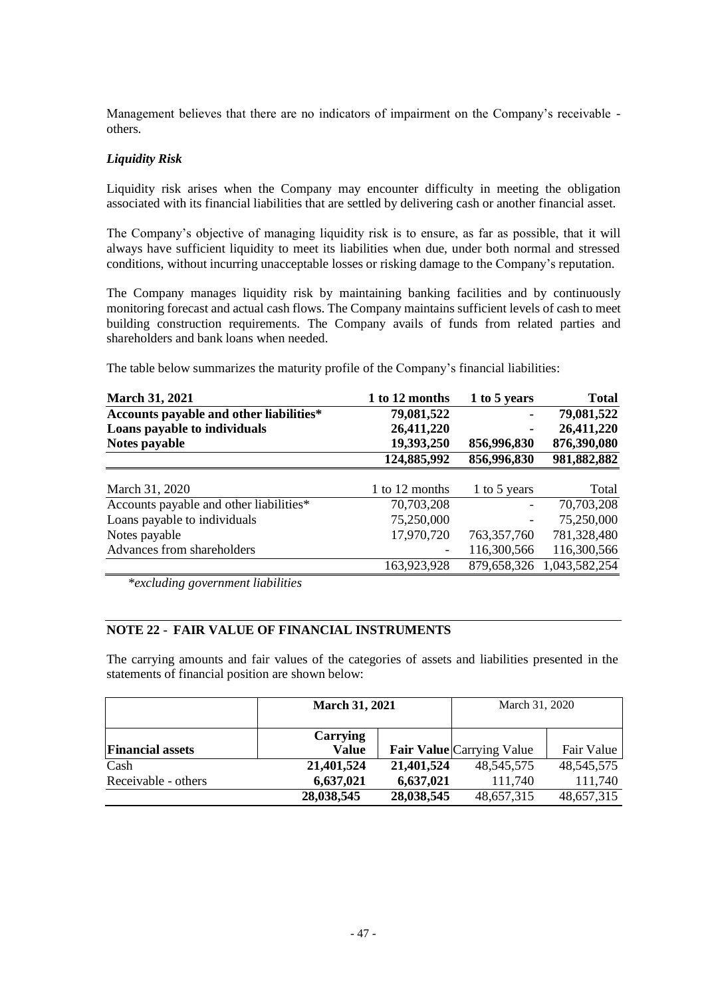Management believes that there are no indicators of impairment on the Company's receivable others.

### *Liquidity Risk*

Liquidity risk arises when the Company may encounter difficulty in meeting the obligation associated with its financial liabilities that are settled by delivering cash or another financial asset.

The Company's objective of managing liquidity risk is to ensure, as far as possible, that it will always have sufficient liquidity to meet its liabilities when due, under both normal and stressed conditions, without incurring unacceptable losses or risking damage to the Company's reputation.

The Company manages liquidity risk by maintaining banking facilities and by continuously monitoring forecast and actual cash flows. The Company maintains sufficient levels of cash to meet building construction requirements. The Company avails of funds from related parties and shareholders and bank loans when needed.

The table below summarizes the maturity profile of the Company's financial liabilities:

| <b>March 31, 2021</b>                   | 1 to 12 months | 1 to 5 years  | <b>Total</b>  |
|-----------------------------------------|----------------|---------------|---------------|
| Accounts payable and other liabilities* | 79,081,522     |               | 79,081,522    |
| Loans payable to individuals            | 26,411,220     |               | 26,411,220    |
| Notes payable                           | 19,393,250     | 856,996,830   | 876,390,080   |
|                                         | 124,885,992    | 856,996,830   | 981,882,882   |
|                                         |                |               |               |
| March 31, 2020                          | 1 to 12 months | 1 to 5 years  | Total         |
| Accounts payable and other liabilities* | 70,703,208     |               | 70,703,208    |
| Loans payable to individuals            | 75,250,000     |               | 75,250,000    |
| Notes payable                           | 17,970,720     | 763, 357, 760 | 781,328,480   |
| Advances from shareholders              |                | 116,300,566   | 116,300,566   |
|                                         | 163,923,928    | 879,658,326   | 1,043,582,254 |

*\*excluding government liabilities*

# **NOTE 22 - FAIR VALUE OF FINANCIAL INSTRUMENTS**

The carrying amounts and fair values of the categories of assets and liabilities presented in the statements of financial position are shown below:

|                         | <b>March 31, 2021</b> |            | March 31, 2020                   |              |
|-------------------------|-----------------------|------------|----------------------------------|--------------|
| <b>Financial assets</b> | Carrying<br>Value     |            | <b>Fair Value</b> Carrying Value | Fair Value   |
| Cash                    | 21,401,524            | 21,401,524 | 48, 545, 575                     | 48, 545, 575 |
| Receivable - others     | 6,637,021             | 6,637,021  | 111,740                          | 111,740      |
|                         | 28,038,545            | 28,038,545 | 48,657,315                       | 48,657,315   |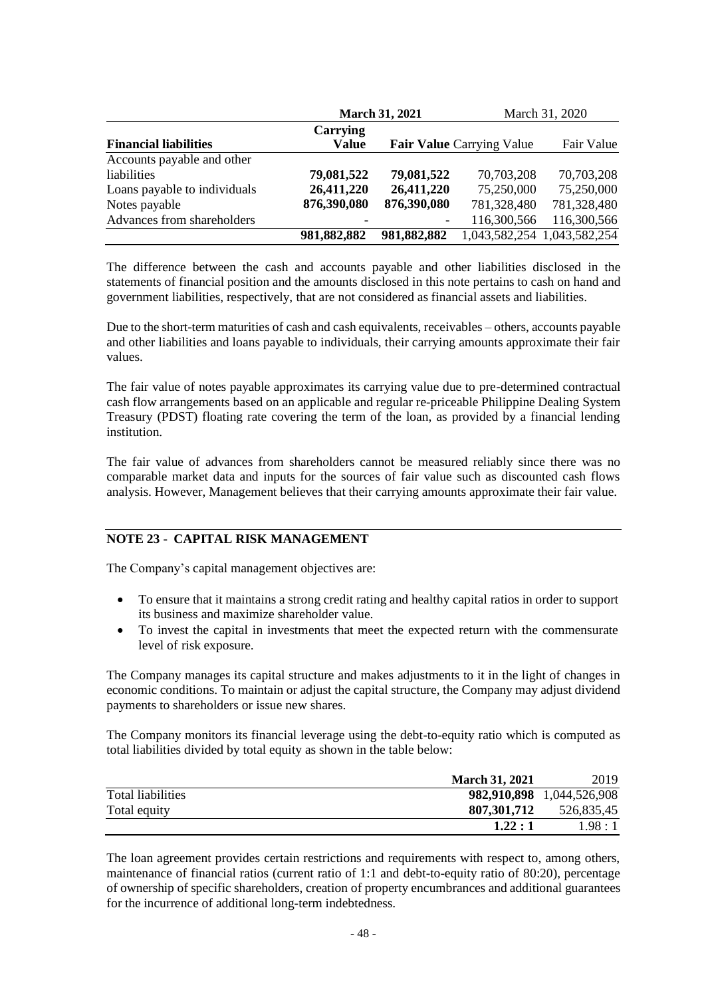|                              | <b>March 31, 2021</b>    |             | March 31, 2020                   |                             |
|------------------------------|--------------------------|-------------|----------------------------------|-----------------------------|
| <b>Financial liabilities</b> | Carrying<br><b>Value</b> |             | <b>Fair Value</b> Carrying Value | Fair Value                  |
| Accounts payable and other   |                          |             |                                  |                             |
| liabilities                  | 79,081,522               | 79,081,522  | 70,703,208                       | 70,703,208                  |
| Loans payable to individuals | 26,411,220               | 26,411,220  | 75,250,000                       | 75,250,000                  |
| Notes payable                | 876,390,080              | 876,390,080 | 781,328,480                      | 781,328,480                 |
| Advances from shareholders   |                          |             | 116,300,566                      | 116,300,566                 |
|                              | 981,882,882              | 981,882,882 |                                  | 1,043,582,254 1,043,582,254 |

The difference between the cash and accounts payable and other liabilities disclosed in the statements of financial position and the amounts disclosed in this note pertains to cash on hand and government liabilities, respectively, that are not considered as financial assets and liabilities.

Due to the short-term maturities of cash and cash equivalents, receivables – others, accounts payable and other liabilities and loans payable to individuals, their carrying amounts approximate their fair values.

The fair value of notes payable approximates its carrying value due to pre-determined contractual cash flow arrangements based on an applicable and regular re-priceable Philippine Dealing System Treasury (PDST) floating rate covering the term of the loan, as provided by a financial lending institution.

The fair value of advances from shareholders cannot be measured reliably since there was no comparable market data and inputs for the sources of fair value such as discounted cash flows analysis. However, Management believes that their carrying amounts approximate their fair value.

# **NOTE 23 - CAPITAL RISK MANAGEMENT**

The Company's capital management objectives are:

- To ensure that it maintains a strong credit rating and healthy capital ratios in order to support its business and maximize shareholder value.
- To invest the capital in investments that meet the expected return with the commensurate level of risk exposure.

The Company manages its capital structure and makes adjustments to it in the light of changes in economic conditions. To maintain or adjust the capital structure, the Company may adjust dividend payments to shareholders or issue new shares.

The Company monitors its financial leverage using the debt-to-equity ratio which is computed as total liabilities divided by total equity as shown in the table below:

|                          | <b>March 31, 2021</b> | 2019                      |
|--------------------------|-----------------------|---------------------------|
| <b>Total liabilities</b> |                       | 982,910,898 1,044,526,908 |
| Total equity             | 807.301.712           | 526,835,45                |
|                          | 1.22:1                | 1.98:1                    |

The loan agreement provides certain restrictions and requirements with respect to, among others, maintenance of financial ratios (current ratio of 1:1 and debt-to-equity ratio of 80:20), percentage of ownership of specific shareholders, creation of property encumbrances and additional guarantees for the incurrence of additional long-term indebtedness.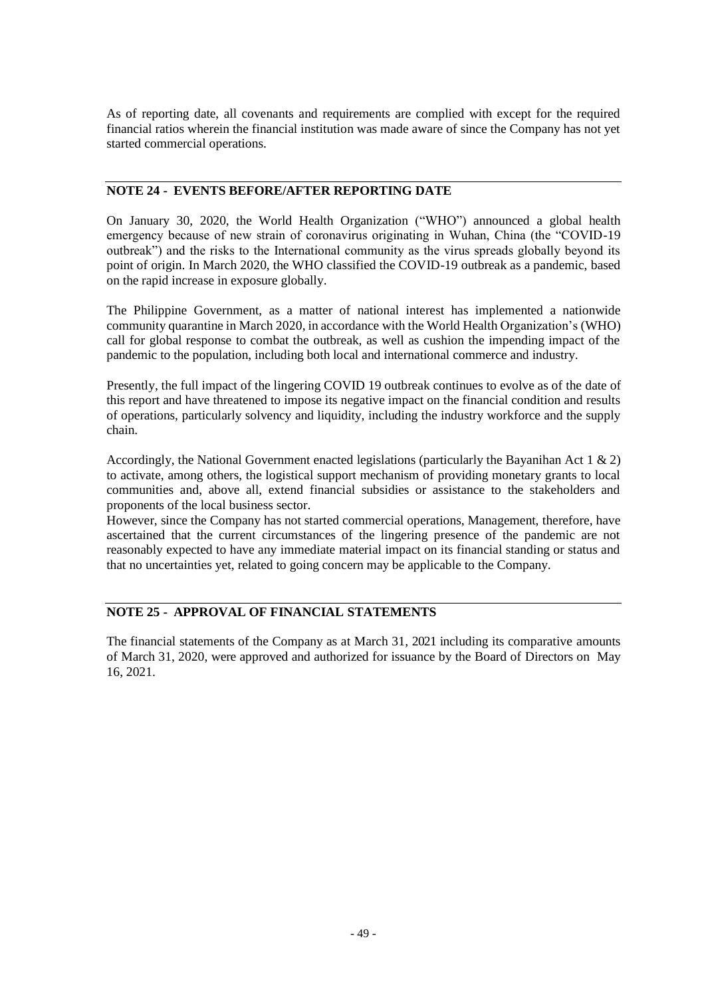As of reporting date, all covenants and requirements are complied with except for the required financial ratios wherein the financial institution was made aware of since the Company has not yet started commercial operations.

# **NOTE 24 - EVENTS BEFORE/AFTER REPORTING DATE**

On January 30, 2020, the World Health Organization ("WHO") announced a global health emergency because of new strain of coronavirus originating in Wuhan, China (the "COVID-19 outbreak") and the risks to the International community as the virus spreads globally beyond its point of origin. In March 2020, the WHO classified the COVID-19 outbreak as a pandemic, based on the rapid increase in exposure globally.

The Philippine Government, as a matter of national interest has implemented a nationwide community quarantine in March 2020, in accordance with the World Health Organization's (WHO) call for global response to combat the outbreak, as well as cushion the impending impact of the pandemic to the population, including both local and international commerce and industry.

Presently, the full impact of the lingering COVID 19 outbreak continues to evolve as of the date of this report and have threatened to impose its negative impact on the financial condition and results of operations, particularly solvency and liquidity, including the industry workforce and the supply chain.

Accordingly, the National Government enacted legislations (particularly the Bayanihan Act 1 & 2) to activate, among others, the logistical support mechanism of providing monetary grants to local communities and, above all, extend financial subsidies or assistance to the stakeholders and proponents of the local business sector.

However, since the Company has not started commercial operations, Management, therefore, have ascertained that the current circumstances of the lingering presence of the pandemic are not reasonably expected to have any immediate material impact on its financial standing or status and that no uncertainties yet, related to going concern may be applicable to the Company.

# **NOTE 25 - APPROVAL OF FINANCIAL STATEMENTS**

The financial statements of the Company as at March 31, 2021 including its comparative amounts of March 31, 2020, were approved and authorized for issuance by the Board of Directors on May 16, 2021.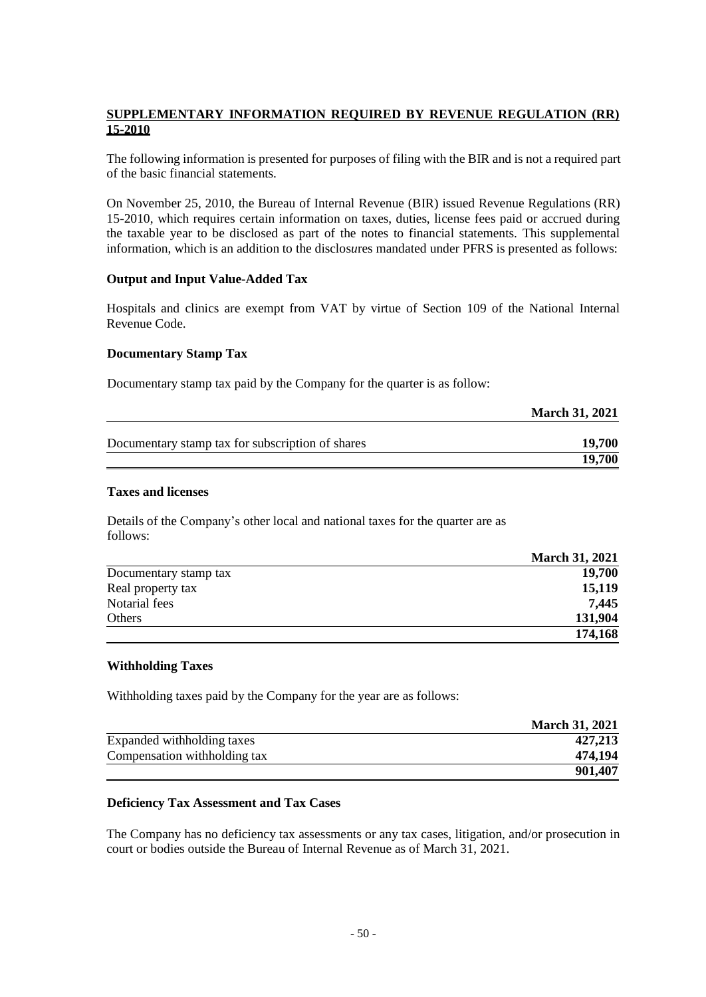### **SUPPLEMENTARY INFORMATION REQUIRED BY REVENUE REGULATION (RR) 15-2010**

The following information is presented for purposes of filing with the BIR and is not a required part of the basic financial statements.

On November 25, 2010, the Bureau of Internal Revenue (BIR) issued Revenue Regulations (RR) 15-2010, which requires certain information on taxes, duties, license fees paid or accrued during the taxable year to be disclosed as part of the notes to financial statements. This supplemental information, which is an addition to the disclos*u*res mandated under PFRS is presented as follows:

#### **Output and Input Value-Added Tax**

Hospitals and clinics are exempt from VAT by virtue of Section 109 of the National Internal Revenue Code.

#### **Documentary Stamp Tax**

Documentary stamp tax paid by the Company for the quarter is as follow:

|                                                  | <b>March 31, 2021</b> |
|--------------------------------------------------|-----------------------|
| Documentary stamp tax for subscription of shares | <b>19,700</b>         |
|                                                  | 19,700                |

### **Taxes and licenses**

Details of the Company's other local and national taxes for the quarter are as follows:

|                       | <b>March 31, 2021</b> |
|-----------------------|-----------------------|
| Documentary stamp tax | 19,700                |
| Real property tax     | 15,119                |
| Notarial fees         | 7,445                 |
| Others                | 131,904               |
|                       | 174,168               |

#### **Withholding Taxes**

Withholding taxes paid by the Company for the year are as follows:

|                               | <b>March 31, 2021</b> |
|-------------------------------|-----------------------|
| Expanded withholding taxes    | 427,213               |
| Compensation with holding tax | 474.194               |
|                               | 901,407               |

### **Deficiency Tax Assessment and Tax Cases**

The Company has no deficiency tax assessments or any tax cases, litigation, and/or prosecution in court or bodies outside the Bureau of Internal Revenue as of March 31, 2021.